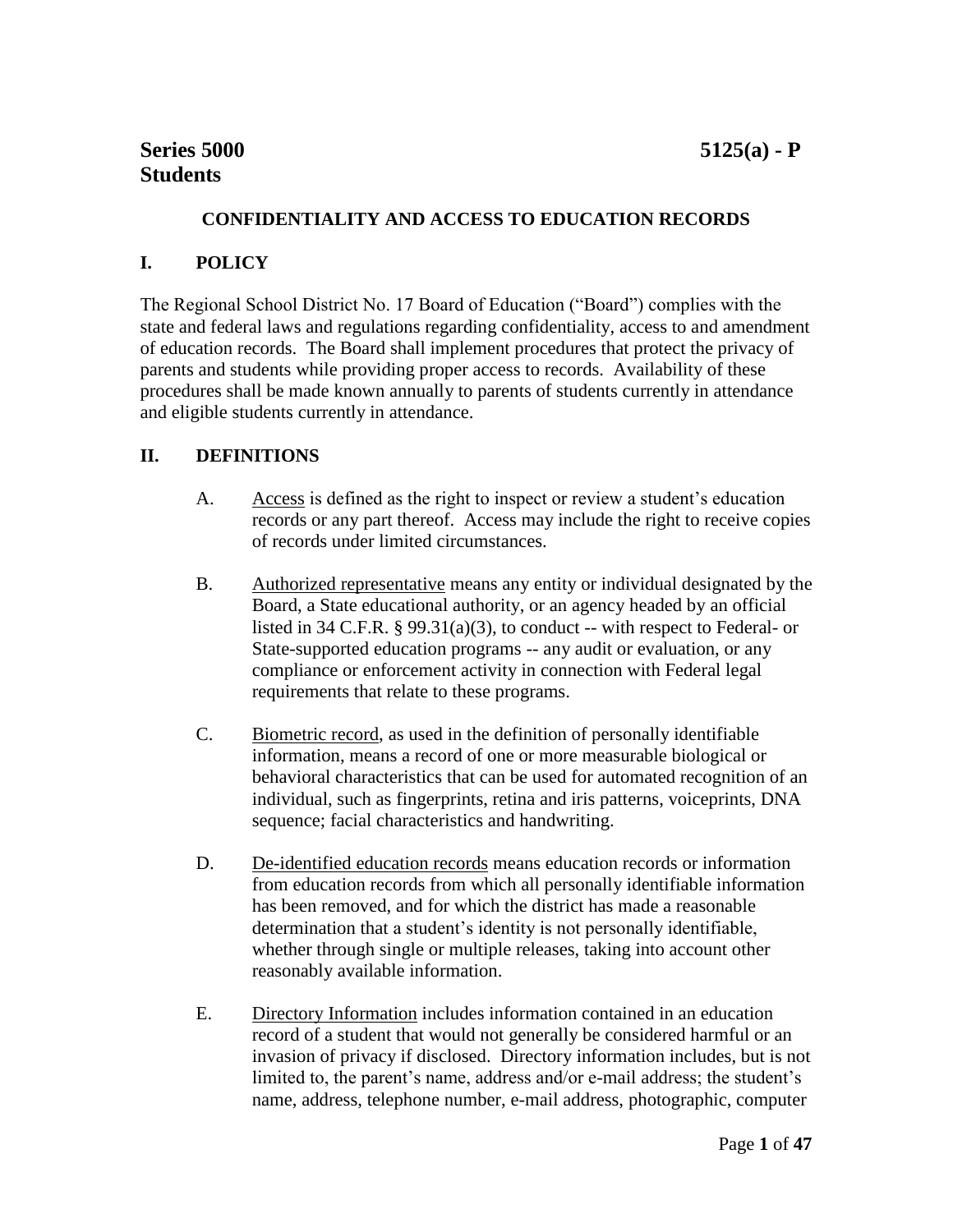# **CONFIDENTIALITY AND ACCESS TO EDUCATION RECORDS**

# **I. POLICY**

The Regional School District No. 17 Board of Education ("Board") complies with the state and federal laws and regulations regarding confidentiality, access to and amendment of education records. The Board shall implement procedures that protect the privacy of parents and students while providing proper access to records. Availability of these procedures shall be made known annually to parents of students currently in attendance and eligible students currently in attendance.

### **II. DEFINITIONS**

- A. Access is defined as the right to inspect or review a student's education records or any part thereof. Access may include the right to receive copies of records under limited circumstances.
- B. Authorized representative means any entity or individual designated by the Board, a State educational authority, or an agency headed by an official listed in 34 C.F.R. § 99.31(a)(3), to conduct -- with respect to Federal- or State-supported education programs -- any audit or evaluation, or any compliance or enforcement activity in connection with Federal legal requirements that relate to these programs.
- C. Biometric record, as used in the definition of personally identifiable information, means a record of one or more measurable biological or behavioral characteristics that can be used for automated recognition of an individual, such as fingerprints, retina and iris patterns, voiceprints, DNA sequence; facial characteristics and handwriting.
- D. De-identified education records means education records or information from education records from which all personally identifiable information has been removed, and for which the district has made a reasonable determination that a student's identity is not personally identifiable, whether through single or multiple releases, taking into account other reasonably available information.
- E. Directory Information includes information contained in an education record of a student that would not generally be considered harmful or an invasion of privacy if disclosed. Directory information includes, but is not limited to, the parent's name, address and/or e-mail address; the student's name, address, telephone number, e-mail address, photographic, computer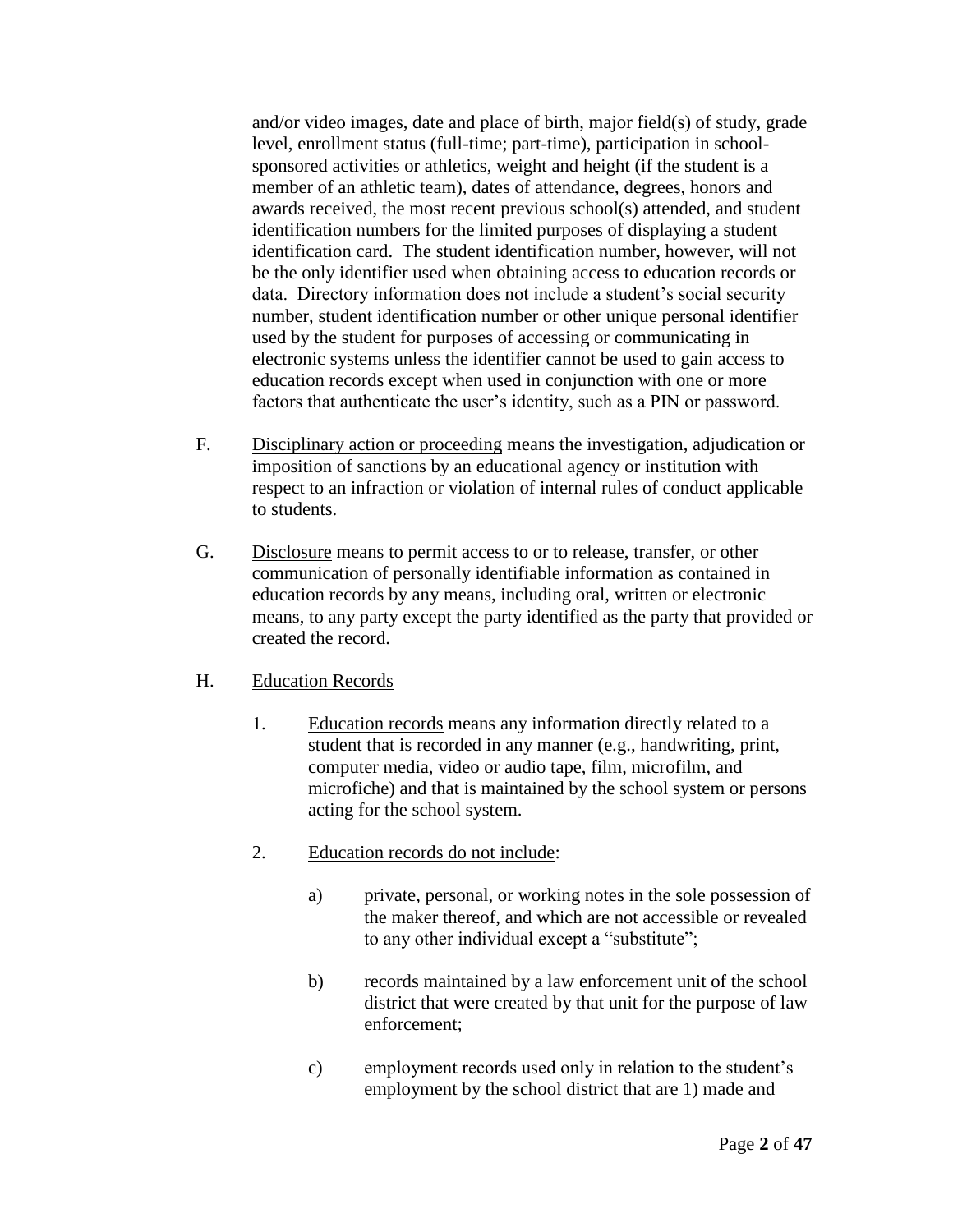and/or video images, date and place of birth, major field(s) of study, grade level, enrollment status (full-time; part-time), participation in schoolsponsored activities or athletics, weight and height (if the student is a member of an athletic team), dates of attendance, degrees, honors and awards received, the most recent previous school(s) attended, and student identification numbers for the limited purposes of displaying a student identification card. The student identification number, however, will not be the only identifier used when obtaining access to education records or data. Directory information does not include a student's social security number, student identification number or other unique personal identifier used by the student for purposes of accessing or communicating in electronic systems unless the identifier cannot be used to gain access to education records except when used in conjunction with one or more factors that authenticate the user's identity, such as a PIN or password.

- F. Disciplinary action or proceeding means the investigation, adjudication or imposition of sanctions by an educational agency or institution with respect to an infraction or violation of internal rules of conduct applicable to students.
- G. Disclosure means to permit access to or to release, transfer, or other communication of personally identifiable information as contained in education records by any means, including oral, written or electronic means, to any party except the party identified as the party that provided or created the record.
- H. Education Records
	- 1. Education records means any information directly related to a student that is recorded in any manner (e.g., handwriting, print, computer media, video or audio tape, film, microfilm, and microfiche) and that is maintained by the school system or persons acting for the school system.
	- 2. Education records do not include:
		- a) private, personal, or working notes in the sole possession of the maker thereof, and which are not accessible or revealed to any other individual except a "substitute";
		- b) records maintained by a law enforcement unit of the school district that were created by that unit for the purpose of law enforcement;
		- c) employment records used only in relation to the student's employment by the school district that are 1) made and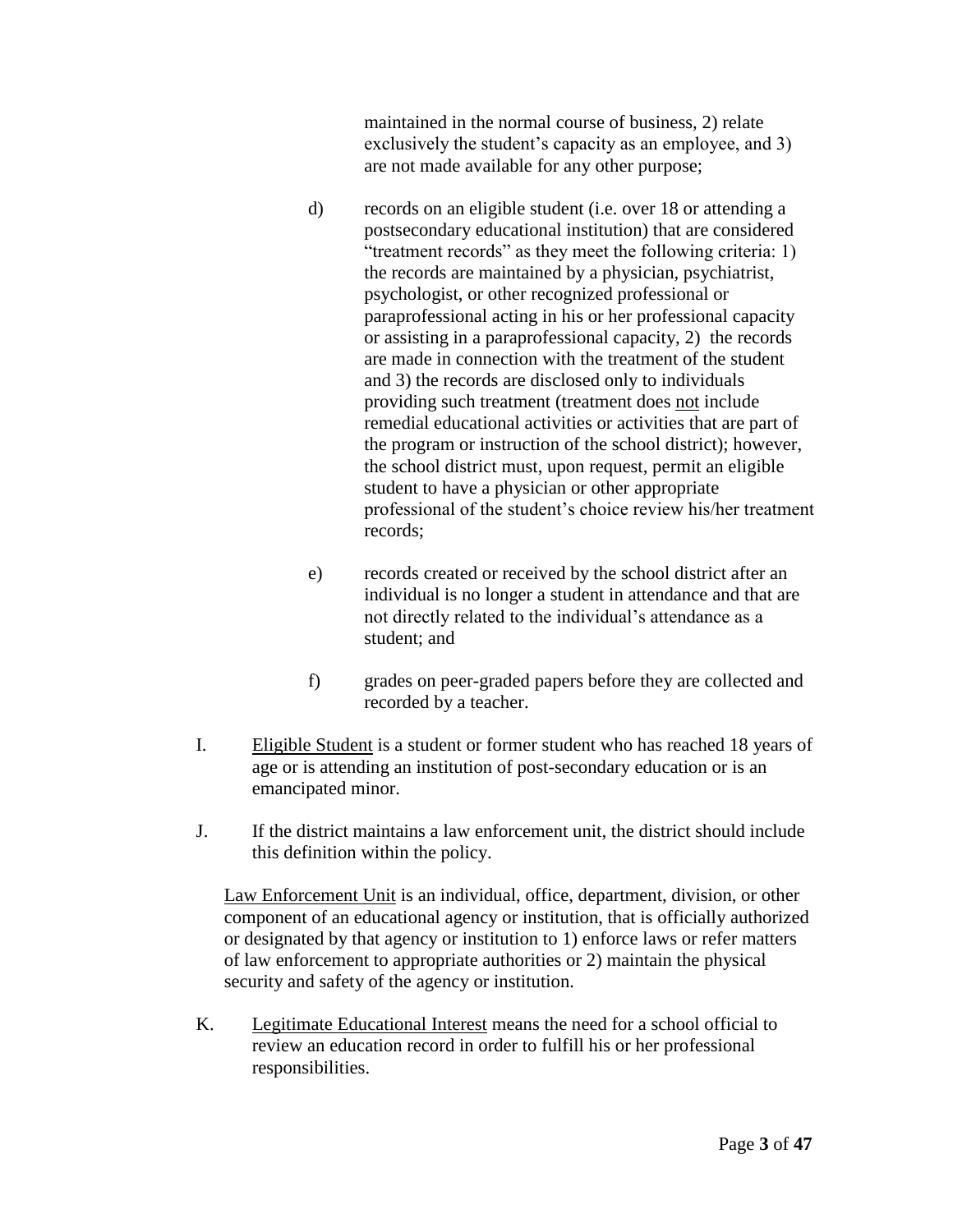maintained in the normal course of business, 2) relate exclusively the student's capacity as an employee, and 3) are not made available for any other purpose;

- d) records on an eligible student (i.e. over 18 or attending a postsecondary educational institution) that are considered "treatment records" as they meet the following criteria: 1) the records are maintained by a physician, psychiatrist, psychologist, or other recognized professional or paraprofessional acting in his or her professional capacity or assisting in a paraprofessional capacity, 2) the records are made in connection with the treatment of the student and 3) the records are disclosed only to individuals providing such treatment (treatment does not include remedial educational activities or activities that are part of the program or instruction of the school district); however, the school district must, upon request, permit an eligible student to have a physician or other appropriate professional of the student's choice review his/her treatment records;
- e) records created or received by the school district after an individual is no longer a student in attendance and that are not directly related to the individual's attendance as a student; and
- f) grades on peer-graded papers before they are collected and recorded by a teacher.
- I. Eligible Student is a student or former student who has reached 18 years of age or is attending an institution of post-secondary education or is an emancipated minor.
- J. If the district maintains a law enforcement unit, the district should include this definition within the policy.

Law Enforcement Unit is an individual, office, department, division, or other component of an educational agency or institution, that is officially authorized or designated by that agency or institution to 1) enforce laws or refer matters of law enforcement to appropriate authorities or 2) maintain the physical security and safety of the agency or institution.

K. Legitimate Educational Interest means the need for a school official to review an education record in order to fulfill his or her professional responsibilities.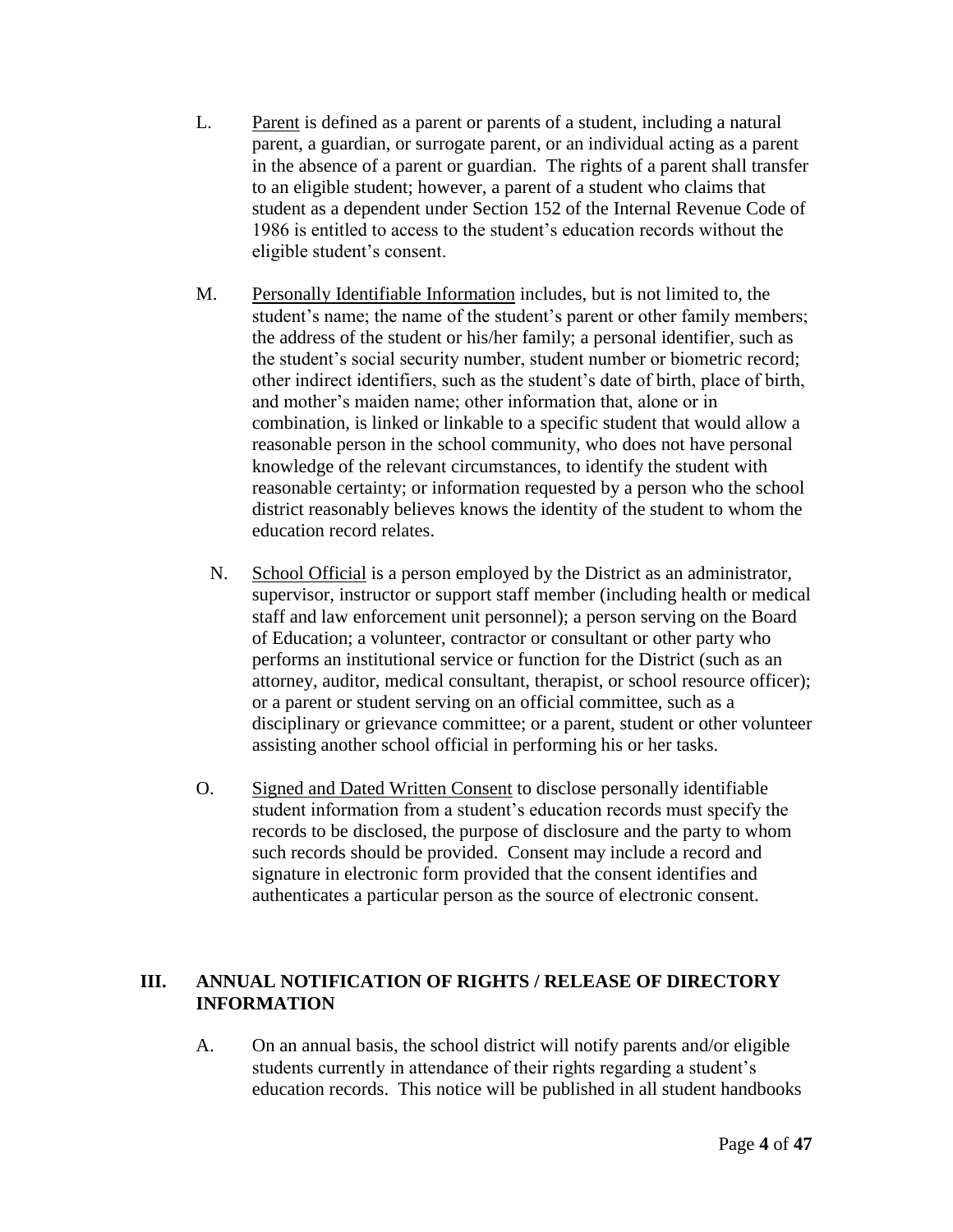- L. Parent is defined as a parent or parents of a student, including a natural parent, a guardian, or surrogate parent, or an individual acting as a parent in the absence of a parent or guardian. The rights of a parent shall transfer to an eligible student; however, a parent of a student who claims that student as a dependent under Section 152 of the Internal Revenue Code of 1986 is entitled to access to the student's education records without the eligible student's consent.
- M. Personally Identifiable Information includes, but is not limited to, the student's name; the name of the student's parent or other family members; the address of the student or his/her family; a personal identifier, such as the student's social security number, student number or biometric record; other indirect identifiers, such as the student's date of birth, place of birth, and mother's maiden name; other information that, alone or in combination, is linked or linkable to a specific student that would allow a reasonable person in the school community, who does not have personal knowledge of the relevant circumstances, to identify the student with reasonable certainty; or information requested by a person who the school district reasonably believes knows the identity of the student to whom the education record relates.
	- N. School Official is a person employed by the District as an administrator, supervisor, instructor or support staff member (including health or medical staff and law enforcement unit personnel); a person serving on the Board of Education; a volunteer, contractor or consultant or other party who performs an institutional service or function for the District (such as an attorney, auditor, medical consultant, therapist, or school resource officer); or a parent or student serving on an official committee, such as a disciplinary or grievance committee; or a parent, student or other volunteer assisting another school official in performing his or her tasks.
- O. Signed and Dated Written Consent to disclose personally identifiable student information from a student's education records must specify the records to be disclosed, the purpose of disclosure and the party to whom such records should be provided. Consent may include a record and signature in electronic form provided that the consent identifies and authenticates a particular person as the source of electronic consent.

### **III. ANNUAL NOTIFICATION OF RIGHTS / RELEASE OF DIRECTORY INFORMATION**

A. On an annual basis, the school district will notify parents and/or eligible students currently in attendance of their rights regarding a student's education records. This notice will be published in all student handbooks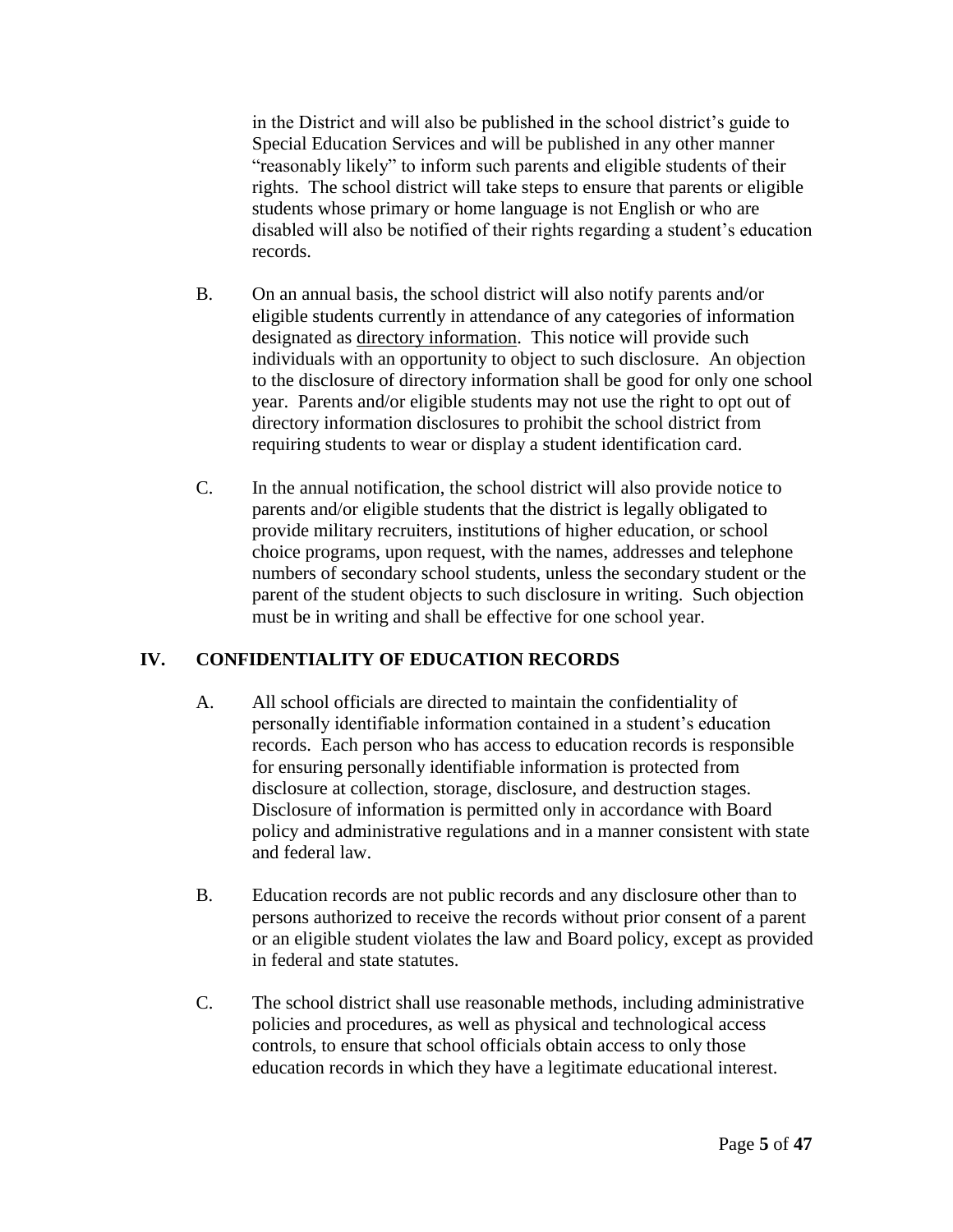in the District and will also be published in the school district's guide to Special Education Services and will be published in any other manner "reasonably likely" to inform such parents and eligible students of their rights. The school district will take steps to ensure that parents or eligible students whose primary or home language is not English or who are disabled will also be notified of their rights regarding a student's education records.

- B. On an annual basis, the school district will also notify parents and/or eligible students currently in attendance of any categories of information designated as directory information. This notice will provide such individuals with an opportunity to object to such disclosure. An objection to the disclosure of directory information shall be good for only one school year. Parents and/or eligible students may not use the right to opt out of directory information disclosures to prohibit the school district from requiring students to wear or display a student identification card.
- C. In the annual notification, the school district will also provide notice to parents and/or eligible students that the district is legally obligated to provide military recruiters, institutions of higher education, or school choice programs, upon request, with the names, addresses and telephone numbers of secondary school students, unless the secondary student or the parent of the student objects to such disclosure in writing. Such objection must be in writing and shall be effective for one school year.

# **IV. CONFIDENTIALITY OF EDUCATION RECORDS**

- A. All school officials are directed to maintain the confidentiality of personally identifiable information contained in a student's education records. Each person who has access to education records is responsible for ensuring personally identifiable information is protected from disclosure at collection, storage, disclosure, and destruction stages. Disclosure of information is permitted only in accordance with Board policy and administrative regulations and in a manner consistent with state and federal law.
- B. Education records are not public records and any disclosure other than to persons authorized to receive the records without prior consent of a parent or an eligible student violates the law and Board policy, except as provided in federal and state statutes.
- C. The school district shall use reasonable methods, including administrative policies and procedures, as well as physical and technological access controls, to ensure that school officials obtain access to only those education records in which they have a legitimate educational interest.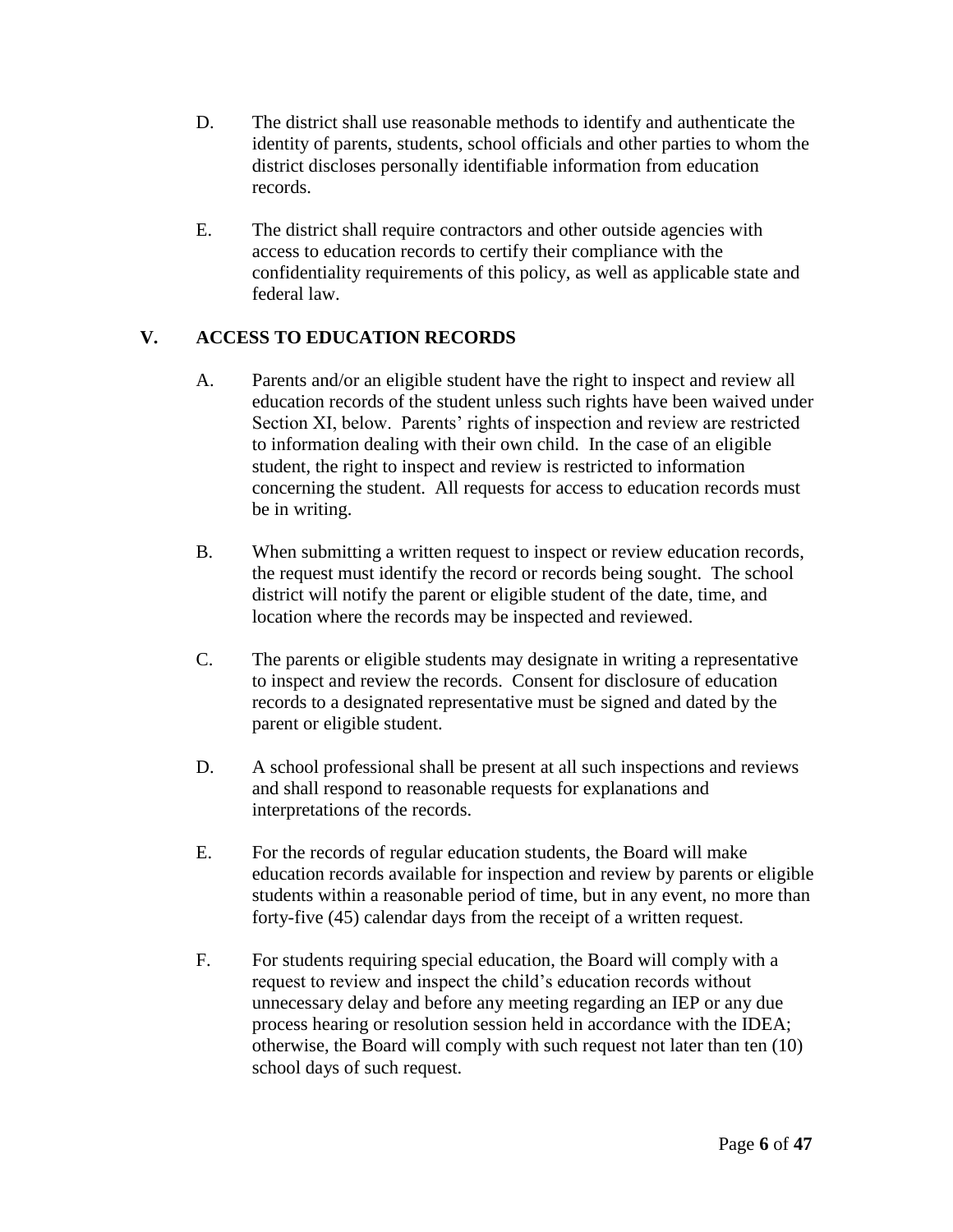- D. The district shall use reasonable methods to identify and authenticate the identity of parents, students, school officials and other parties to whom the district discloses personally identifiable information from education records.
- E. The district shall require contractors and other outside agencies with access to education records to certify their compliance with the confidentiality requirements of this policy, as well as applicable state and federal law.

# **V. ACCESS TO EDUCATION RECORDS**

- A. Parents and/or an eligible student have the right to inspect and review all education records of the student unless such rights have been waived under Section XI, below. Parents' rights of inspection and review are restricted to information dealing with their own child. In the case of an eligible student, the right to inspect and review is restricted to information concerning the student. All requests for access to education records must be in writing.
- B. When submitting a written request to inspect or review education records, the request must identify the record or records being sought. The school district will notify the parent or eligible student of the date, time, and location where the records may be inspected and reviewed.
- C. The parents or eligible students may designate in writing a representative to inspect and review the records. Consent for disclosure of education records to a designated representative must be signed and dated by the parent or eligible student.
- D. A school professional shall be present at all such inspections and reviews and shall respond to reasonable requests for explanations and interpretations of the records.
- E. For the records of regular education students, the Board will make education records available for inspection and review by parents or eligible students within a reasonable period of time, but in any event, no more than forty-five (45) calendar days from the receipt of a written request.
- F. For students requiring special education, the Board will comply with a request to review and inspect the child's education records without unnecessary delay and before any meeting regarding an IEP or any due process hearing or resolution session held in accordance with the IDEA; otherwise, the Board will comply with such request not later than ten (10) school days of such request.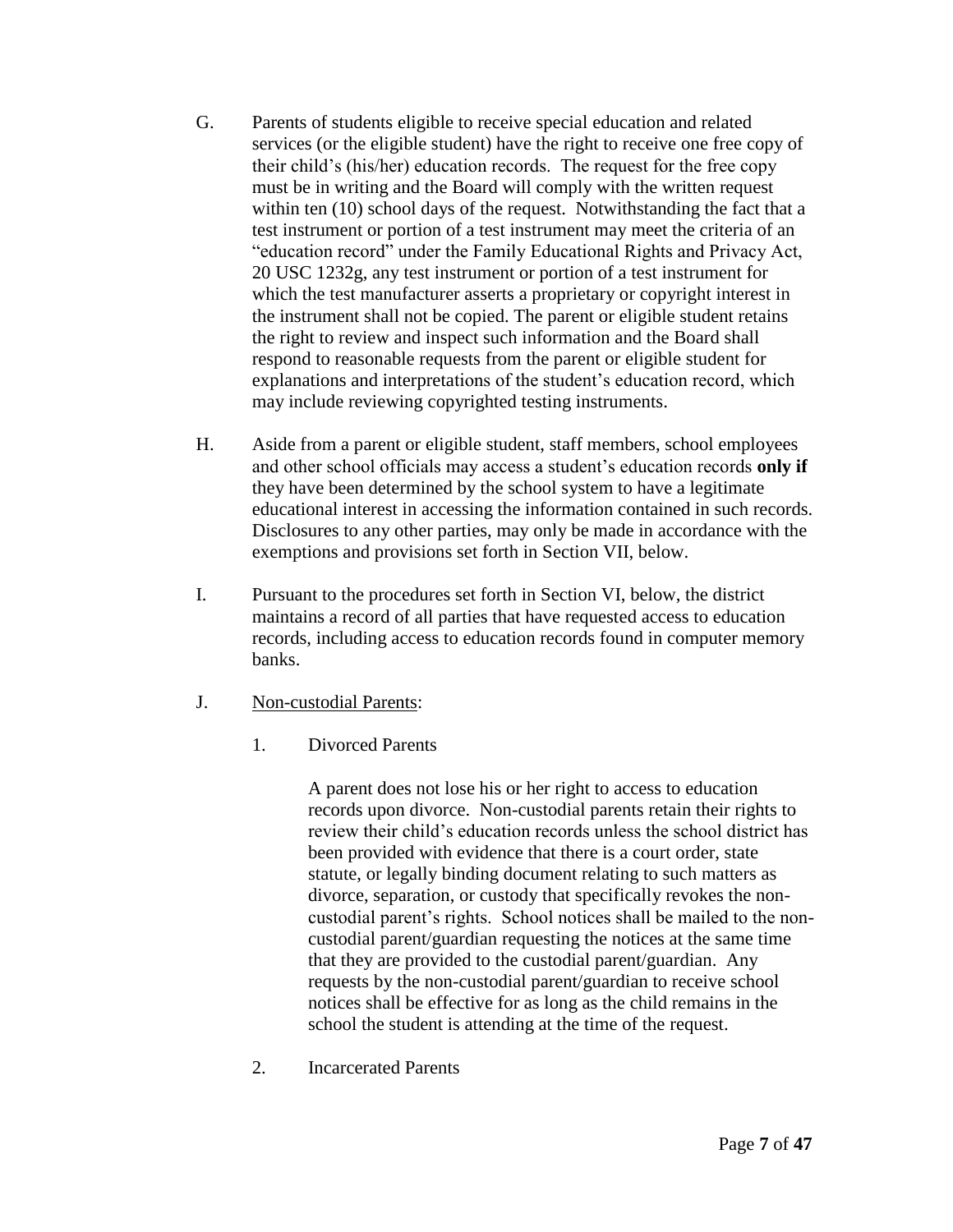- G. Parents of students eligible to receive special education and related services (or the eligible student) have the right to receive one free copy of their child's (his/her) education records. The request for the free copy must be in writing and the Board will comply with the written request within ten (10) school days of the request. Notwithstanding the fact that a test instrument or portion of a test instrument may meet the criteria of an "education record" under the Family Educational Rights and Privacy Act, 20 USC 1232g, any test instrument or portion of a test instrument for which the test manufacturer asserts a proprietary or copyright interest in the instrument shall not be copied. The parent or eligible student retains the right to review and inspect such information and the Board shall respond to reasonable requests from the parent or eligible student for explanations and interpretations of the student's education record, which may include reviewing copyrighted testing instruments.
- H. Aside from a parent or eligible student, staff members, school employees and other school officials may access a student's education records **only if** they have been determined by the school system to have a legitimate educational interest in accessing the information contained in such records. Disclosures to any other parties, may only be made in accordance with the exemptions and provisions set forth in Section VII, below.
- I. Pursuant to the procedures set forth in Section VI, below, the district maintains a record of all parties that have requested access to education records, including access to education records found in computer memory banks.
- J. Non-custodial Parents:
	- 1. Divorced Parents

A parent does not lose his or her right to access to education records upon divorce. Non-custodial parents retain their rights to review their child's education records unless the school district has been provided with evidence that there is a court order, state statute, or legally binding document relating to such matters as divorce, separation, or custody that specifically revokes the noncustodial parent's rights. School notices shall be mailed to the noncustodial parent/guardian requesting the notices at the same time that they are provided to the custodial parent/guardian. Any requests by the non-custodial parent/guardian to receive school notices shall be effective for as long as the child remains in the school the student is attending at the time of the request.

2. Incarcerated Parents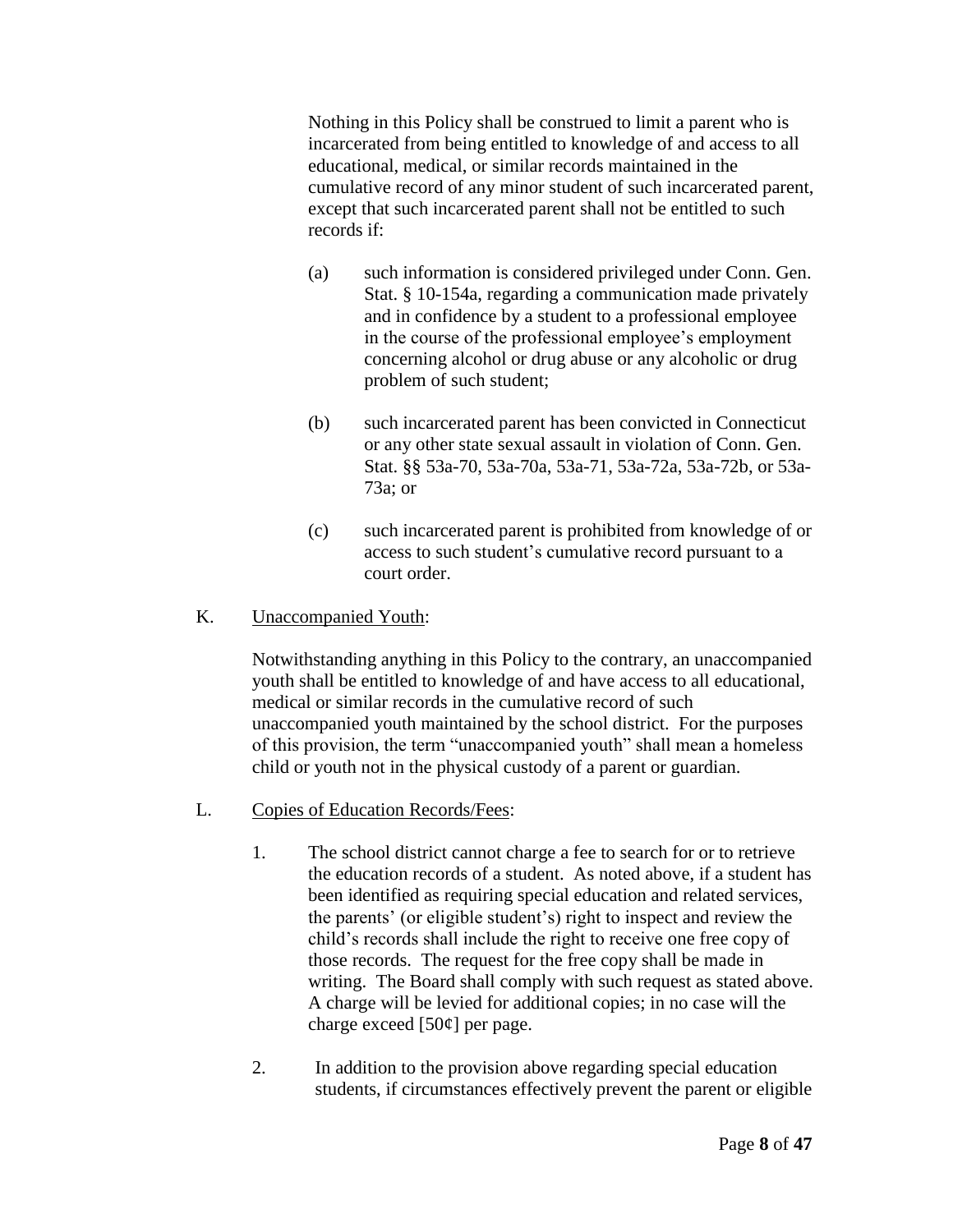Nothing in this Policy shall be construed to limit a parent who is incarcerated from being entitled to knowledge of and access to all educational, medical, or similar records maintained in the cumulative record of any minor student of such incarcerated parent, except that such incarcerated parent shall not be entitled to such records if:

- (a) such information is considered privileged under Conn. Gen. Stat. § 10-154a, regarding a communication made privately and in confidence by a student to a professional employee in the course of the professional employee's employment concerning alcohol or drug abuse or any alcoholic or drug problem of such student;
- (b) such incarcerated parent has been convicted in Connecticut or any other state sexual assault in violation of Conn. Gen. Stat. §§ 53a-70, 53a-70a, 53a-71, 53a-72a, 53a-72b, or 53a-73a; or
- (c) such incarcerated parent is prohibited from knowledge of or access to such student's cumulative record pursuant to a court order.

## K. Unaccompanied Youth:

Notwithstanding anything in this Policy to the contrary, an unaccompanied youth shall be entitled to knowledge of and have access to all educational, medical or similar records in the cumulative record of such unaccompanied youth maintained by the school district. For the purposes of this provision, the term "unaccompanied youth" shall mean a homeless child or youth not in the physical custody of a parent or guardian.

# L. Copies of Education Records/Fees:

- 1. The school district cannot charge a fee to search for or to retrieve the education records of a student. As noted above, if a student has been identified as requiring special education and related services, the parents' (or eligible student's) right to inspect and review the child's records shall include the right to receive one free copy of those records. The request for the free copy shall be made in writing. The Board shall comply with such request as stated above. A charge will be levied for additional copies; in no case will the charge exceed  $[50¢]$  per page.
- 2. In addition to the provision above regarding special education students, if circumstances effectively prevent the parent or eligible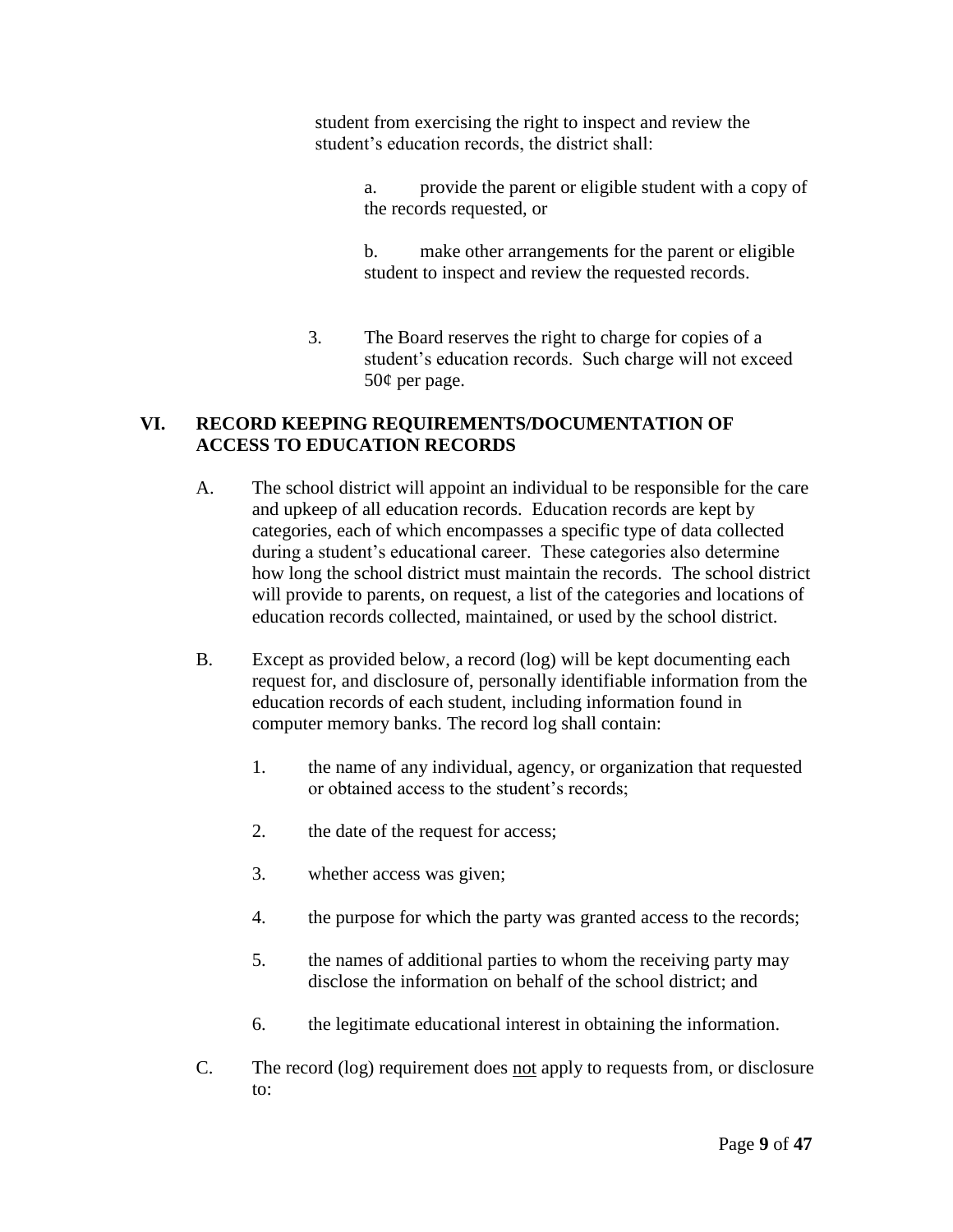student from exercising the right to inspect and review the student's education records, the district shall:

> a. provide the parent or eligible student with a copy of the records requested, or

b. make other arrangements for the parent or eligible student to inspect and review the requested records.

3. The Board reserves the right to charge for copies of a student's education records. Such charge will not exceed 50¢ per page.

### **VI. RECORD KEEPING REQUIREMENTS/DOCUMENTATION OF ACCESS TO EDUCATION RECORDS**

- A. The school district will appoint an individual to be responsible for the care and upkeep of all education records. Education records are kept by categories, each of which encompasses a specific type of data collected during a student's educational career. These categories also determine how long the school district must maintain the records. The school district will provide to parents, on request, a list of the categories and locations of education records collected, maintained, or used by the school district.
- B. Except as provided below, a record (log) will be kept documenting each request for, and disclosure of, personally identifiable information from the education records of each student, including information found in computer memory banks. The record log shall contain:
	- 1. the name of any individual, agency, or organization that requested or obtained access to the student's records;
	- 2. the date of the request for access;
	- 3. whether access was given;
	- 4. the purpose for which the party was granted access to the records;
	- 5. the names of additional parties to whom the receiving party may disclose the information on behalf of the school district; and
	- 6. the legitimate educational interest in obtaining the information.
- C. The record (log) requirement does not apply to requests from, or disclosure to: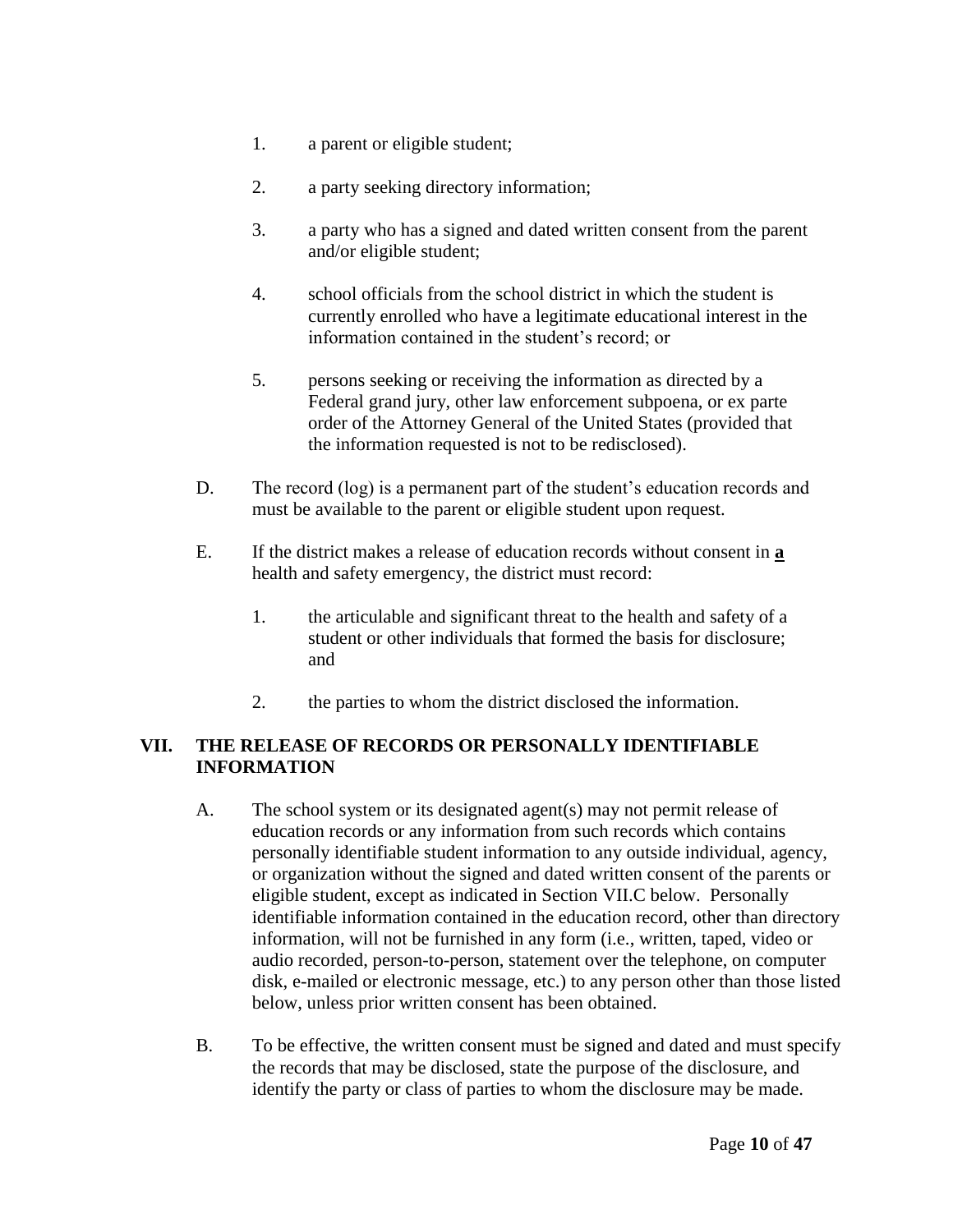- 1. a parent or eligible student;
- 2. a party seeking directory information;
- 3. a party who has a signed and dated written consent from the parent and/or eligible student;
- 4. school officials from the school district in which the student is currently enrolled who have a legitimate educational interest in the information contained in the student's record; or
- 5. persons seeking or receiving the information as directed by a Federal grand jury, other law enforcement subpoena, or ex parte order of the Attorney General of the United States (provided that the information requested is not to be redisclosed).
- D. The record (log) is a permanent part of the student's education records and must be available to the parent or eligible student upon request.
- E. If the district makes a release of education records without consent in **a**  health and safety emergency, the district must record:
	- 1. the articulable and significant threat to the health and safety of a student or other individuals that formed the basis for disclosure; and
	- 2. the parties to whom the district disclosed the information.

## **VII. THE RELEASE OF RECORDS OR PERSONALLY IDENTIFIABLE INFORMATION**

- A. The school system or its designated agent(s) may not permit release of education records or any information from such records which contains personally identifiable student information to any outside individual, agency, or organization without the signed and dated written consent of the parents or eligible student, except as indicated in Section VII.C below. Personally identifiable information contained in the education record, other than directory information, will not be furnished in any form (i.e., written, taped, video or audio recorded, person-to-person, statement over the telephone, on computer disk, e-mailed or electronic message, etc.) to any person other than those listed below, unless prior written consent has been obtained.
- B. To be effective, the written consent must be signed and dated and must specify the records that may be disclosed, state the purpose of the disclosure, and identify the party or class of parties to whom the disclosure may be made.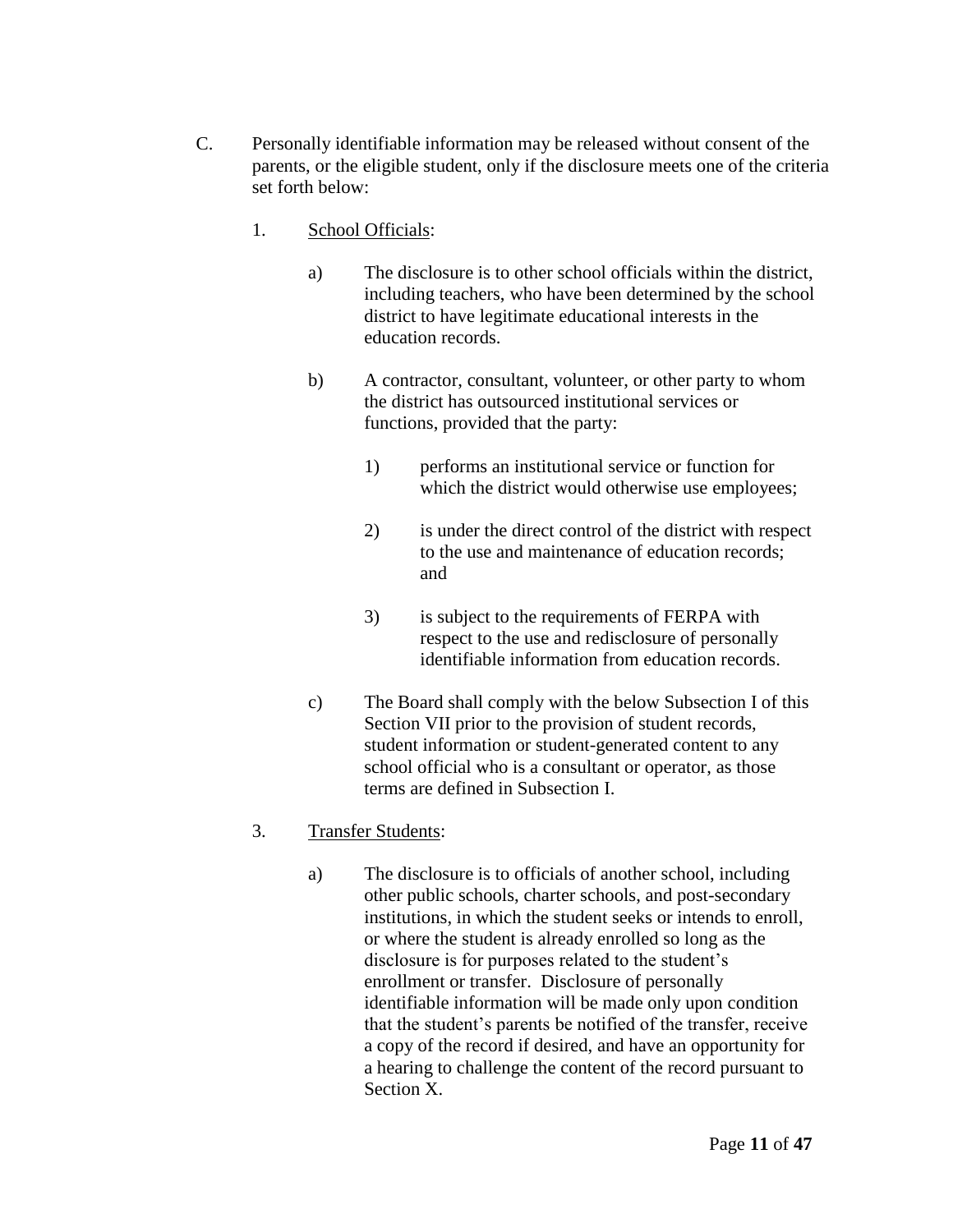- C. Personally identifiable information may be released without consent of the parents, or the eligible student, only if the disclosure meets one of the criteria set forth below:
	- 1. School Officials:
		- a) The disclosure is to other school officials within the district, including teachers, who have been determined by the school district to have legitimate educational interests in the education records.
		- b) A contractor, consultant, volunteer, or other party to whom the district has outsourced institutional services or functions, provided that the party:
			- 1) performs an institutional service or function for which the district would otherwise use employees;
			- 2) is under the direct control of the district with respect to the use and maintenance of education records; and
			- 3) is subject to the requirements of FERPA with respect to the use and redisclosure of personally identifiable information from education records.
		- c) The Board shall comply with the below Subsection I of this Section VII prior to the provision of student records, student information or student-generated content to any school official who is a consultant or operator, as those terms are defined in Subsection I.

# 3. Transfer Students:

a) The disclosure is to officials of another school, including other public schools, charter schools, and post-secondary institutions, in which the student seeks or intends to enroll, or where the student is already enrolled so long as the disclosure is for purposes related to the student's enrollment or transfer. Disclosure of personally identifiable information will be made only upon condition that the student's parents be notified of the transfer, receive a copy of the record if desired, and have an opportunity for a hearing to challenge the content of the record pursuant to Section X.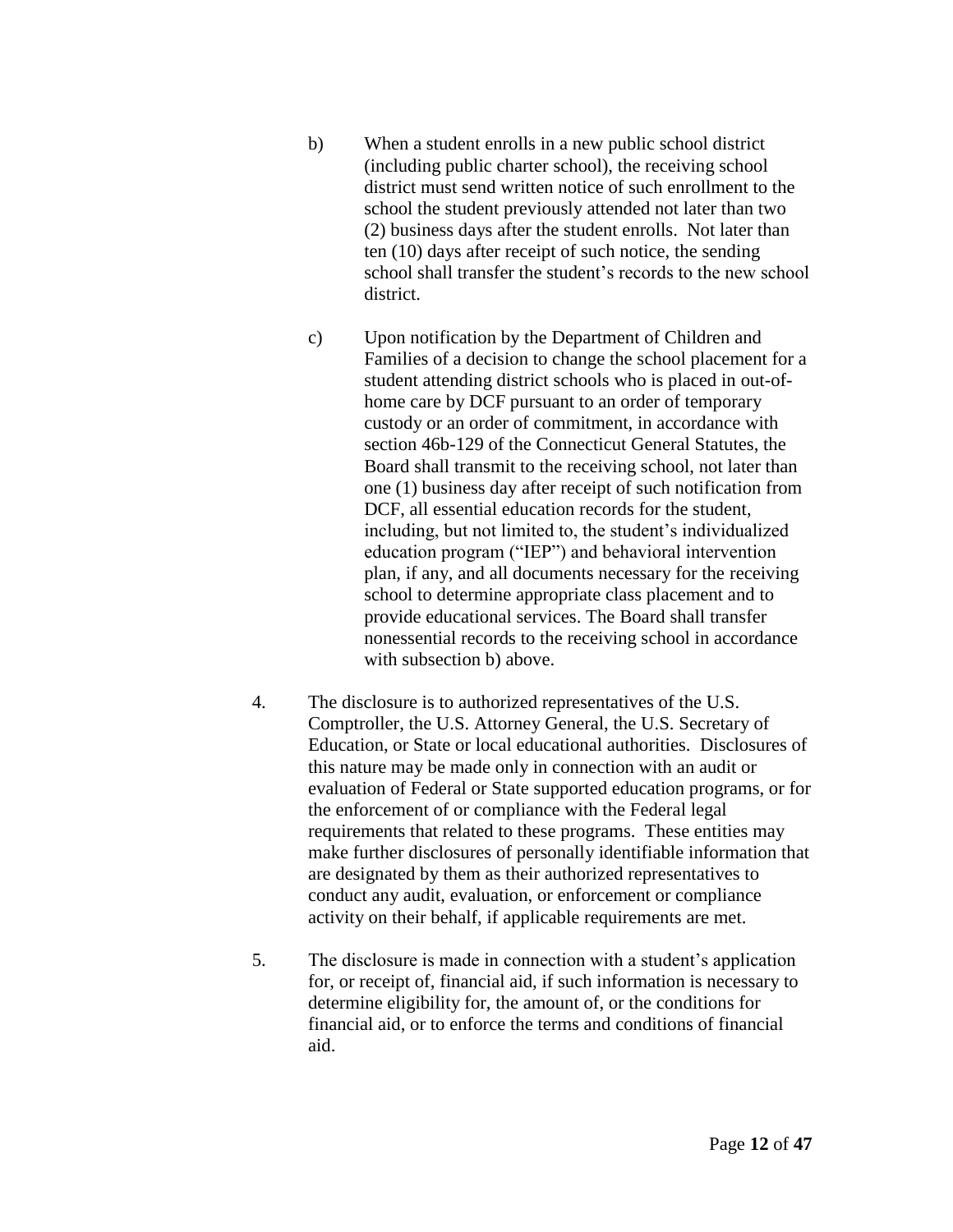- b) When a student enrolls in a new public school district (including public charter school), the receiving school district must send written notice of such enrollment to the school the student previously attended not later than two (2) business days after the student enrolls. Not later than ten (10) days after receipt of such notice, the sending school shall transfer the student's records to the new school district.
- c) Upon notification by the Department of Children and Families of a decision to change the school placement for a student attending district schools who is placed in out-ofhome care by DCF pursuant to an order of temporary custody or an order of commitment, in accordance with section 46b-129 of the Connecticut General Statutes, the Board shall transmit to the receiving school, not later than one (1) business day after receipt of such notification from DCF, all essential education records for the student, including, but not limited to, the student's individualized education program ("IEP") and behavioral intervention plan, if any, and all documents necessary for the receiving school to determine appropriate class placement and to provide educational services. The Board shall transfer nonessential records to the receiving school in accordance with subsection b) above.
- 4. The disclosure is to authorized representatives of the U.S. Comptroller, the U.S. Attorney General, the U.S. Secretary of Education, or State or local educational authorities. Disclosures of this nature may be made only in connection with an audit or evaluation of Federal or State supported education programs, or for the enforcement of or compliance with the Federal legal requirements that related to these programs. These entities may make further disclosures of personally identifiable information that are designated by them as their authorized representatives to conduct any audit, evaluation, or enforcement or compliance activity on their behalf, if applicable requirements are met.
- 5. The disclosure is made in connection with a student's application for, or receipt of, financial aid, if such information is necessary to determine eligibility for, the amount of, or the conditions for financial aid, or to enforce the terms and conditions of financial aid.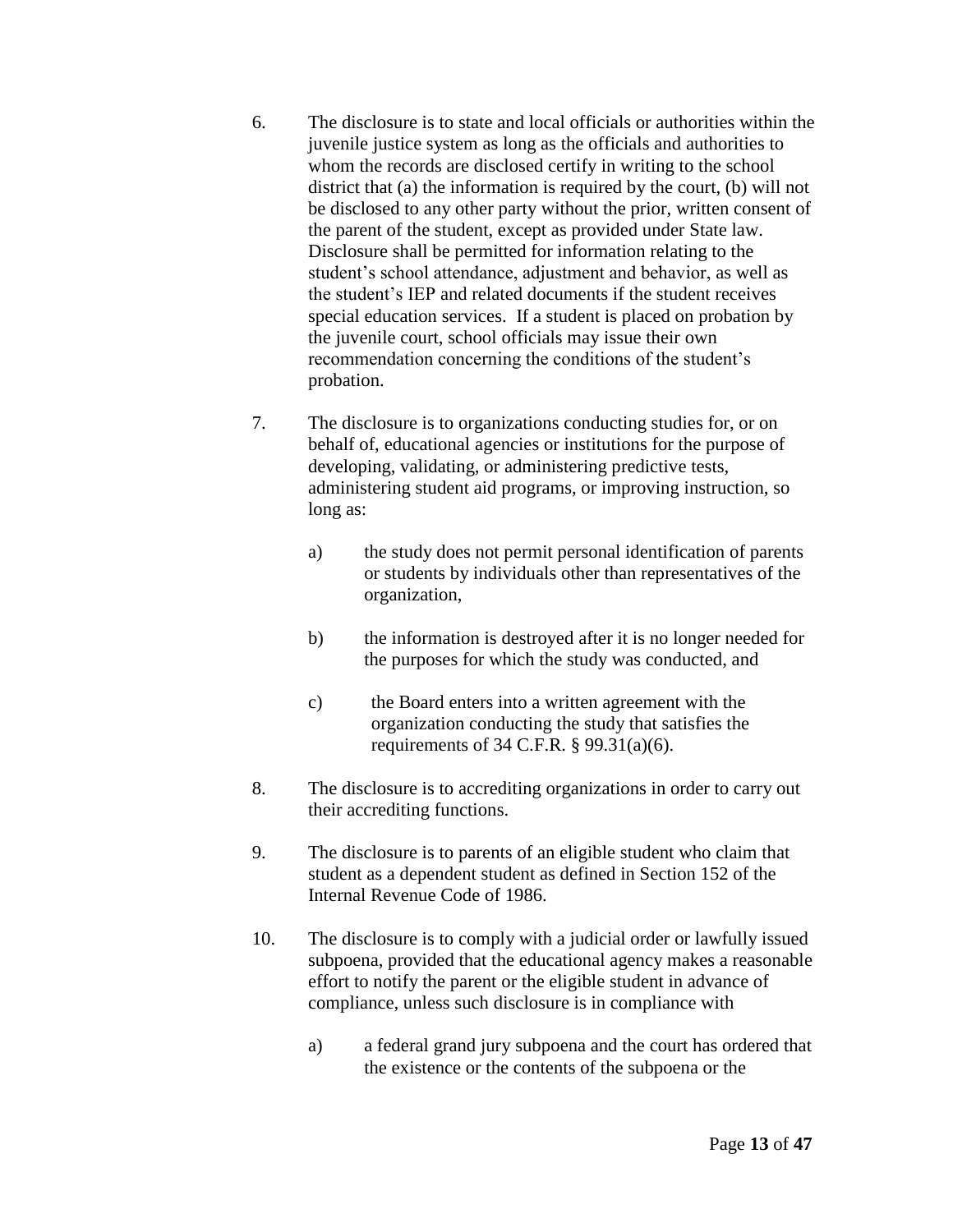- 6. The disclosure is to state and local officials or authorities within the juvenile justice system as long as the officials and authorities to whom the records are disclosed certify in writing to the school district that (a) the information is required by the court, (b) will not be disclosed to any other party without the prior, written consent of the parent of the student, except as provided under State law. Disclosure shall be permitted for information relating to the student's school attendance, adjustment and behavior, as well as the student's IEP and related documents if the student receives special education services. If a student is placed on probation by the juvenile court, school officials may issue their own recommendation concerning the conditions of the student's probation.
- 7. The disclosure is to organizations conducting studies for, or on behalf of, educational agencies or institutions for the purpose of developing, validating, or administering predictive tests, administering student aid programs, or improving instruction, so long as:
	- a) the study does not permit personal identification of parents or students by individuals other than representatives of the organization,
	- b) the information is destroyed after it is no longer needed for the purposes for which the study was conducted, and
	- c) the Board enters into a written agreement with the organization conducting the study that satisfies the requirements of 34 C.F.R. § 99.31(a)(6).
- 8. The disclosure is to accrediting organizations in order to carry out their accrediting functions.
- 9. The disclosure is to parents of an eligible student who claim that student as a dependent student as defined in Section 152 of the Internal Revenue Code of 1986.
- 10. The disclosure is to comply with a judicial order or lawfully issued subpoena, provided that the educational agency makes a reasonable effort to notify the parent or the eligible student in advance of compliance, unless such disclosure is in compliance with
	- a) a federal grand jury subpoena and the court has ordered that the existence or the contents of the subpoena or the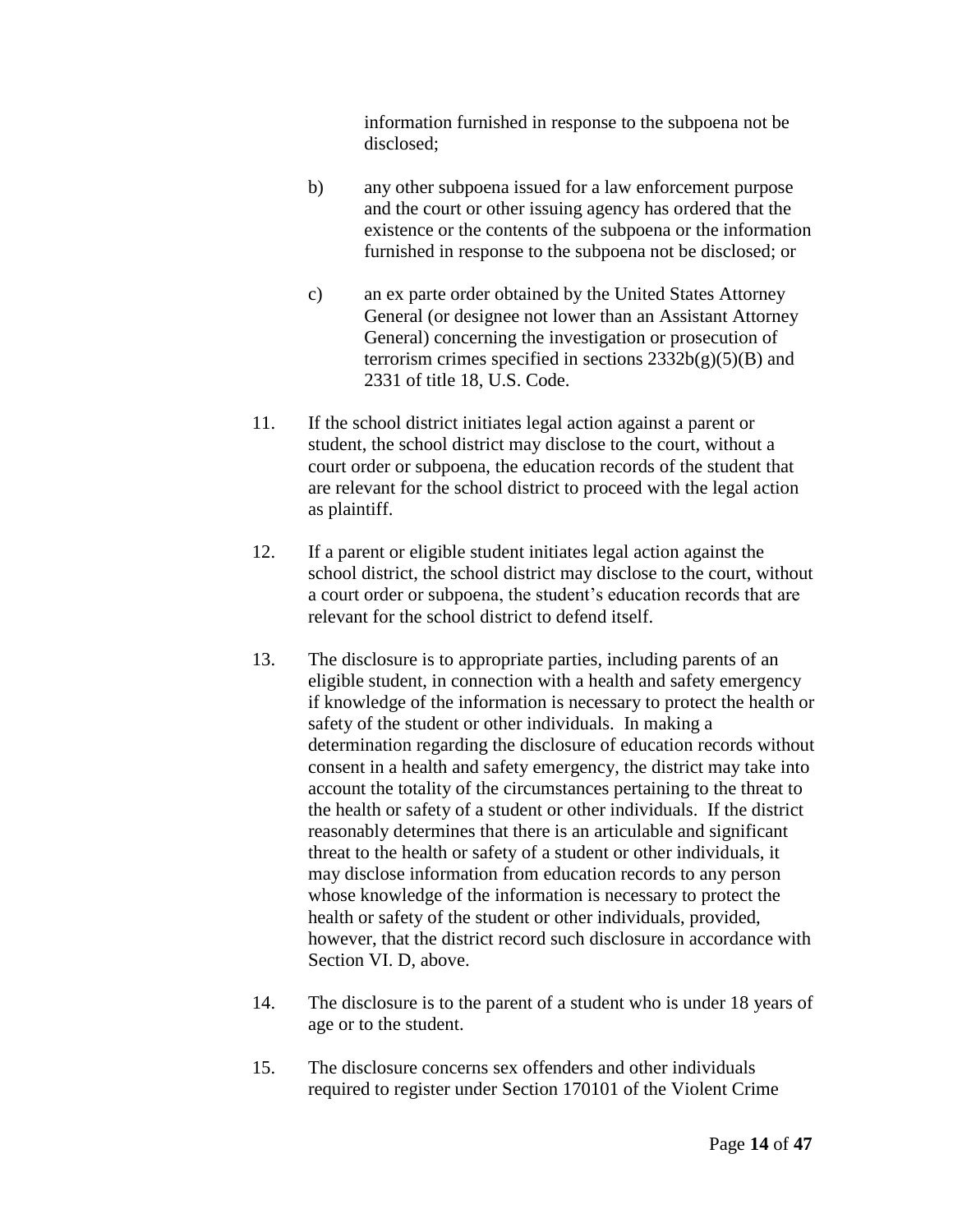information furnished in response to the subpoena not be disclosed;

- b) any other subpoena issued for a law enforcement purpose and the court or other issuing agency has ordered that the existence or the contents of the subpoena or the information furnished in response to the subpoena not be disclosed; or
- c) an ex parte order obtained by the United States Attorney General (or designee not lower than an Assistant Attorney General) concerning the investigation or prosecution of terrorism crimes specified in sections  $2332b(g)(5)(B)$  and 2331 of title 18, U.S. Code.
- 11. If the school district initiates legal action against a parent or student, the school district may disclose to the court, without a court order or subpoena, the education records of the student that are relevant for the school district to proceed with the legal action as plaintiff.
- 12. If a parent or eligible student initiates legal action against the school district, the school district may disclose to the court, without a court order or subpoena, the student's education records that are relevant for the school district to defend itself.
- 13. The disclosure is to appropriate parties, including parents of an eligible student, in connection with a health and safety emergency if knowledge of the information is necessary to protect the health or safety of the student or other individuals. In making a determination regarding the disclosure of education records without consent in a health and safety emergency, the district may take into account the totality of the circumstances pertaining to the threat to the health or safety of a student or other individuals. If the district reasonably determines that there is an articulable and significant threat to the health or safety of a student or other individuals, it may disclose information from education records to any person whose knowledge of the information is necessary to protect the health or safety of the student or other individuals, provided, however, that the district record such disclosure in accordance with Section VI. D, above.
- 14. The disclosure is to the parent of a student who is under 18 years of age or to the student.
- 15. The disclosure concerns sex offenders and other individuals required to register under Section 170101 of the Violent Crime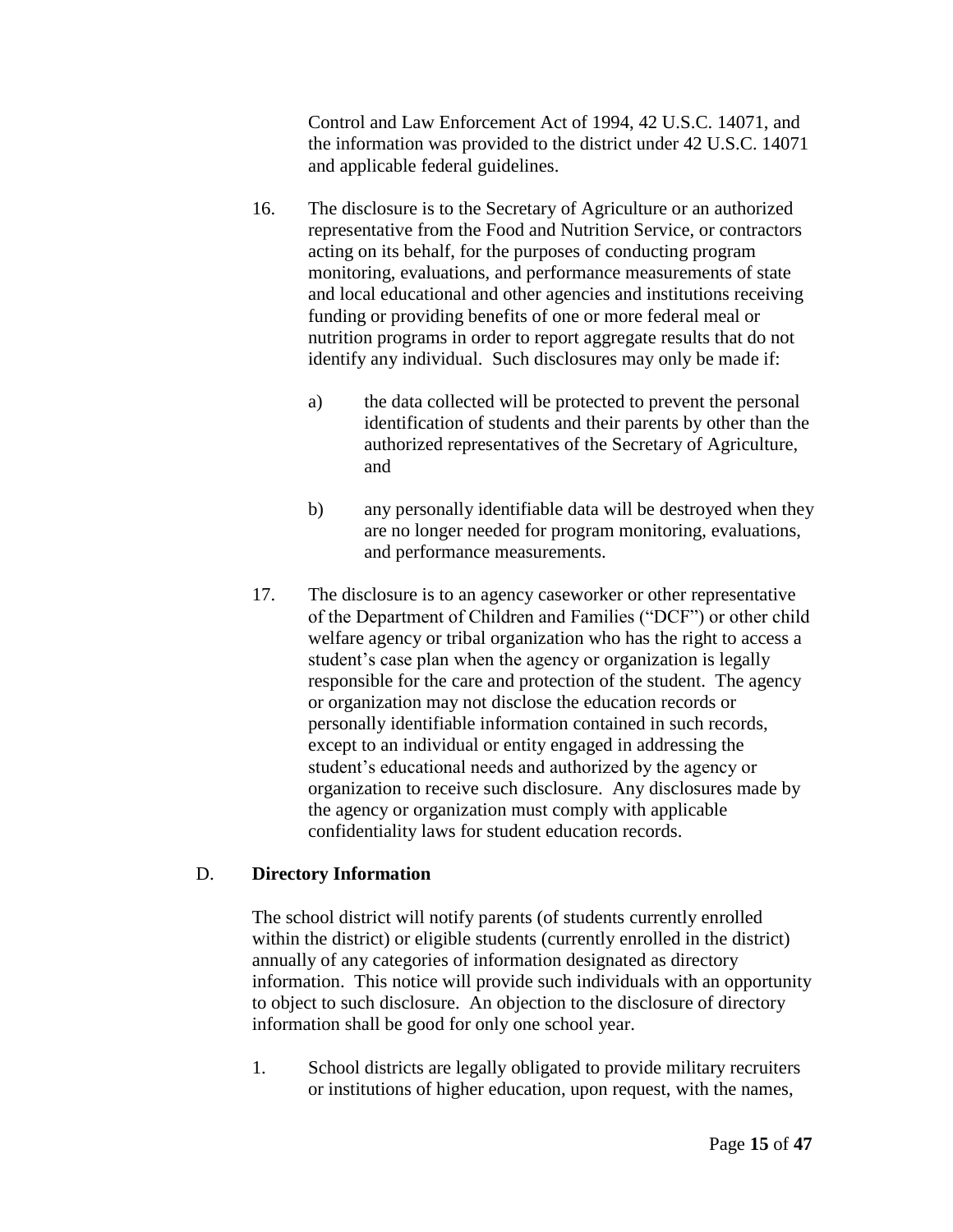Control and Law Enforcement Act of 1994, 42 U.S.C. 14071, and the information was provided to the district under 42 U.S.C. 14071 and applicable federal guidelines.

- 16. The disclosure is to the Secretary of Agriculture or an authorized representative from the Food and Nutrition Service, or contractors acting on its behalf, for the purposes of conducting program monitoring, evaluations, and performance measurements of state and local educational and other agencies and institutions receiving funding or providing benefits of one or more federal meal or nutrition programs in order to report aggregate results that do not identify any individual. Such disclosures may only be made if:
	- a) the data collected will be protected to prevent the personal identification of students and their parents by other than the authorized representatives of the Secretary of Agriculture, and
	- b) any personally identifiable data will be destroyed when they are no longer needed for program monitoring, evaluations, and performance measurements.
- 17. The disclosure is to an agency caseworker or other representative of the Department of Children and Families ("DCF") or other child welfare agency or tribal organization who has the right to access a student's case plan when the agency or organization is legally responsible for the care and protection of the student. The agency or organization may not disclose the education records or personally identifiable information contained in such records, except to an individual or entity engaged in addressing the student's educational needs and authorized by the agency or organization to receive such disclosure. Any disclosures made by the agency or organization must comply with applicable confidentiality laws for student education records.

### D. **Directory Information**

The school district will notify parents (of students currently enrolled within the district) or eligible students (currently enrolled in the district) annually of any categories of information designated as directory information. This notice will provide such individuals with an opportunity to object to such disclosure. An objection to the disclosure of directory information shall be good for only one school year.

1. School districts are legally obligated to provide military recruiters or institutions of higher education, upon request, with the names,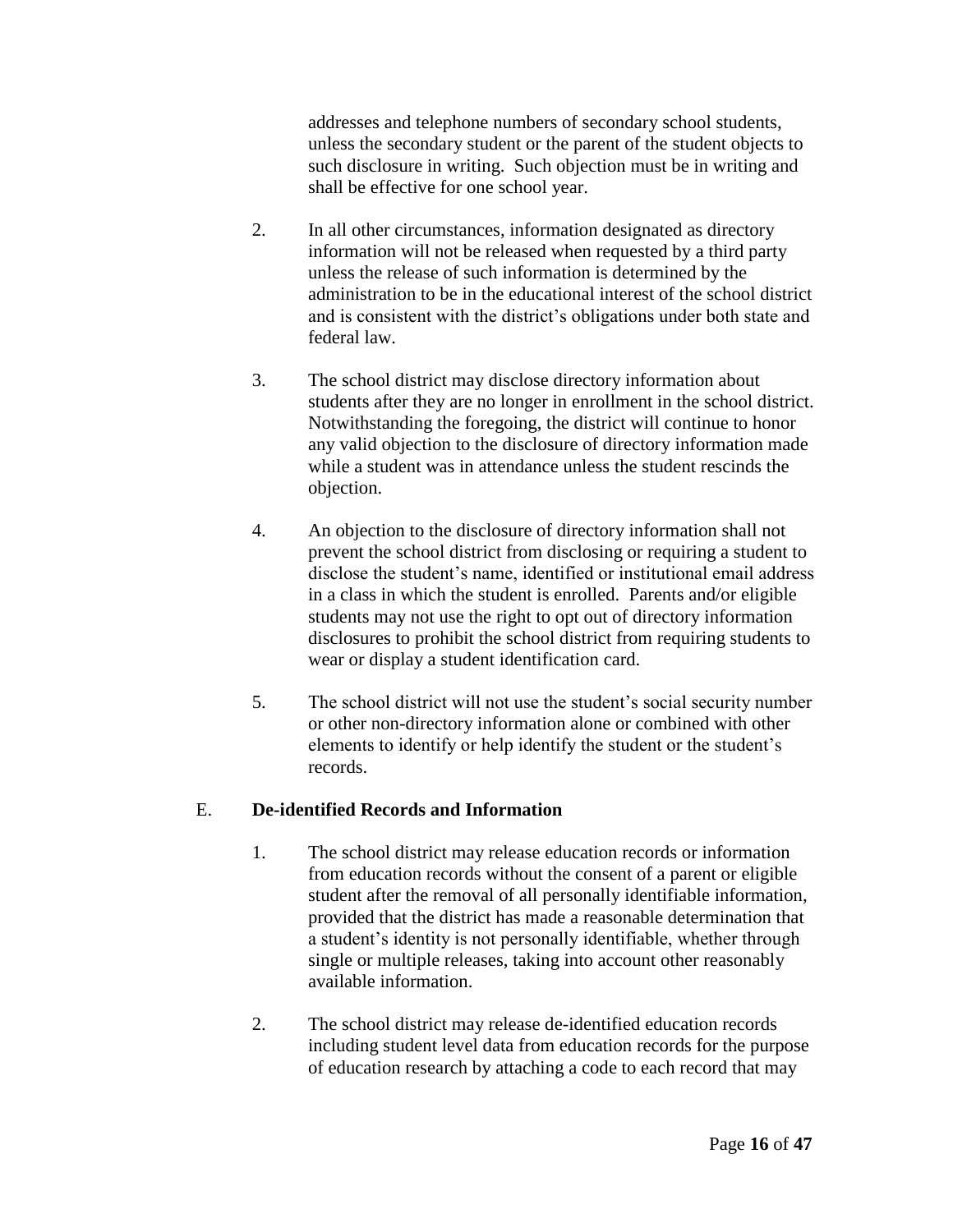addresses and telephone numbers of secondary school students, unless the secondary student or the parent of the student objects to such disclosure in writing. Such objection must be in writing and shall be effective for one school year.

- 2. In all other circumstances, information designated as directory information will not be released when requested by a third party unless the release of such information is determined by the administration to be in the educational interest of the school district and is consistent with the district's obligations under both state and federal law.
- 3. The school district may disclose directory information about students after they are no longer in enrollment in the school district. Notwithstanding the foregoing, the district will continue to honor any valid objection to the disclosure of directory information made while a student was in attendance unless the student rescinds the objection.
- 4. An objection to the disclosure of directory information shall not prevent the school district from disclosing or requiring a student to disclose the student's name, identified or institutional email address in a class in which the student is enrolled. Parents and/or eligible students may not use the right to opt out of directory information disclosures to prohibit the school district from requiring students to wear or display a student identification card.
- 5. The school district will not use the student's social security number or other non-directory information alone or combined with other elements to identify or help identify the student or the student's records.

# E. **De-identified Records and Information**

- 1. The school district may release education records or information from education records without the consent of a parent or eligible student after the removal of all personally identifiable information, provided that the district has made a reasonable determination that a student's identity is not personally identifiable, whether through single or multiple releases, taking into account other reasonably available information.
- 2. The school district may release de-identified education records including student level data from education records for the purpose of education research by attaching a code to each record that may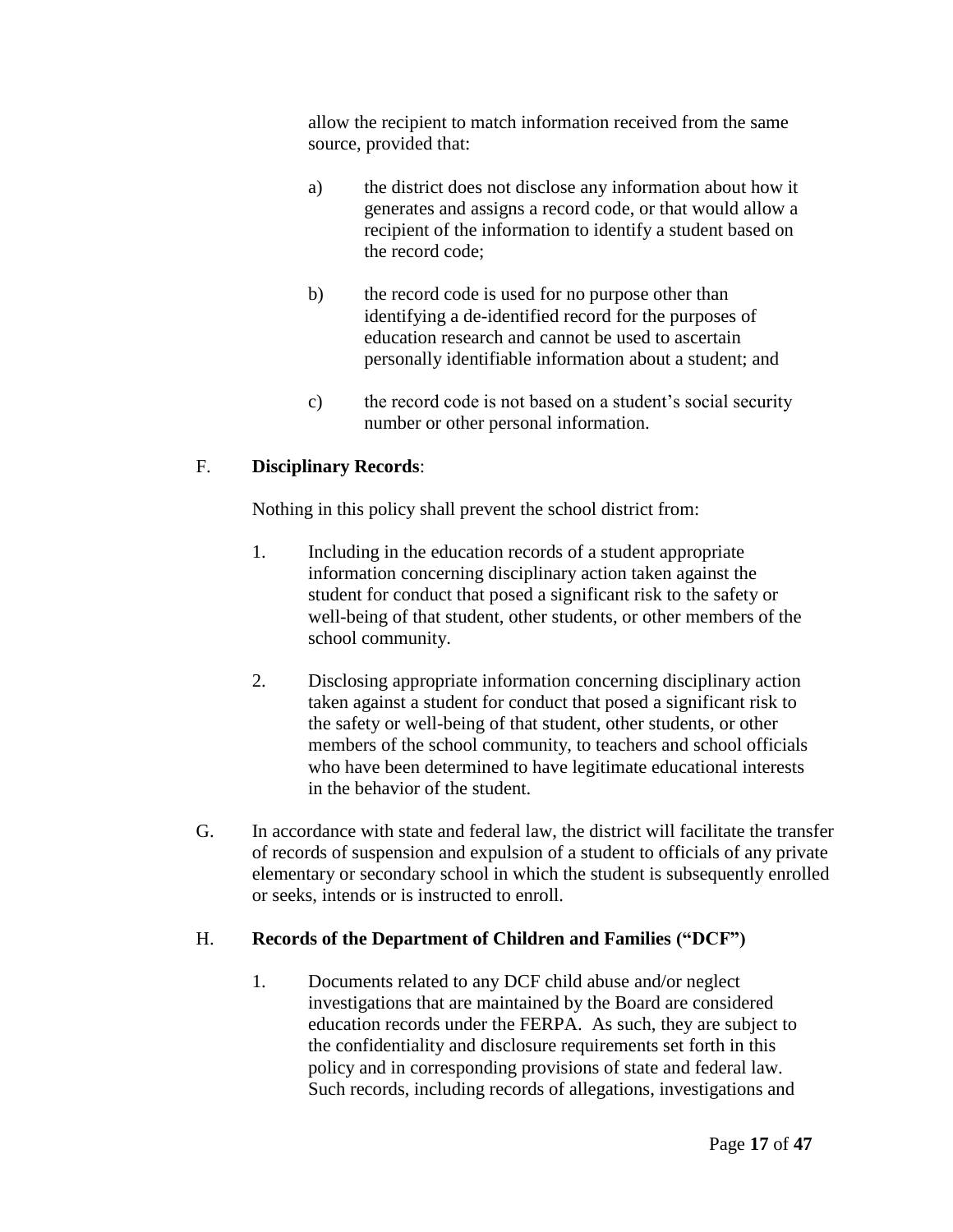allow the recipient to match information received from the same source, provided that:

- a) the district does not disclose any information about how it generates and assigns a record code, or that would allow a recipient of the information to identify a student based on the record code;
- b) the record code is used for no purpose other than identifying a de-identified record for the purposes of education research and cannot be used to ascertain personally identifiable information about a student; and
- c) the record code is not based on a student's social security number or other personal information.

## F. **Disciplinary Records**:

Nothing in this policy shall prevent the school district from:

- 1. Including in the education records of a student appropriate information concerning disciplinary action taken against the student for conduct that posed a significant risk to the safety or well-being of that student, other students, or other members of the school community.
- 2. Disclosing appropriate information concerning disciplinary action taken against a student for conduct that posed a significant risk to the safety or well-being of that student, other students, or other members of the school community, to teachers and school officials who have been determined to have legitimate educational interests in the behavior of the student.
- G. In accordance with state and federal law, the district will facilitate the transfer of records of suspension and expulsion of a student to officials of any private elementary or secondary school in which the student is subsequently enrolled or seeks, intends or is instructed to enroll.

### H. **Records of the Department of Children and Families ("DCF")**

1. Documents related to any DCF child abuse and/or neglect investigations that are maintained by the Board are considered education records under the FERPA. As such, they are subject to the confidentiality and disclosure requirements set forth in this policy and in corresponding provisions of state and federal law. Such records, including records of allegations, investigations and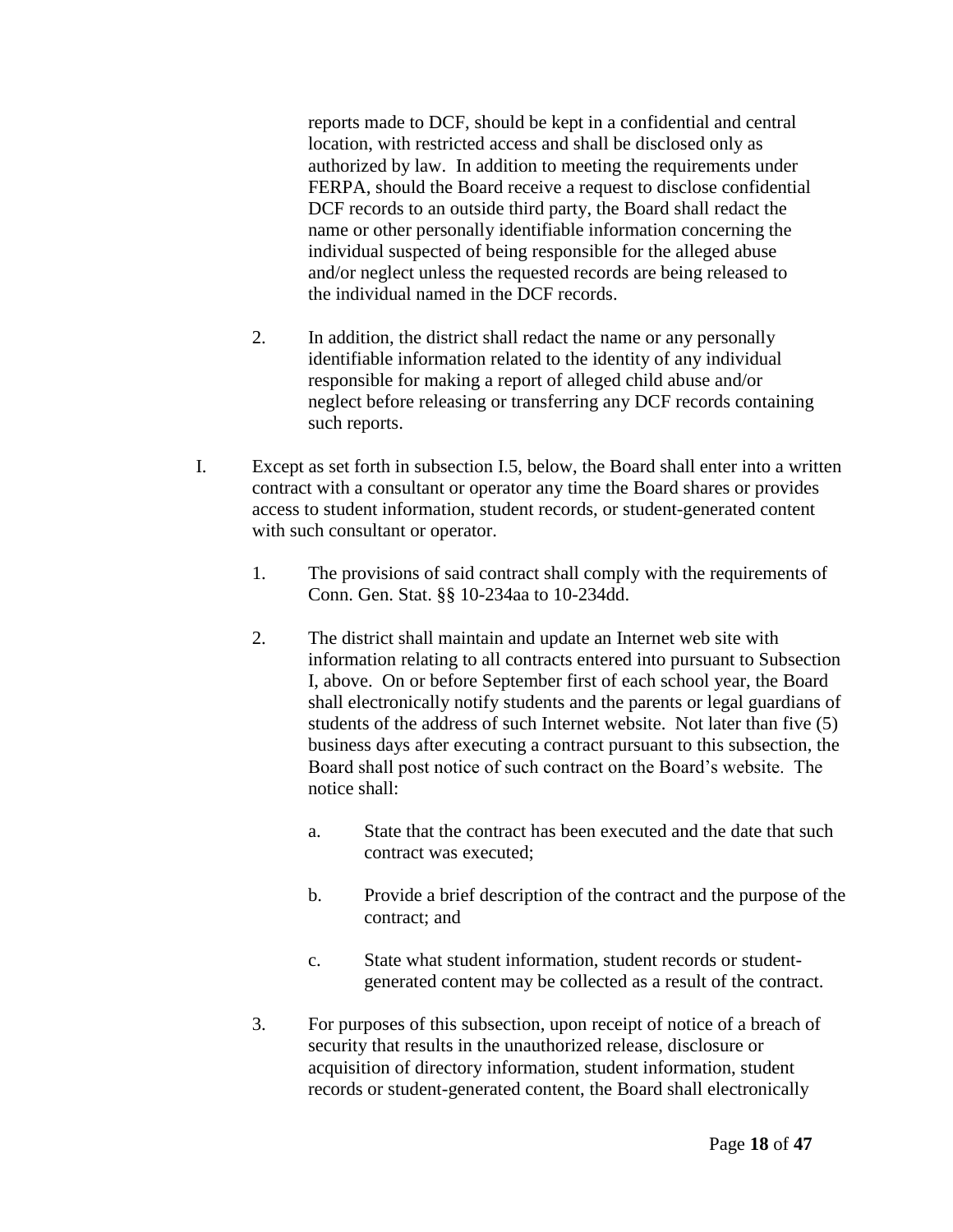reports made to DCF, should be kept in a confidential and central location, with restricted access and shall be disclosed only as authorized by law. In addition to meeting the requirements under FERPA, should the Board receive a request to disclose confidential DCF records to an outside third party, the Board shall redact the name or other personally identifiable information concerning the individual suspected of being responsible for the alleged abuse and/or neglect unless the requested records are being released to the individual named in the DCF records.

- 2. In addition, the district shall redact the name or any personally identifiable information related to the identity of any individual responsible for making a report of alleged child abuse and/or neglect before releasing or transferring any DCF records containing such reports.
- I. Except as set forth in subsection I.5, below, the Board shall enter into a written contract with a consultant or operator any time the Board shares or provides access to student information, student records, or student-generated content with such consultant or operator.
	- 1. The provisions of said contract shall comply with the requirements of Conn. Gen. Stat. §§ 10-234aa to 10-234dd.
	- 2. The district shall maintain and update an Internet web site with information relating to all contracts entered into pursuant to Subsection I, above. On or before September first of each school year, the Board shall electronically notify students and the parents or legal guardians of students of the address of such Internet website. Not later than five (5) business days after executing a contract pursuant to this subsection, the Board shall post notice of such contract on the Board's website. The notice shall:
		- a. State that the contract has been executed and the date that such contract was executed;
		- b. Provide a brief description of the contract and the purpose of the contract; and
		- c. State what student information, student records or studentgenerated content may be collected as a result of the contract.
	- 3. For purposes of this subsection, upon receipt of notice of a breach of security that results in the unauthorized release, disclosure or acquisition of directory information, student information, student records or student-generated content, the Board shall electronically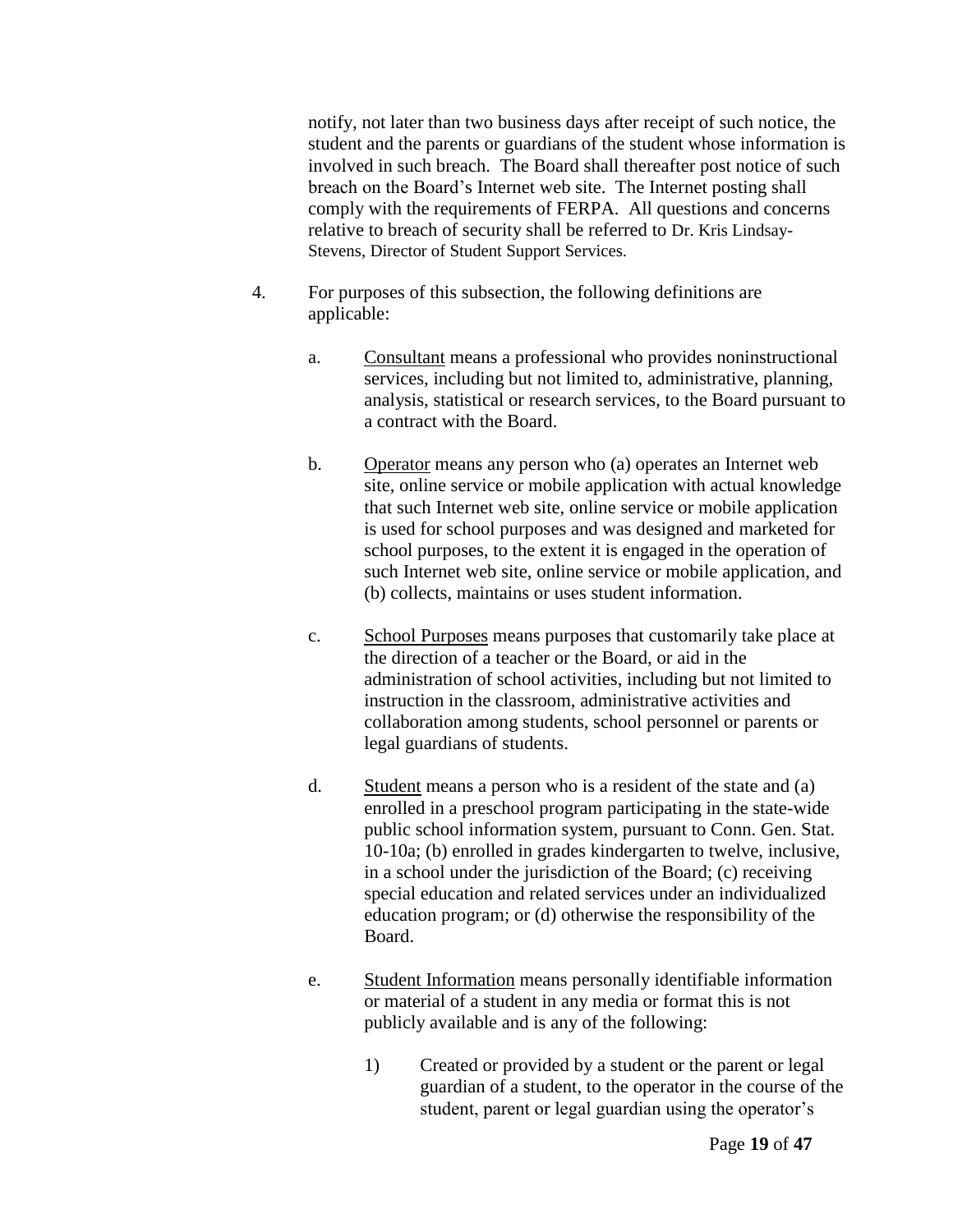notify, not later than two business days after receipt of such notice, the student and the parents or guardians of the student whose information is involved in such breach. The Board shall thereafter post notice of such breach on the Board's Internet web site. The Internet posting shall comply with the requirements of FERPA. All questions and concerns relative to breach of security shall be referred to Dr. Kris Lindsay-Stevens, Director of Student Support Services.

- 4. For purposes of this subsection, the following definitions are applicable:
	- a. Consultant means a professional who provides noninstructional services, including but not limited to, administrative, planning, analysis, statistical or research services, to the Board pursuant to a contract with the Board.
	- b. Operator means any person who (a) operates an Internet web site, online service or mobile application with actual knowledge that such Internet web site, online service or mobile application is used for school purposes and was designed and marketed for school purposes, to the extent it is engaged in the operation of such Internet web site, online service or mobile application, and (b) collects, maintains or uses student information.
	- c. School Purposes means purposes that customarily take place at the direction of a teacher or the Board, or aid in the administration of school activities, including but not limited to instruction in the classroom, administrative activities and collaboration among students, school personnel or parents or legal guardians of students.
	- d. Student means a person who is a resident of the state and (a) enrolled in a preschool program participating in the state-wide public school information system, pursuant to Conn. Gen. Stat. 10-10a; (b) enrolled in grades kindergarten to twelve, inclusive, in a school under the jurisdiction of the Board; (c) receiving special education and related services under an individualized education program; or (d) otherwise the responsibility of the Board.
	- e. Student Information means personally identifiable information or material of a student in any media or format this is not publicly available and is any of the following:
		- 1) Created or provided by a student or the parent or legal guardian of a student, to the operator in the course of the student, parent or legal guardian using the operator's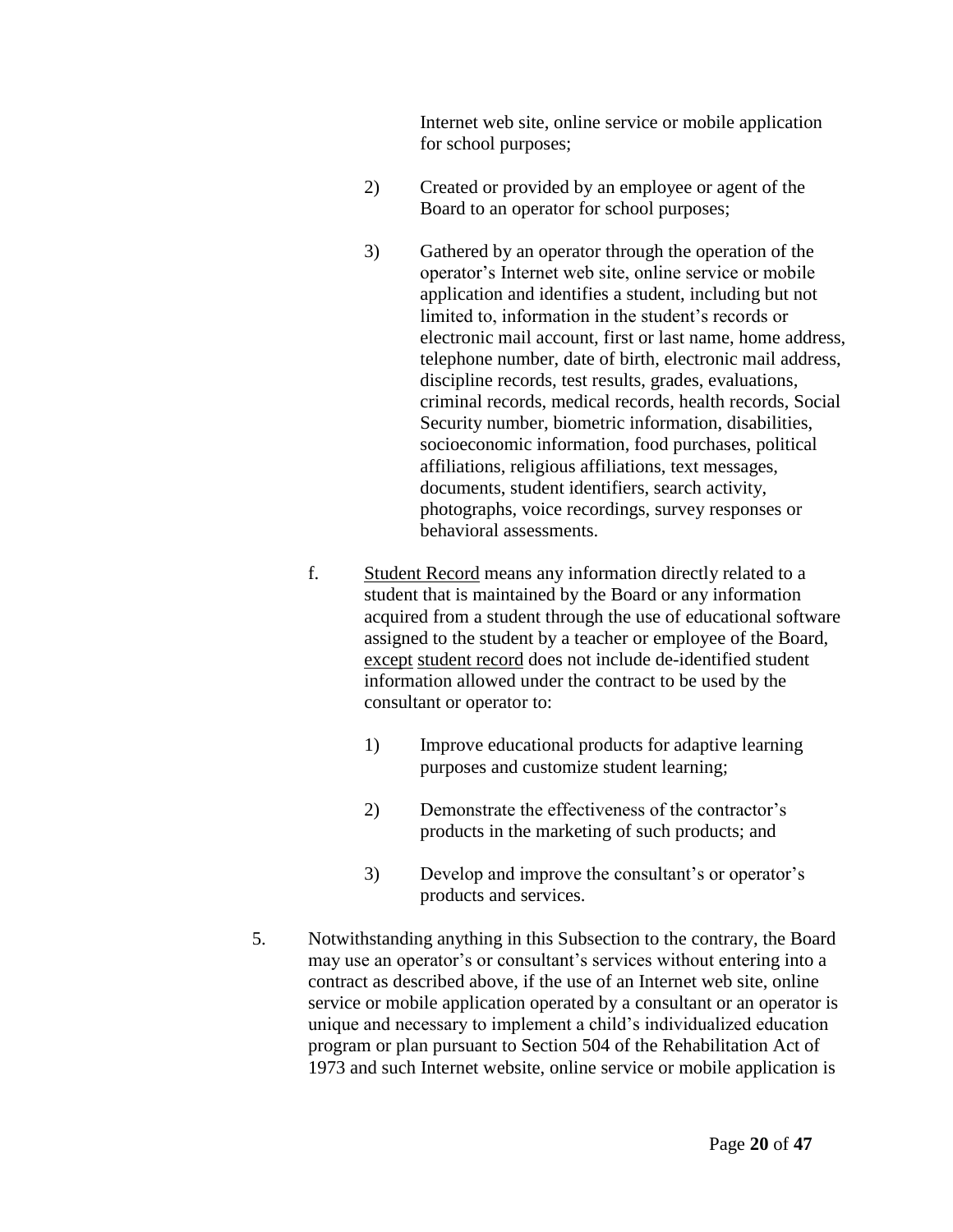Internet web site, online service or mobile application for school purposes;

- 2) Created or provided by an employee or agent of the Board to an operator for school purposes;
- 3) Gathered by an operator through the operation of the operator's Internet web site, online service or mobile application and identifies a student, including but not limited to, information in the student's records or electronic mail account, first or last name, home address, telephone number, date of birth, electronic mail address, discipline records, test results, grades, evaluations, criminal records, medical records, health records, Social Security number, biometric information, disabilities, socioeconomic information, food purchases, political affiliations, religious affiliations, text messages, documents, student identifiers, search activity, photographs, voice recordings, survey responses or behavioral assessments.
- f. Student Record means any information directly related to a student that is maintained by the Board or any information acquired from a student through the use of educational software assigned to the student by a teacher or employee of the Board, except student record does not include de-identified student information allowed under the contract to be used by the consultant or operator to:
	- 1) Improve educational products for adaptive learning purposes and customize student learning;
	- 2) Demonstrate the effectiveness of the contractor's products in the marketing of such products; and
	- 3) Develop and improve the consultant's or operator's products and services.
- 5. Notwithstanding anything in this Subsection to the contrary, the Board may use an operator's or consultant's services without entering into a contract as described above, if the use of an Internet web site, online service or mobile application operated by a consultant or an operator is unique and necessary to implement a child's individualized education program or plan pursuant to Section 504 of the Rehabilitation Act of 1973 and such Internet website, online service or mobile application is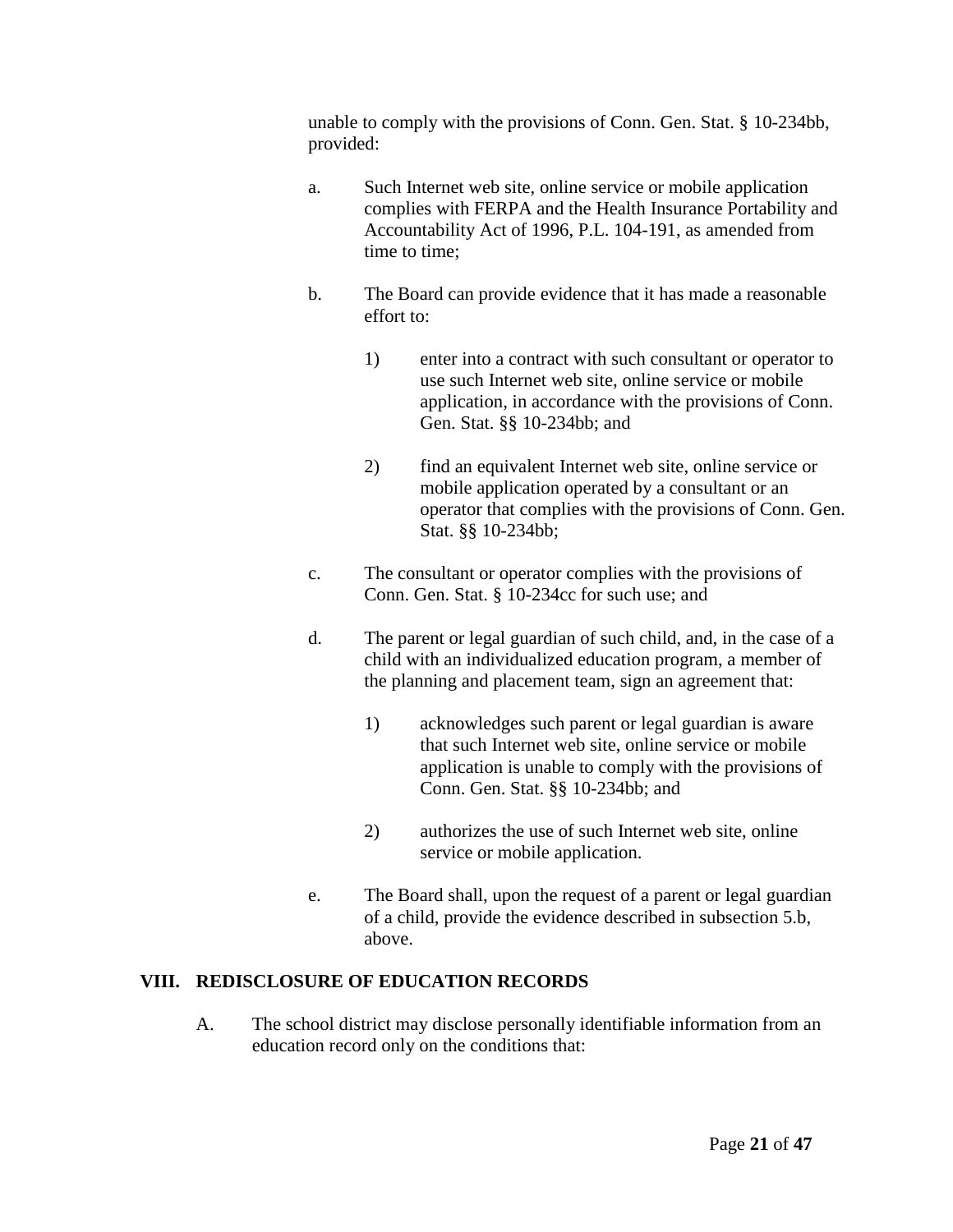unable to comply with the provisions of Conn. Gen. Stat. § 10-234bb, provided:

- a. Such Internet web site, online service or mobile application complies with FERPA and the Health Insurance Portability and Accountability Act of 1996, P.L. 104-191, as amended from time to time;
- b. The Board can provide evidence that it has made a reasonable effort to:
	- 1) enter into a contract with such consultant or operator to use such Internet web site, online service or mobile application, in accordance with the provisions of Conn. Gen. Stat. §§ 10-234bb; and
	- 2) find an equivalent Internet web site, online service or mobile application operated by a consultant or an operator that complies with the provisions of Conn. Gen. Stat. §§ 10-234bb;
- c. The consultant or operator complies with the provisions of Conn. Gen. Stat. § 10-234cc for such use; and
- d. The parent or legal guardian of such child, and, in the case of a child with an individualized education program, a member of the planning and placement team, sign an agreement that:
	- 1) acknowledges such parent or legal guardian is aware that such Internet web site, online service or mobile application is unable to comply with the provisions of Conn. Gen. Stat. §§ 10-234bb; and
	- 2) authorizes the use of such Internet web site, online service or mobile application.
- e. The Board shall, upon the request of a parent or legal guardian of a child, provide the evidence described in subsection 5.b, above.

# **VIII. REDISCLOSURE OF EDUCATION RECORDS**

A. The school district may disclose personally identifiable information from an education record only on the conditions that: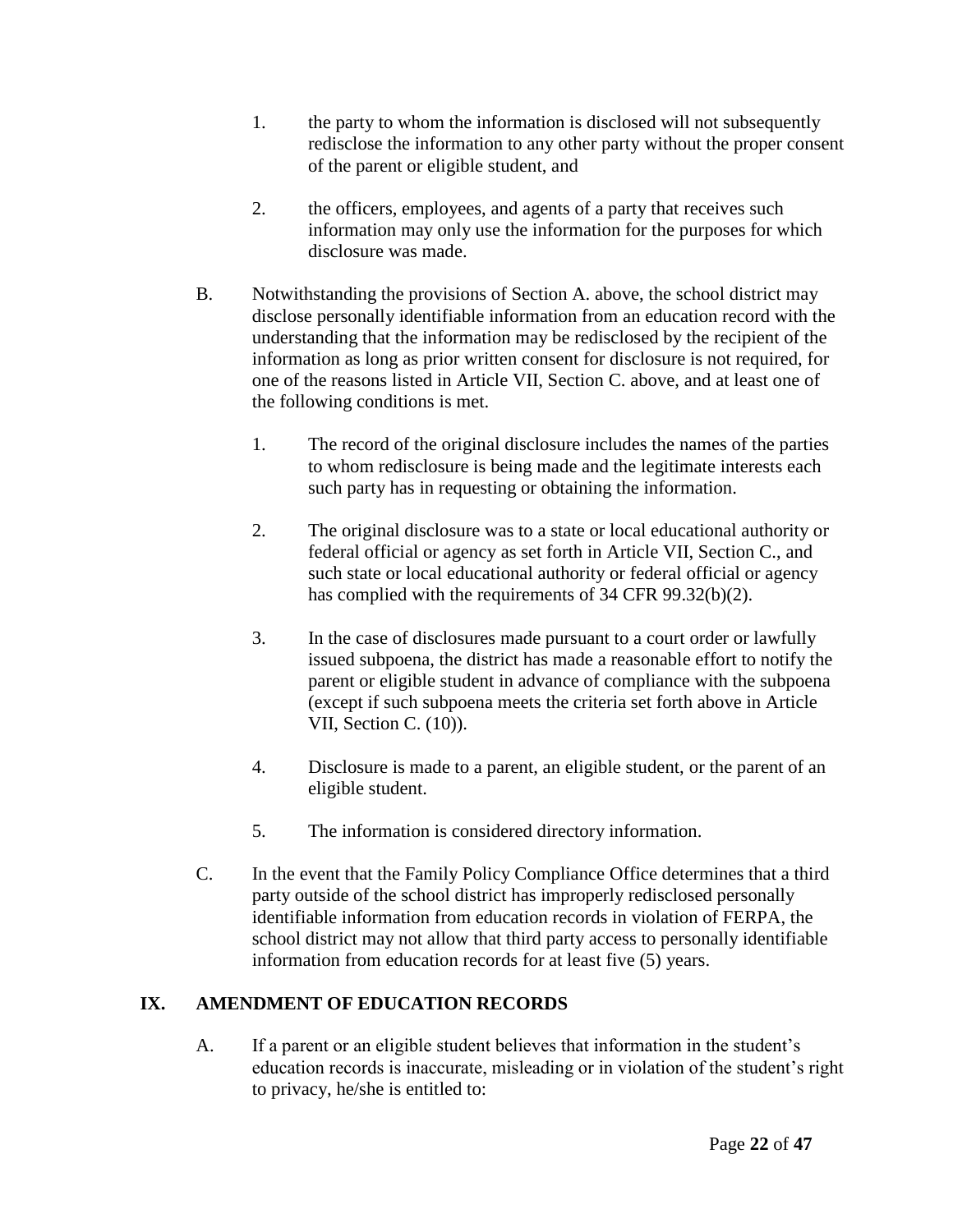- 1. the party to whom the information is disclosed will not subsequently redisclose the information to any other party without the proper consent of the parent or eligible student, and
- 2. the officers, employees, and agents of a party that receives such information may only use the information for the purposes for which disclosure was made.
- B. Notwithstanding the provisions of Section A. above, the school district may disclose personally identifiable information from an education record with the understanding that the information may be redisclosed by the recipient of the information as long as prior written consent for disclosure is not required, for one of the reasons listed in Article VII, Section C. above, and at least one of the following conditions is met.
	- 1. The record of the original disclosure includes the names of the parties to whom redisclosure is being made and the legitimate interests each such party has in requesting or obtaining the information.
	- 2. The original disclosure was to a state or local educational authority or federal official or agency as set forth in Article VII, Section C., and such state or local educational authority or federal official or agency has complied with the requirements of 34 CFR 99.32(b)(2).
	- 3. In the case of disclosures made pursuant to a court order or lawfully issued subpoena, the district has made a reasonable effort to notify the parent or eligible student in advance of compliance with the subpoena (except if such subpoena meets the criteria set forth above in Article VII, Section C. (10)).
	- 4. Disclosure is made to a parent, an eligible student, or the parent of an eligible student.
	- 5. The information is considered directory information.
- C. In the event that the Family Policy Compliance Office determines that a third party outside of the school district has improperly redisclosed personally identifiable information from education records in violation of FERPA, the school district may not allow that third party access to personally identifiable information from education records for at least five (5) years.

# **IX. AMENDMENT OF EDUCATION RECORDS**

A. If a parent or an eligible student believes that information in the student's education records is inaccurate, misleading or in violation of the student's right to privacy, he/she is entitled to: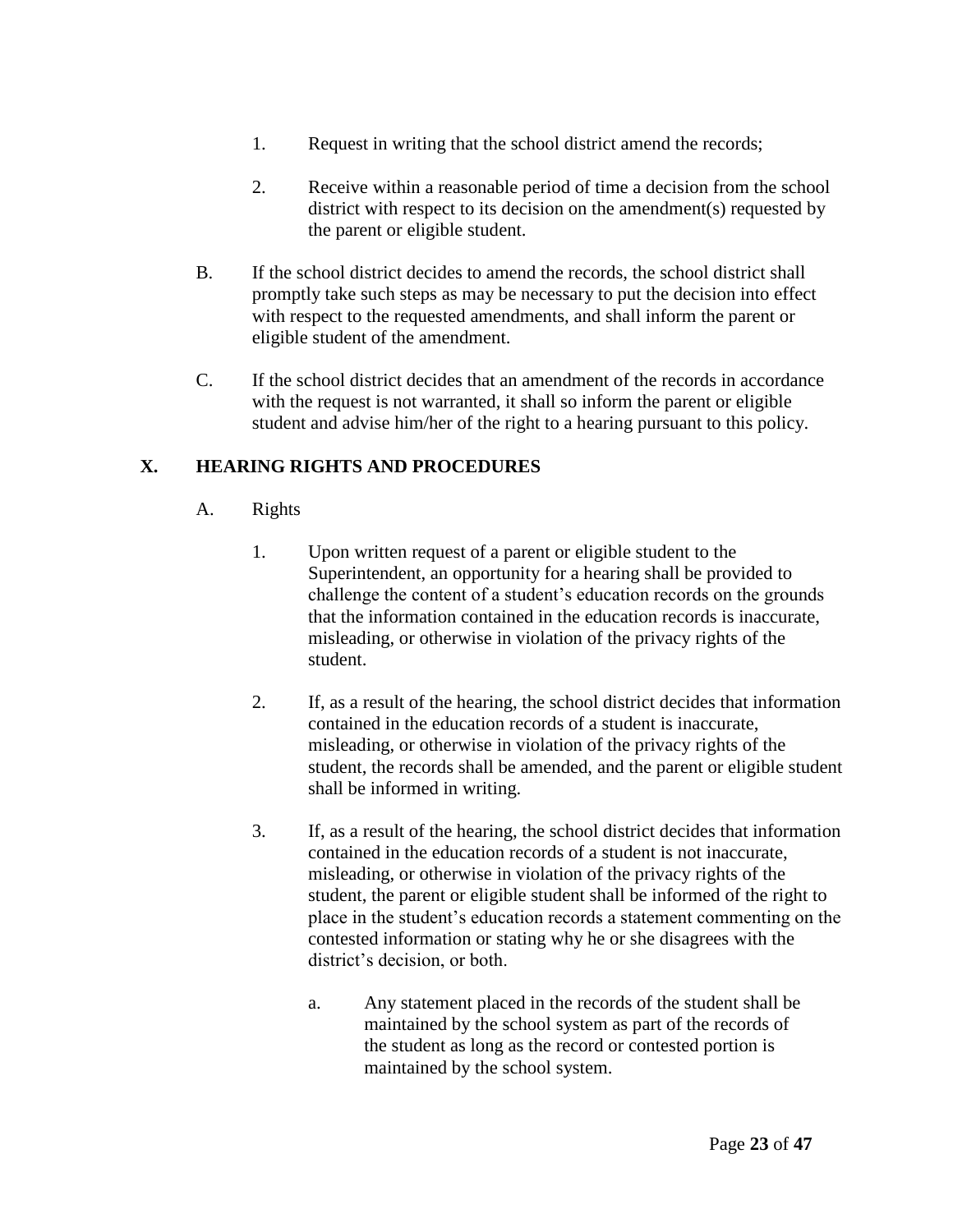- 1. Request in writing that the school district amend the records;
- 2. Receive within a reasonable period of time a decision from the school district with respect to its decision on the amendment(s) requested by the parent or eligible student.
- B. If the school district decides to amend the records, the school district shall promptly take such steps as may be necessary to put the decision into effect with respect to the requested amendments, and shall inform the parent or eligible student of the amendment.
- C. If the school district decides that an amendment of the records in accordance with the request is not warranted, it shall so inform the parent or eligible student and advise him/her of the right to a hearing pursuant to this policy.

## **X. HEARING RIGHTS AND PROCEDURES**

- A. Rights
	- 1. Upon written request of a parent or eligible student to the Superintendent, an opportunity for a hearing shall be provided to challenge the content of a student's education records on the grounds that the information contained in the education records is inaccurate, misleading, or otherwise in violation of the privacy rights of the student.
	- 2. If, as a result of the hearing, the school district decides that information contained in the education records of a student is inaccurate, misleading, or otherwise in violation of the privacy rights of the student, the records shall be amended, and the parent or eligible student shall be informed in writing.
	- 3. If, as a result of the hearing, the school district decides that information contained in the education records of a student is not inaccurate, misleading, or otherwise in violation of the privacy rights of the student, the parent or eligible student shall be informed of the right to place in the student's education records a statement commenting on the contested information or stating why he or she disagrees with the district's decision, or both.
		- a. Any statement placed in the records of the student shall be maintained by the school system as part of the records of the student as long as the record or contested portion is maintained by the school system.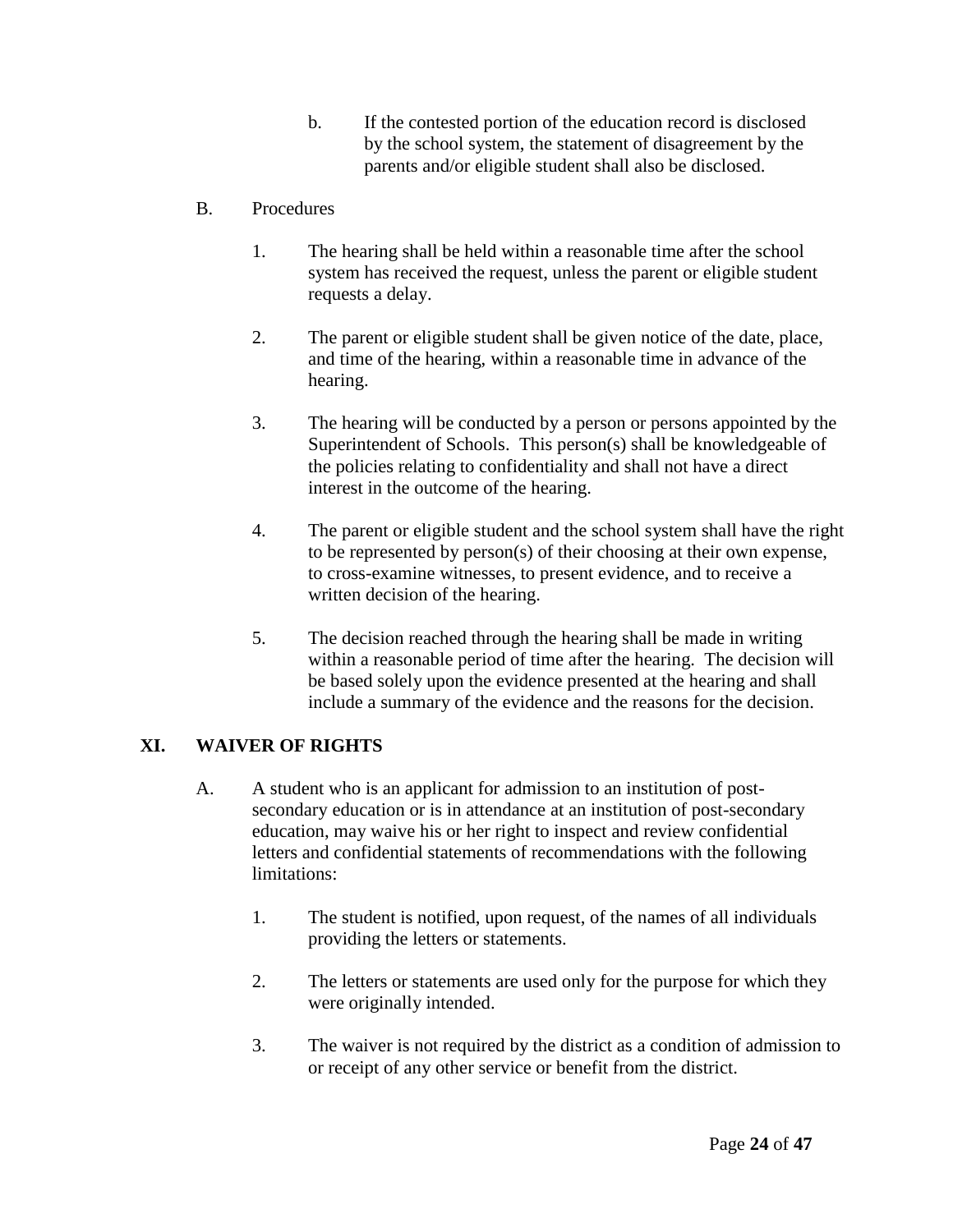b. If the contested portion of the education record is disclosed by the school system, the statement of disagreement by the parents and/or eligible student shall also be disclosed.

## B. Procedures

- 1. The hearing shall be held within a reasonable time after the school system has received the request, unless the parent or eligible student requests a delay.
- 2. The parent or eligible student shall be given notice of the date, place, and time of the hearing, within a reasonable time in advance of the hearing.
- 3. The hearing will be conducted by a person or persons appointed by the Superintendent of Schools. This person(s) shall be knowledgeable of the policies relating to confidentiality and shall not have a direct interest in the outcome of the hearing.
- 4. The parent or eligible student and the school system shall have the right to be represented by person(s) of their choosing at their own expense, to cross-examine witnesses, to present evidence, and to receive a written decision of the hearing.
- 5. The decision reached through the hearing shall be made in writing within a reasonable period of time after the hearing. The decision will be based solely upon the evidence presented at the hearing and shall include a summary of the evidence and the reasons for the decision.

# **XI. WAIVER OF RIGHTS**

- A. A student who is an applicant for admission to an institution of postsecondary education or is in attendance at an institution of post-secondary education, may waive his or her right to inspect and review confidential letters and confidential statements of recommendations with the following limitations:
	- 1. The student is notified, upon request, of the names of all individuals providing the letters or statements.
	- 2. The letters or statements are used only for the purpose for which they were originally intended.
	- 3. The waiver is not required by the district as a condition of admission to or receipt of any other service or benefit from the district.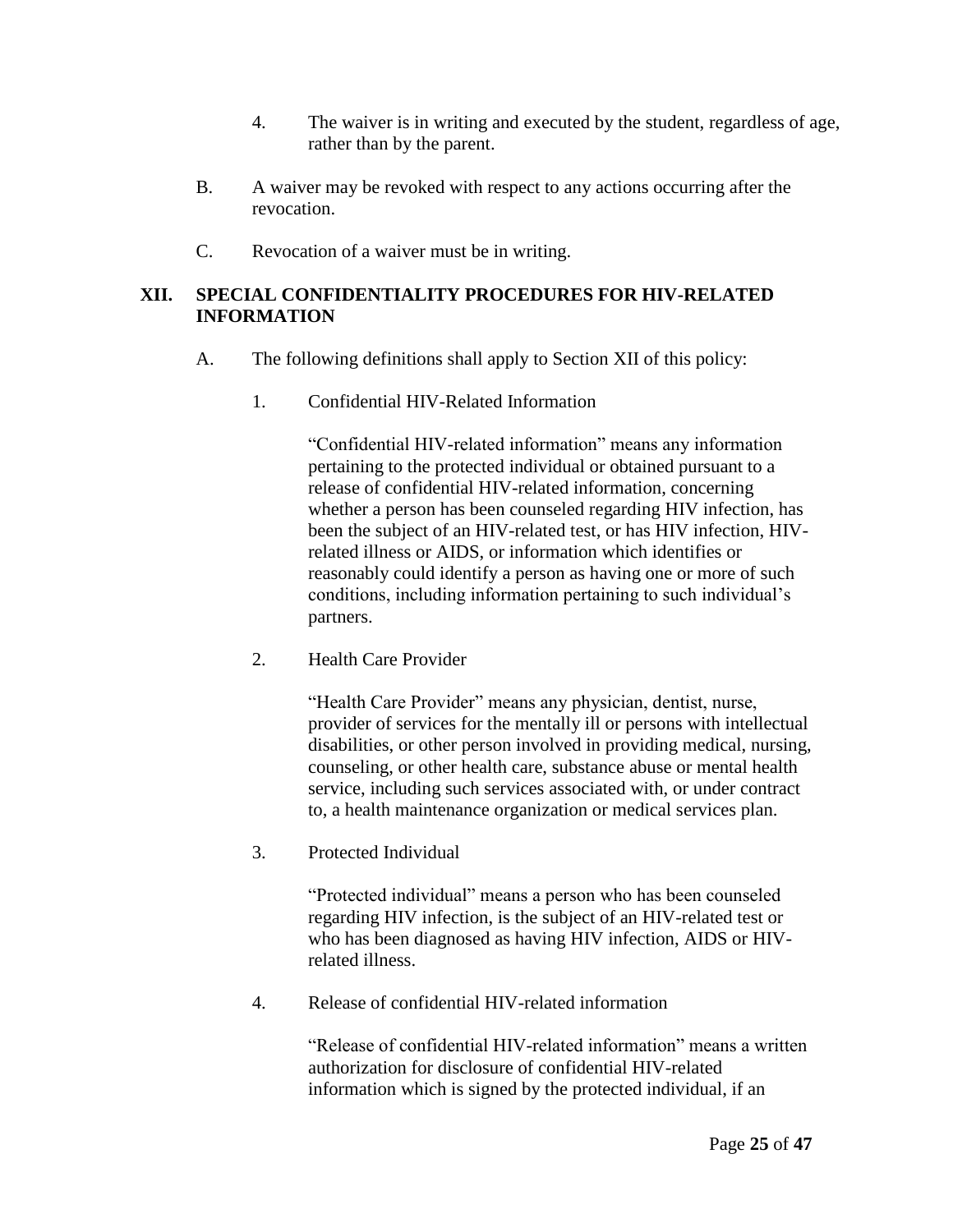- 4. The waiver is in writing and executed by the student, regardless of age, rather than by the parent.
- B. A waiver may be revoked with respect to any actions occurring after the revocation.
- C. Revocation of a waiver must be in writing.

#### **XII. SPECIAL CONFIDENTIALITY PROCEDURES FOR HIV-RELATED INFORMATION**

- A. The following definitions shall apply to Section XII of this policy:
	- 1. Confidential HIV-Related Information

"Confidential HIV-related information" means any information pertaining to the protected individual or obtained pursuant to a release of confidential HIV-related information, concerning whether a person has been counseled regarding HIV infection, has been the subject of an HIV-related test, or has HIV infection, HIVrelated illness or AIDS, or information which identifies or reasonably could identify a person as having one or more of such conditions, including information pertaining to such individual's partners.

2. Health Care Provider

"Health Care Provider" means any physician, dentist, nurse, provider of services for the mentally ill or persons with intellectual disabilities, or other person involved in providing medical, nursing, counseling, or other health care, substance abuse or mental health service, including such services associated with, or under contract to, a health maintenance organization or medical services plan.

3. Protected Individual

"Protected individual" means a person who has been counseled regarding HIV infection, is the subject of an HIV-related test or who has been diagnosed as having HIV infection, AIDS or HIVrelated illness.

4. Release of confidential HIV-related information

"Release of confidential HIV-related information" means a written authorization for disclosure of confidential HIV-related information which is signed by the protected individual, if an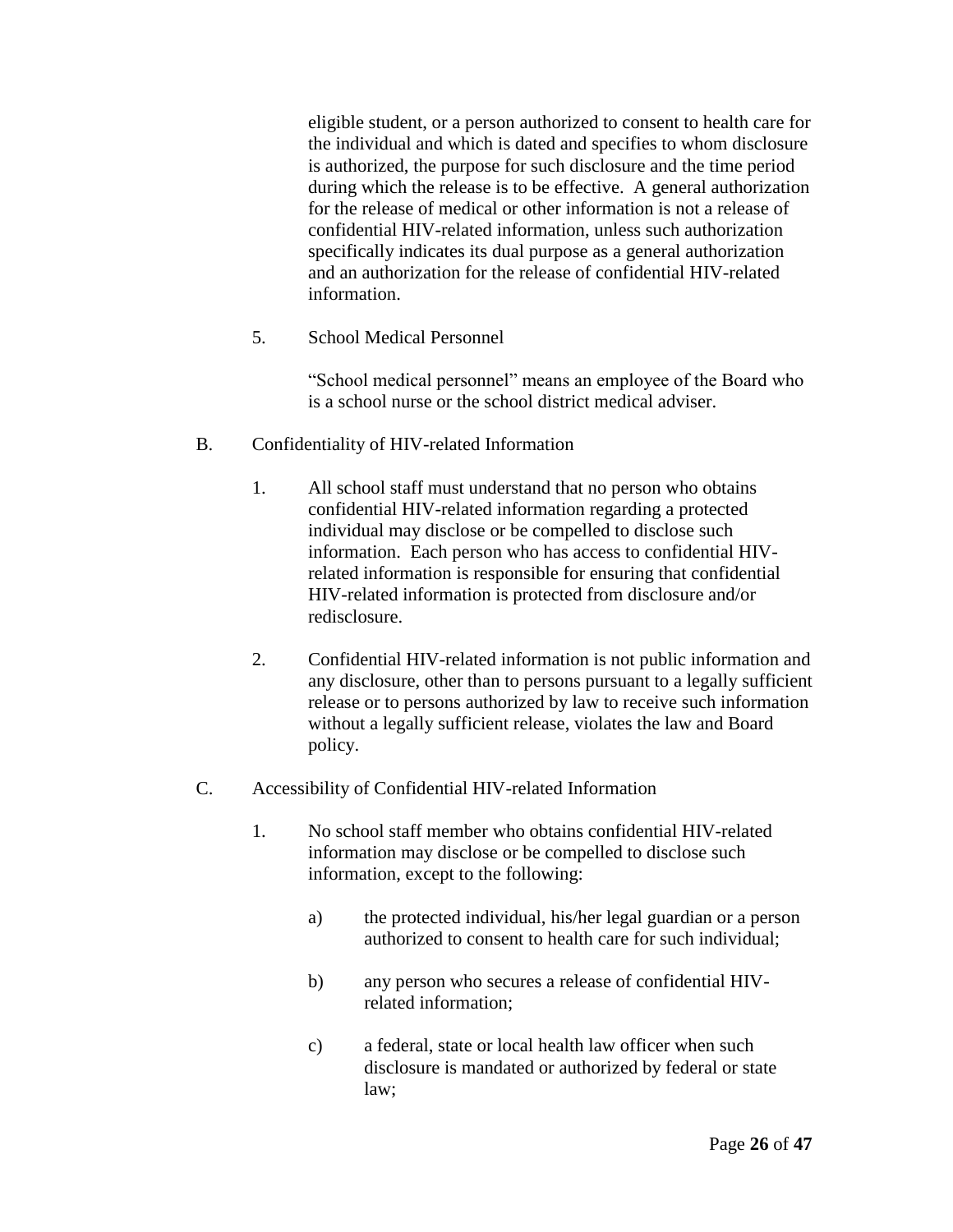eligible student, or a person authorized to consent to health care for the individual and which is dated and specifies to whom disclosure is authorized, the purpose for such disclosure and the time period during which the release is to be effective. A general authorization for the release of medical or other information is not a release of confidential HIV-related information, unless such authorization specifically indicates its dual purpose as a general authorization and an authorization for the release of confidential HIV-related information.

5. School Medical Personnel

"School medical personnel" means an employee of the Board who is a school nurse or the school district medical adviser.

- B. Confidentiality of HIV-related Information
	- 1. All school staff must understand that no person who obtains confidential HIV-related information regarding a protected individual may disclose or be compelled to disclose such information. Each person who has access to confidential HIVrelated information is responsible for ensuring that confidential HIV-related information is protected from disclosure and/or redisclosure.
	- 2. Confidential HIV-related information is not public information and any disclosure, other than to persons pursuant to a legally sufficient release or to persons authorized by law to receive such information without a legally sufficient release, violates the law and Board policy.
- C. Accessibility of Confidential HIV-related Information
	- 1. No school staff member who obtains confidential HIV-related information may disclose or be compelled to disclose such information, except to the following:
		- a) the protected individual, his/her legal guardian or a person authorized to consent to health care for such individual;
		- b) any person who secures a release of confidential HIVrelated information;
		- c) a federal, state or local health law officer when such disclosure is mandated or authorized by federal or state law;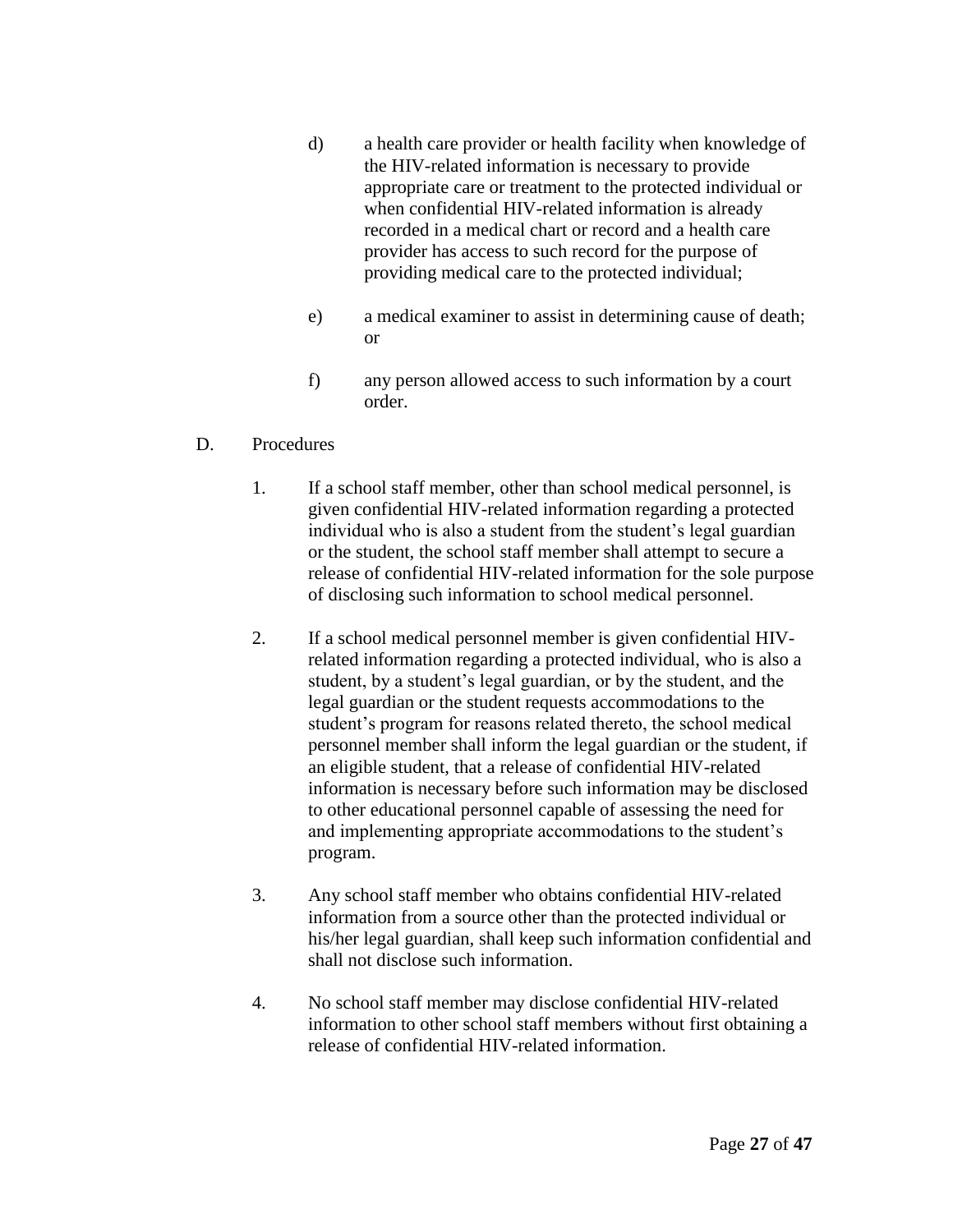- d) a health care provider or health facility when knowledge of the HIV-related information is necessary to provide appropriate care or treatment to the protected individual or when confidential HIV-related information is already recorded in a medical chart or record and a health care provider has access to such record for the purpose of providing medical care to the protected individual;
- e) a medical examiner to assist in determining cause of death; or
- f) any person allowed access to such information by a court order.

## D. Procedures

- 1. If a school staff member, other than school medical personnel, is given confidential HIV-related information regarding a protected individual who is also a student from the student's legal guardian or the student, the school staff member shall attempt to secure a release of confidential HIV-related information for the sole purpose of disclosing such information to school medical personnel.
- 2. If a school medical personnel member is given confidential HIVrelated information regarding a protected individual, who is also a student, by a student's legal guardian, or by the student, and the legal guardian or the student requests accommodations to the student's program for reasons related thereto, the school medical personnel member shall inform the legal guardian or the student, if an eligible student, that a release of confidential HIV-related information is necessary before such information may be disclosed to other educational personnel capable of assessing the need for and implementing appropriate accommodations to the student's program.
- 3. Any school staff member who obtains confidential HIV-related information from a source other than the protected individual or his/her legal guardian, shall keep such information confidential and shall not disclose such information.
- 4. No school staff member may disclose confidential HIV-related information to other school staff members without first obtaining a release of confidential HIV-related information.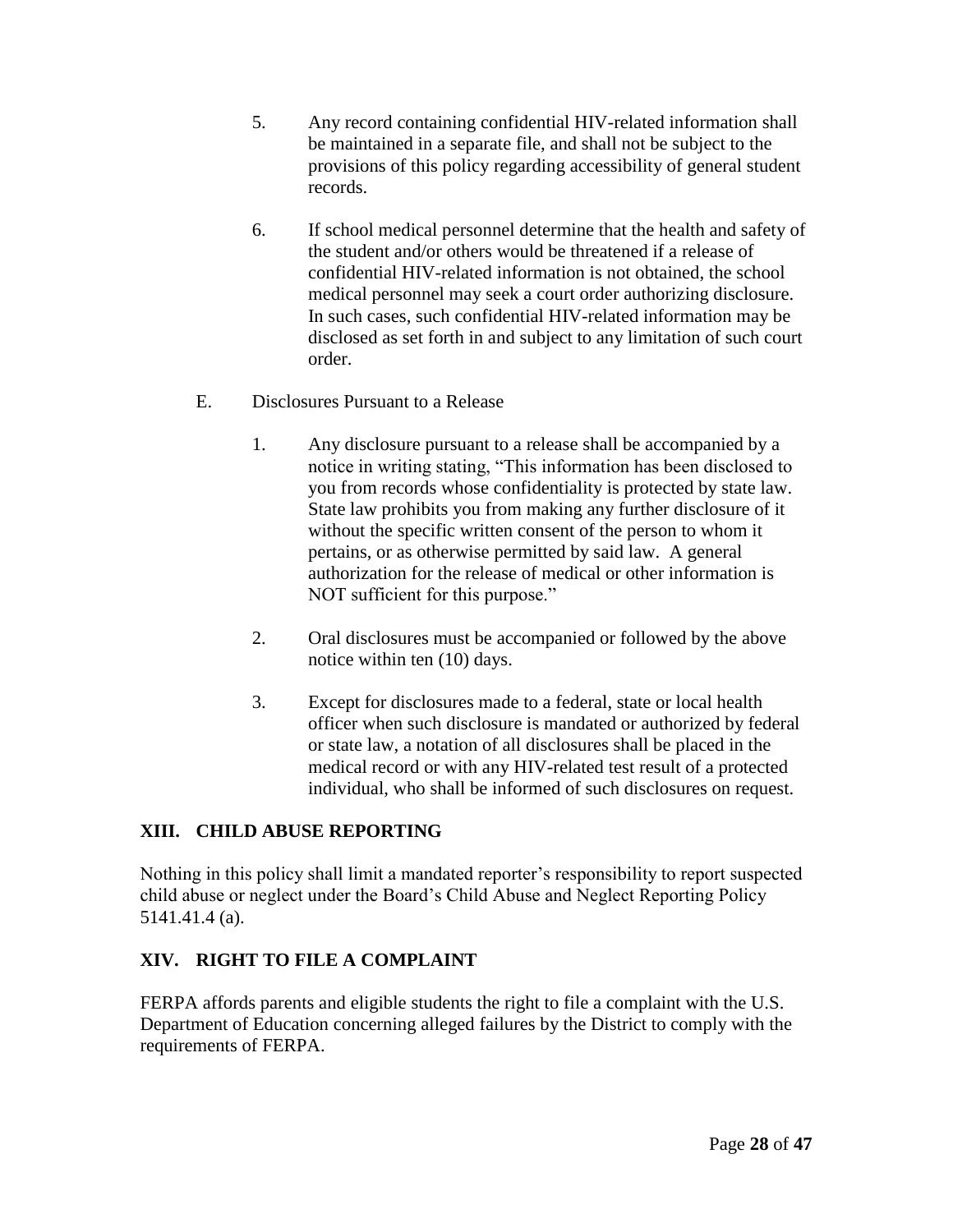- 5. Any record containing confidential HIV-related information shall be maintained in a separate file, and shall not be subject to the provisions of this policy regarding accessibility of general student records.
- 6. If school medical personnel determine that the health and safety of the student and/or others would be threatened if a release of confidential HIV-related information is not obtained, the school medical personnel may seek a court order authorizing disclosure. In such cases, such confidential HIV-related information may be disclosed as set forth in and subject to any limitation of such court order.
- E. Disclosures Pursuant to a Release
	- 1. Any disclosure pursuant to a release shall be accompanied by a notice in writing stating, "This information has been disclosed to you from records whose confidentiality is protected by state law. State law prohibits you from making any further disclosure of it without the specific written consent of the person to whom it pertains, or as otherwise permitted by said law. A general authorization for the release of medical or other information is NOT sufficient for this purpose."
	- 2. Oral disclosures must be accompanied or followed by the above notice within ten (10) days.
	- 3. Except for disclosures made to a federal, state or local health officer when such disclosure is mandated or authorized by federal or state law, a notation of all disclosures shall be placed in the medical record or with any HIV-related test result of a protected individual, who shall be informed of such disclosures on request.

# **XIII. CHILD ABUSE REPORTING**

Nothing in this policy shall limit a mandated reporter's responsibility to report suspected child abuse or neglect under the Board's Child Abuse and Neglect Reporting Policy 5141.41.4 (a).

# **XIV. RIGHT TO FILE A COMPLAINT**

FERPA affords parents and eligible students the right to file a complaint with the U.S. Department of Education concerning alleged failures by the District to comply with the requirements of FERPA.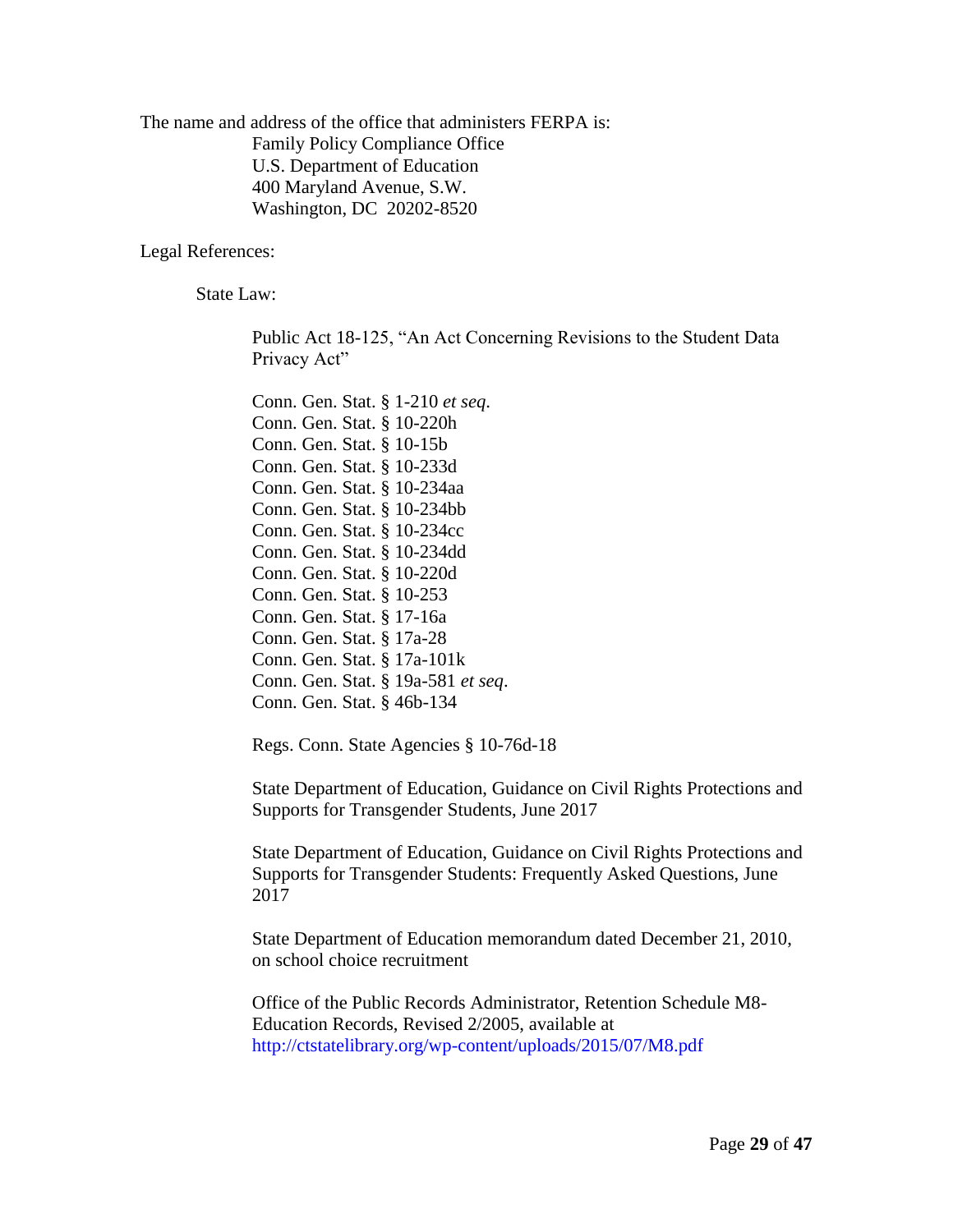The name and address of the office that administers FERPA is: Family Policy Compliance Office U.S. Department of Education 400 Maryland Avenue, S.W. Washington, DC 20202-8520

Legal References:

State Law:

Public Act 18-125, "An Act Concerning Revisions to the Student Data Privacy Act"

Conn. Gen. Stat. § 1-210 *et seq*. Conn. Gen. Stat. § 10-220h Conn. Gen. Stat. § 10-15b Conn. Gen. Stat. § 10-233d Conn. Gen. Stat. § 10-234aa Conn. Gen. Stat. § 10-234bb Conn. Gen. Stat. § 10-234cc Conn. Gen. Stat. § 10-234dd Conn. Gen. Stat. § 10-220d Conn. Gen. Stat. § 10-253 Conn. Gen. Stat. § 17-16a Conn. Gen. Stat. § 17a-28 Conn. Gen. Stat. § 17a-101k Conn. Gen. Stat. § 19a-581 *et seq*. Conn. Gen. Stat. § 46b-134

Regs. Conn. State Agencies § 10-76d-18

State Department of Education, Guidance on Civil Rights Protections and Supports for Transgender Students, June 2017

State Department of Education, Guidance on Civil Rights Protections and Supports for Transgender Students: Frequently Asked Questions, June 2017

State Department of Education memorandum dated December 21, 2010, on school choice recruitment

Office of the Public Records Administrator, Retention Schedule M8- Education Records, Revised 2/2005, available at <http://ctstatelibrary.org/wp-content/uploads/2015/07/M8.pdf>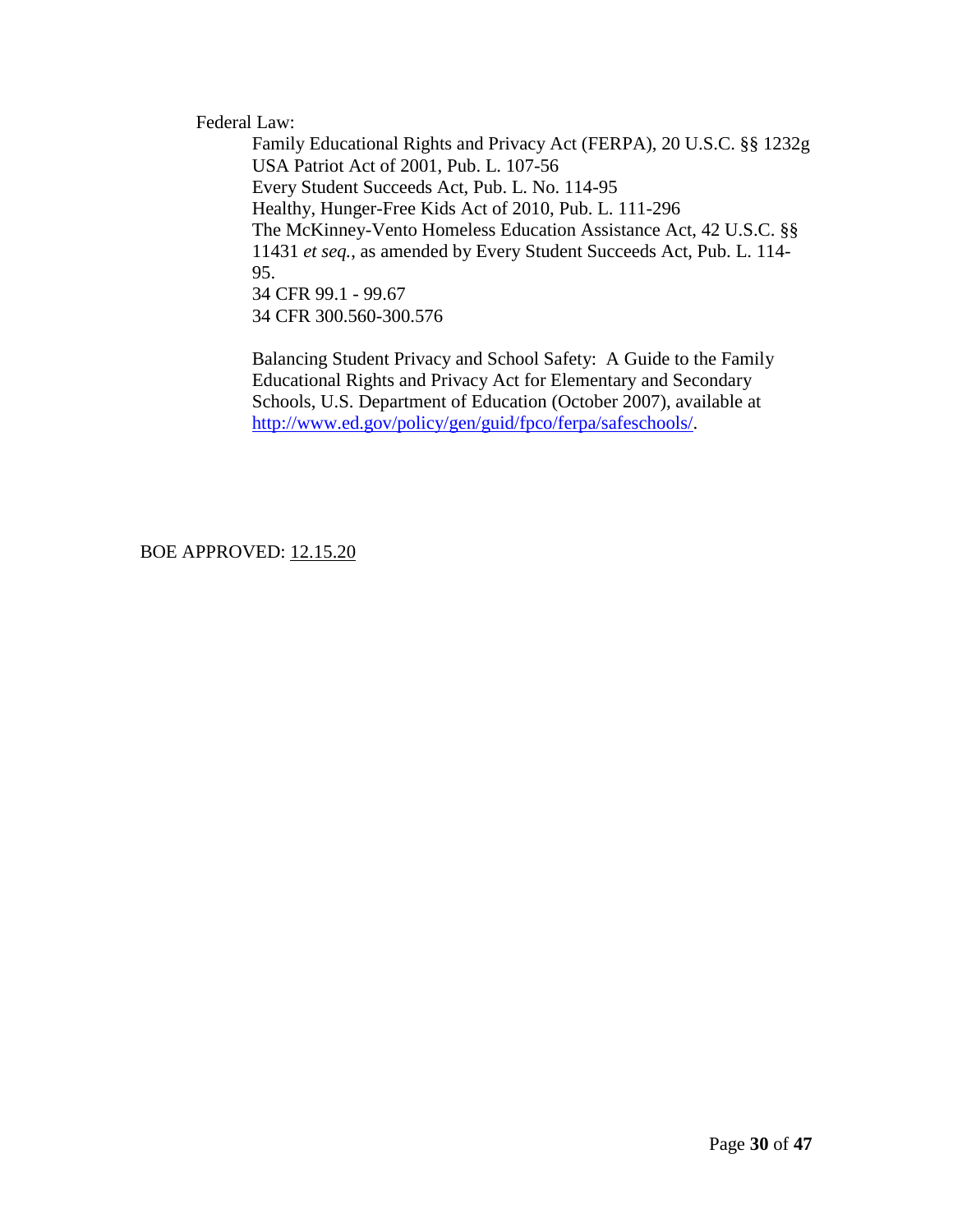Federal Law:

Family Educational Rights and Privacy Act (FERPA), 20 U.S.C. §§ 1232g USA Patriot Act of 2001, Pub. L. 107-56 Every Student Succeeds Act, Pub. L. No. 114-95 Healthy, Hunger-Free Kids Act of 2010, Pub. L. 111-296 The McKinney-Vento Homeless Education Assistance Act, 42 U.S.C. §§ 11431 *et seq.*, as amended by Every Student Succeeds Act, Pub. L. 114- 95. 34 CFR 99.1 - 99.67 34 CFR 300.560-300.576

Balancing Student Privacy and School Safety: A Guide to the Family Educational Rights and Privacy Act for Elementary and Secondary Schools, U.S. Department of Education (October 2007), available at [http://www.ed.gov/policy/gen/guid/fpco/ferpa/safeschools/.](http://www.ed.gov/policy/gen/guid/fpco/ferpa/safeschools/)

BOE APPROVED: 12.15.20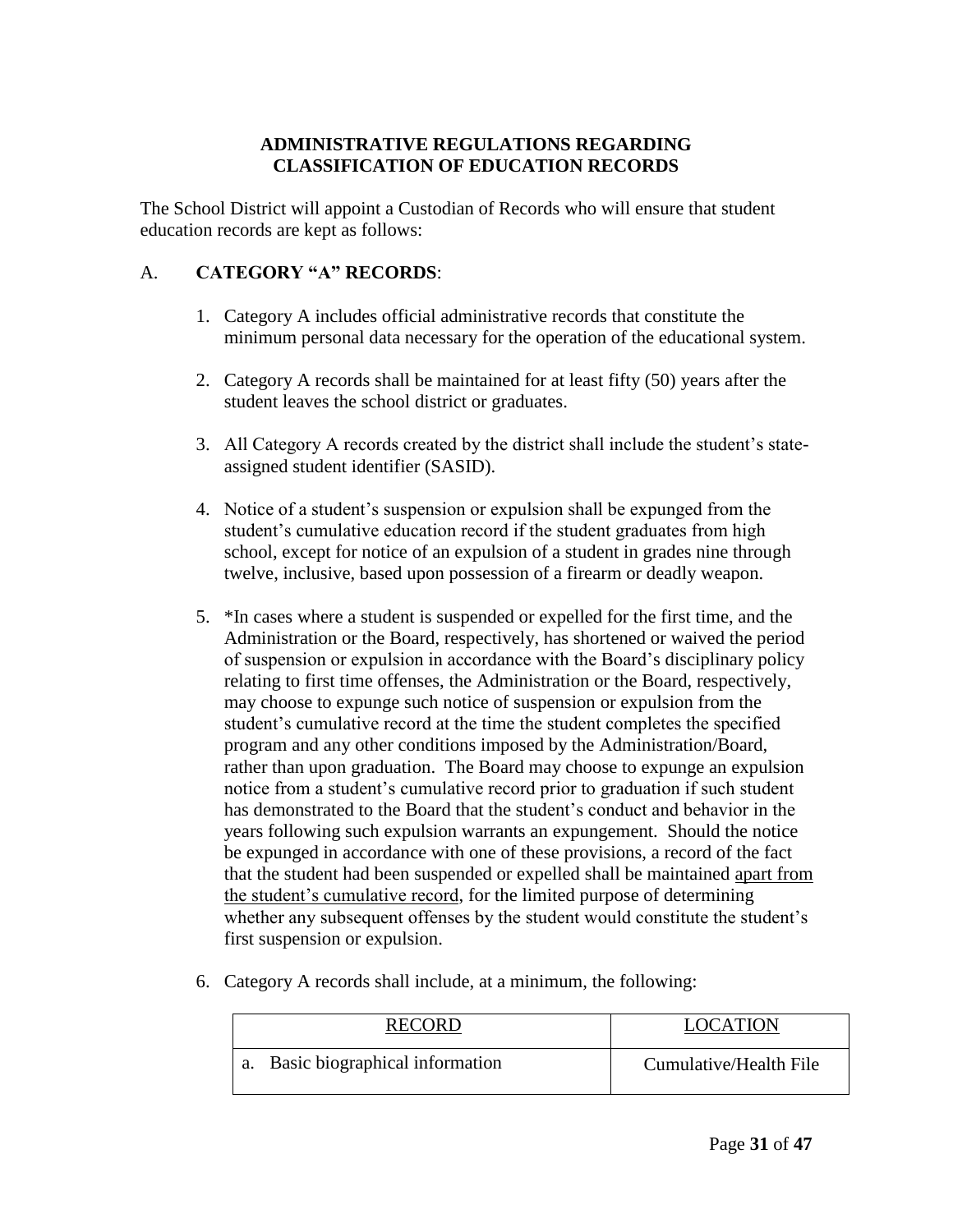### **ADMINISTRATIVE REGULATIONS REGARDING CLASSIFICATION OF EDUCATION RECORDS**

The School District will appoint a Custodian of Records who will ensure that student education records are kept as follows:

#### A. **CATEGORY "A" RECORDS**:

- 1. Category A includes official administrative records that constitute the minimum personal data necessary for the operation of the educational system.
- 2. Category A records shall be maintained for at least fifty (50) years after the student leaves the school district or graduates.
- 3. All Category A records created by the district shall include the student's stateassigned student identifier (SASID).
- 4. Notice of a student's suspension or expulsion shall be expunged from the student's cumulative education record if the student graduates from high school, except for notice of an expulsion of a student in grades nine through twelve, inclusive, based upon possession of a firearm or deadly weapon.
- 5. \*In cases where a student is suspended or expelled for the first time, and the Administration or the Board, respectively, has shortened or waived the period of suspension or expulsion in accordance with the Board's disciplinary policy relating to first time offenses, the Administration or the Board, respectively, may choose to expunge such notice of suspension or expulsion from the student's cumulative record at the time the student completes the specified program and any other conditions imposed by the Administration/Board, rather than upon graduation. The Board may choose to expunge an expulsion notice from a student's cumulative record prior to graduation if such student has demonstrated to the Board that the student's conduct and behavior in the years following such expulsion warrants an expungement. Should the notice be expunged in accordance with one of these provisions, a record of the fact that the student had been suspended or expelled shall be maintained apart from the student's cumulative record, for the limited purpose of determining whether any subsequent offenses by the student would constitute the student's first suspension or expulsion.
- 6. Category A records shall include, at a minimum, the following:

| <b>RECORD</b>                  | <b>LOCATION</b>        |
|--------------------------------|------------------------|
| Basic biographical information | Cumulative/Health File |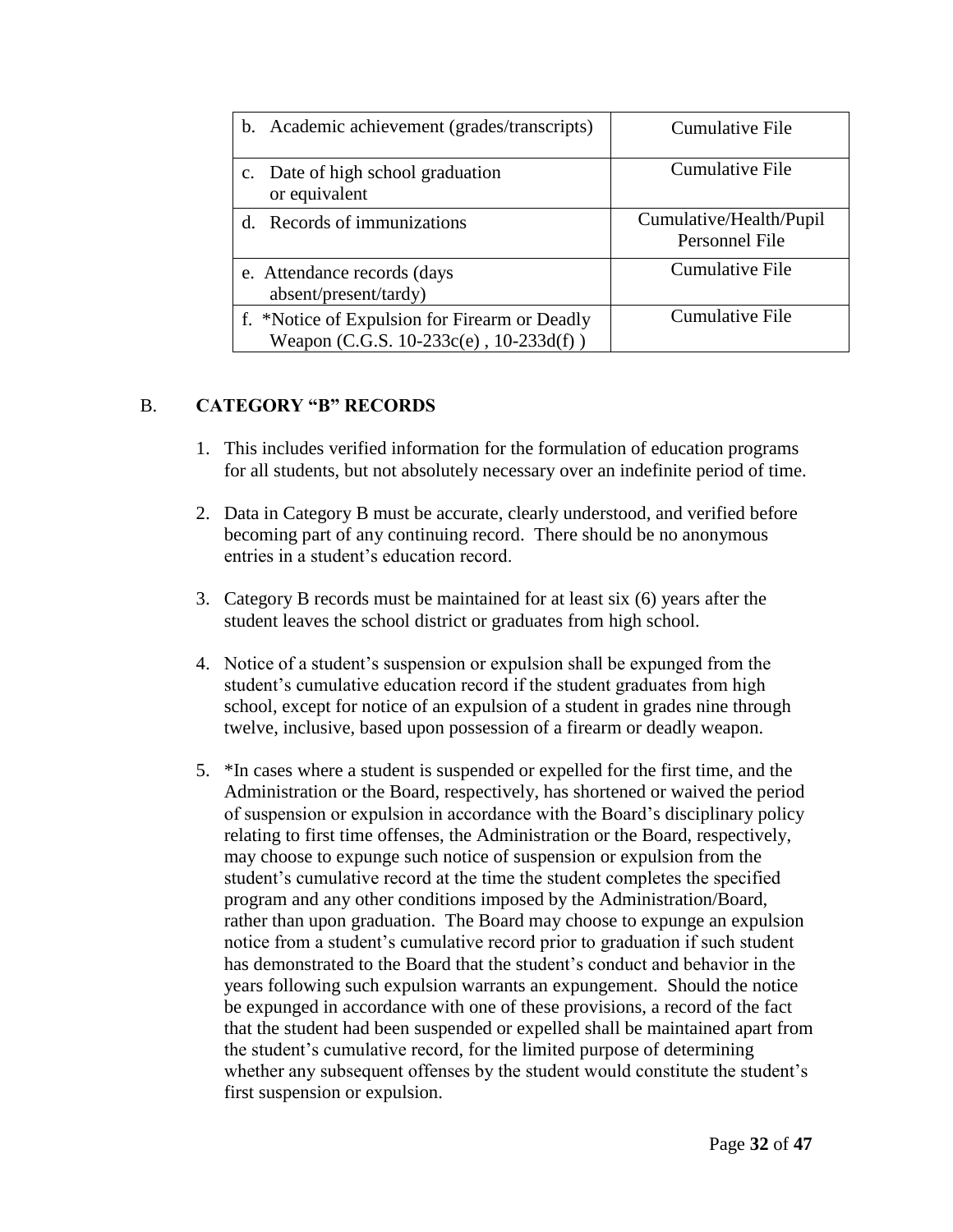| b.             | Academic achievement (grades/transcripts)                                               | <b>Cumulative File</b>                    |
|----------------|-----------------------------------------------------------------------------------------|-------------------------------------------|
| $\mathbf{c}$ . | Date of high school graduation<br>or equivalent                                         | <b>Cumulative File</b>                    |
|                | Records of immunizations                                                                | Cumulative/Health/Pupil<br>Personnel File |
|                | e. Attendance records (days<br>absent/present/tardy)                                    | <b>Cumulative File</b>                    |
|                | f. *Notice of Expulsion for Firearm or Deadly<br>Weapon (C.G.S. 10-233c(e), 10-233d(f)) | <b>Cumulative File</b>                    |

## B. **CATEGORY "B" RECORDS**

- 1. This includes verified information for the formulation of education programs for all students, but not absolutely necessary over an indefinite period of time.
- 2. Data in Category B must be accurate, clearly understood, and verified before becoming part of any continuing record. There should be no anonymous entries in a student's education record.
- 3. Category B records must be maintained for at least six (6) years after the student leaves the school district or graduates from high school.
- 4. Notice of a student's suspension or expulsion shall be expunged from the student's cumulative education record if the student graduates from high school, except for notice of an expulsion of a student in grades nine through twelve, inclusive, based upon possession of a firearm or deadly weapon.
- 5. \*In cases where a student is suspended or expelled for the first time, and the Administration or the Board, respectively, has shortened or waived the period of suspension or expulsion in accordance with the Board's disciplinary policy relating to first time offenses, the Administration or the Board, respectively, may choose to expunge such notice of suspension or expulsion from the student's cumulative record at the time the student completes the specified program and any other conditions imposed by the Administration/Board, rather than upon graduation. The Board may choose to expunge an expulsion notice from a student's cumulative record prior to graduation if such student has demonstrated to the Board that the student's conduct and behavior in the years following such expulsion warrants an expungement. Should the notice be expunged in accordance with one of these provisions, a record of the fact that the student had been suspended or expelled shall be maintained apart from the student's cumulative record, for the limited purpose of determining whether any subsequent offenses by the student would constitute the student's first suspension or expulsion.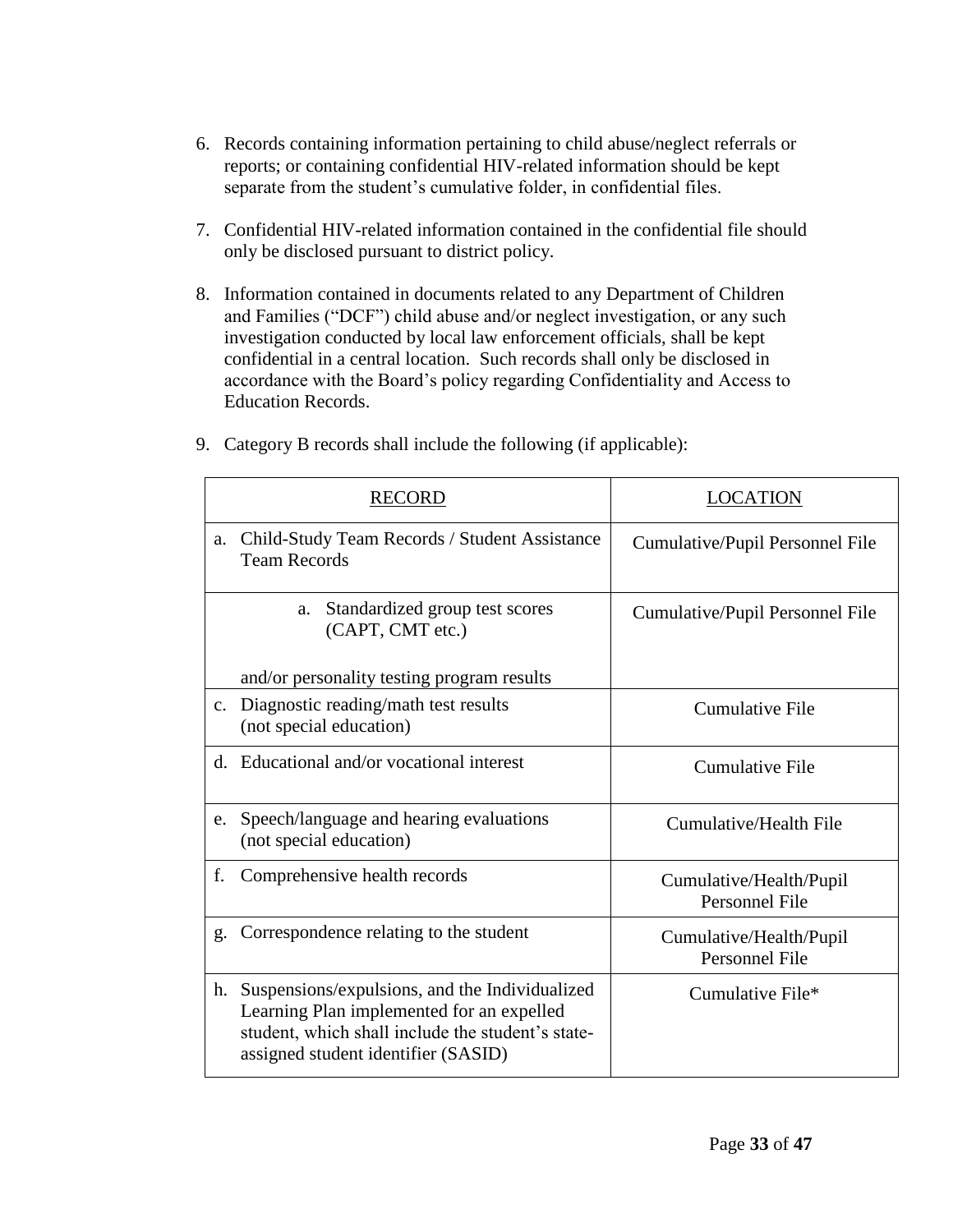- 6. Records containing information pertaining to child abuse/neglect referrals or reports; or containing confidential HIV-related information should be kept separate from the student's cumulative folder, in confidential files.
- 7. Confidential HIV-related information contained in the confidential file should only be disclosed pursuant to district policy.
- 8. Information contained in documents related to any Department of Children and Families ("DCF") child abuse and/or neglect investigation, or any such investigation conducted by local law enforcement officials, shall be kept confidential in a central location. Such records shall only be disclosed in accordance with the Board's policy regarding Confidentiality and Access to Education Records.

|                | <b>RECORD</b>                                                                                                                                                                           | <b>LOCATION</b>                                  |
|----------------|-----------------------------------------------------------------------------------------------------------------------------------------------------------------------------------------|--------------------------------------------------|
| a.             | Child-Study Team Records / Student Assistance<br><b>Team Records</b>                                                                                                                    | Cumulative/Pupil Personnel File                  |
|                | Standardized group test scores<br>a.<br>(CAPT, CMT etc.)                                                                                                                                | Cumulative/Pupil Personnel File                  |
|                | and/or personality testing program results                                                                                                                                              |                                                  |
| $\mathbf{c}$ . | Diagnostic reading/math test results<br>(not special education)                                                                                                                         | <b>Cumulative File</b>                           |
|                | d. Educational and/or vocational interest                                                                                                                                               | <b>Cumulative File</b>                           |
| e.             | Speech/language and hearing evaluations<br>(not special education)                                                                                                                      | Cumulative/Health File                           |
| f.             | Comprehensive health records                                                                                                                                                            | Cumulative/Health/Pupil<br><b>Personnel File</b> |
| g.             | Correspondence relating to the student                                                                                                                                                  | Cumulative/Health/Pupil<br>Personnel File        |
| h.             | Suspensions/expulsions, and the Individualized<br>Learning Plan implemented for an expelled<br>student, which shall include the student's state-<br>assigned student identifier (SASID) | Cumulative File*                                 |

9. Category B records shall include the following (if applicable):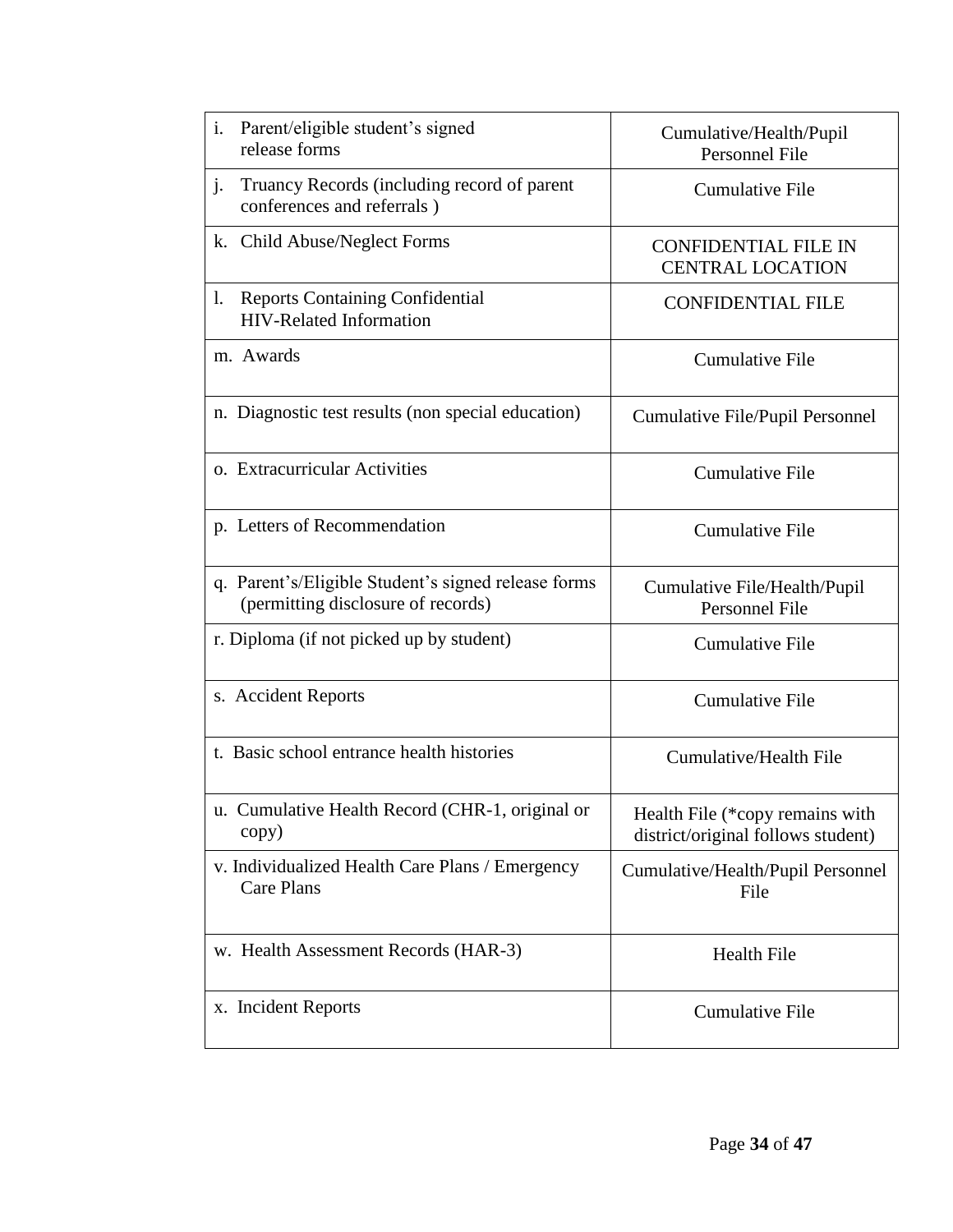| Parent/eligible student's signed<br>i.<br>release forms                                   | Cumulative/Health/Pupil<br>Personnel File                             |  |  |
|-------------------------------------------------------------------------------------------|-----------------------------------------------------------------------|--|--|
| Truancy Records (including record of parent<br>j.<br>conferences and referrals)           | <b>Cumulative File</b>                                                |  |  |
| k. Child Abuse/Neglect Forms                                                              | <b>CONFIDENTIAL FILE IN</b><br><b>CENTRAL LOCATION</b>                |  |  |
| <b>Reports Containing Confidential</b><br>1.<br><b>HIV-Related Information</b>            | <b>CONFIDENTIAL FILE</b>                                              |  |  |
| m. Awards                                                                                 | <b>Cumulative File</b>                                                |  |  |
| n. Diagnostic test results (non special education)                                        | Cumulative File/Pupil Personnel                                       |  |  |
| o. Extracurricular Activities                                                             | <b>Cumulative File</b>                                                |  |  |
| p. Letters of Recommendation                                                              | <b>Cumulative File</b>                                                |  |  |
| q. Parent's/Eligible Student's signed release forms<br>(permitting disclosure of records) | Cumulative File/Health/Pupil<br>Personnel File                        |  |  |
| r. Diploma (if not picked up by student)                                                  | <b>Cumulative File</b>                                                |  |  |
| s. Accident Reports                                                                       | <b>Cumulative File</b>                                                |  |  |
| t. Basic school entrance health histories                                                 | Cumulative/Health File                                                |  |  |
| u. Cumulative Health Record (CHR-1, original or<br>copy)                                  | Health File (*copy remains with<br>district/original follows student) |  |  |
| v. Individualized Health Care Plans / Emergency<br>Care Plans                             | Cumulative/Health/Pupil Personnel<br>File                             |  |  |
| w. Health Assessment Records (HAR-3)                                                      | <b>Health File</b>                                                    |  |  |
| x. Incident Reports                                                                       | <b>Cumulative File</b>                                                |  |  |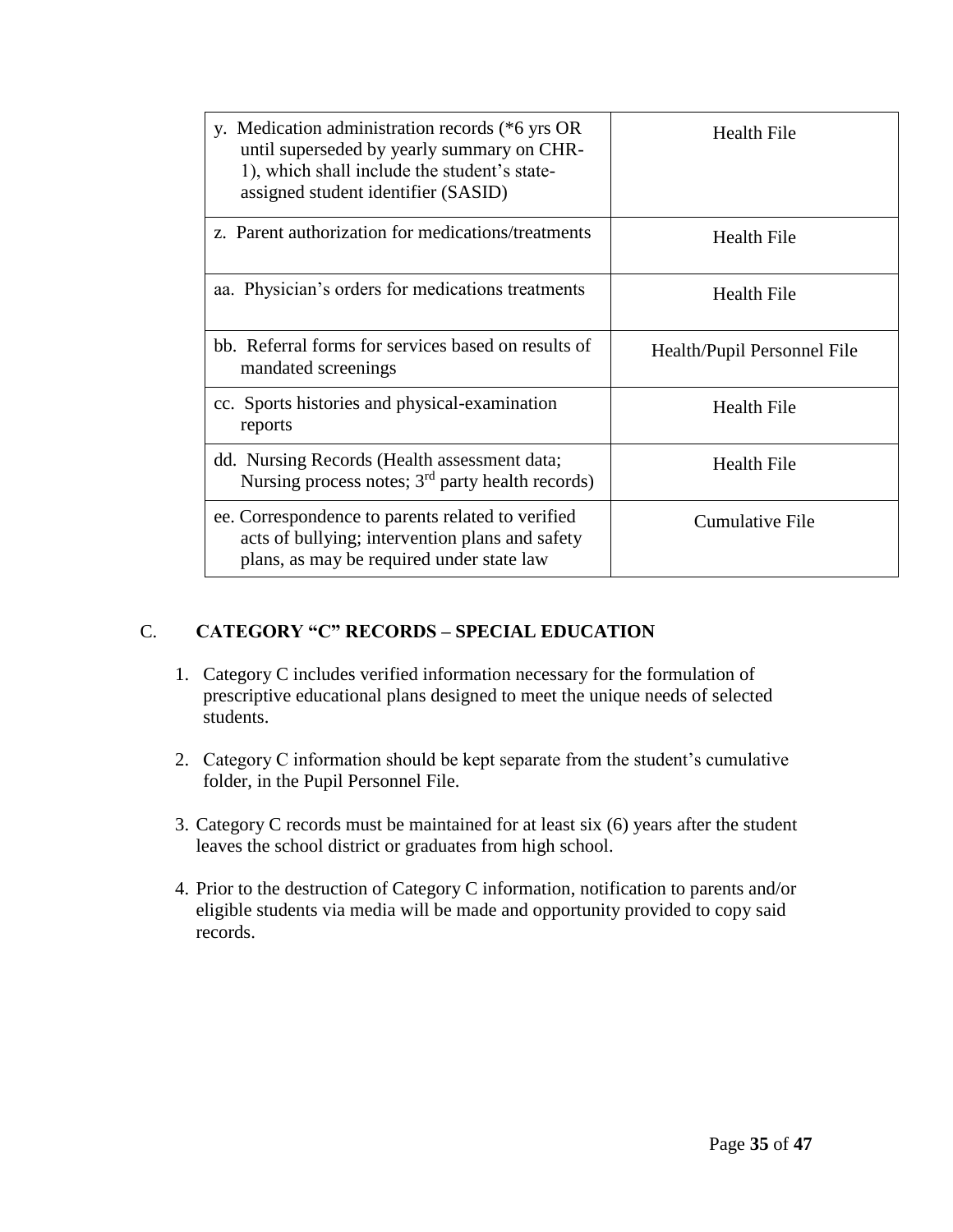| y. Medication administration records (*6 yrs OR<br>until superseded by yearly summary on CHR-<br>1), which shall include the student's state-<br>assigned student identifier (SASID) | Health File                 |  |
|--------------------------------------------------------------------------------------------------------------------------------------------------------------------------------------|-----------------------------|--|
| z. Parent authorization for medications/treatments                                                                                                                                   | <b>Health File</b>          |  |
| aa. Physician's orders for medications treatments                                                                                                                                    | <b>Health File</b>          |  |
| bb. Referral forms for services based on results of<br>mandated screenings                                                                                                           | Health/Pupil Personnel File |  |
| cc. Sports histories and physical-examination<br>reports                                                                                                                             | <b>Health File</b>          |  |
| dd. Nursing Records (Health assessment data;<br>Nursing process notes; $3rd$ party health records)                                                                                   | <b>Health File</b>          |  |
| ee. Correspondence to parents related to verified<br>acts of bullying; intervention plans and safety<br>plans, as may be required under state law                                    | <b>Cumulative File</b>      |  |

### C. **CATEGORY "C" RECORDS – SPECIAL EDUCATION**

- 1. Category C includes verified information necessary for the formulation of prescriptive educational plans designed to meet the unique needs of selected students.
- 2. Category C information should be kept separate from the student's cumulative folder, in the Pupil Personnel File.
- 3. Category C records must be maintained for at least six (6) years after the student leaves the school district or graduates from high school.
- 4. Prior to the destruction of Category C information, notification to parents and/or eligible students via media will be made and opportunity provided to copy said records.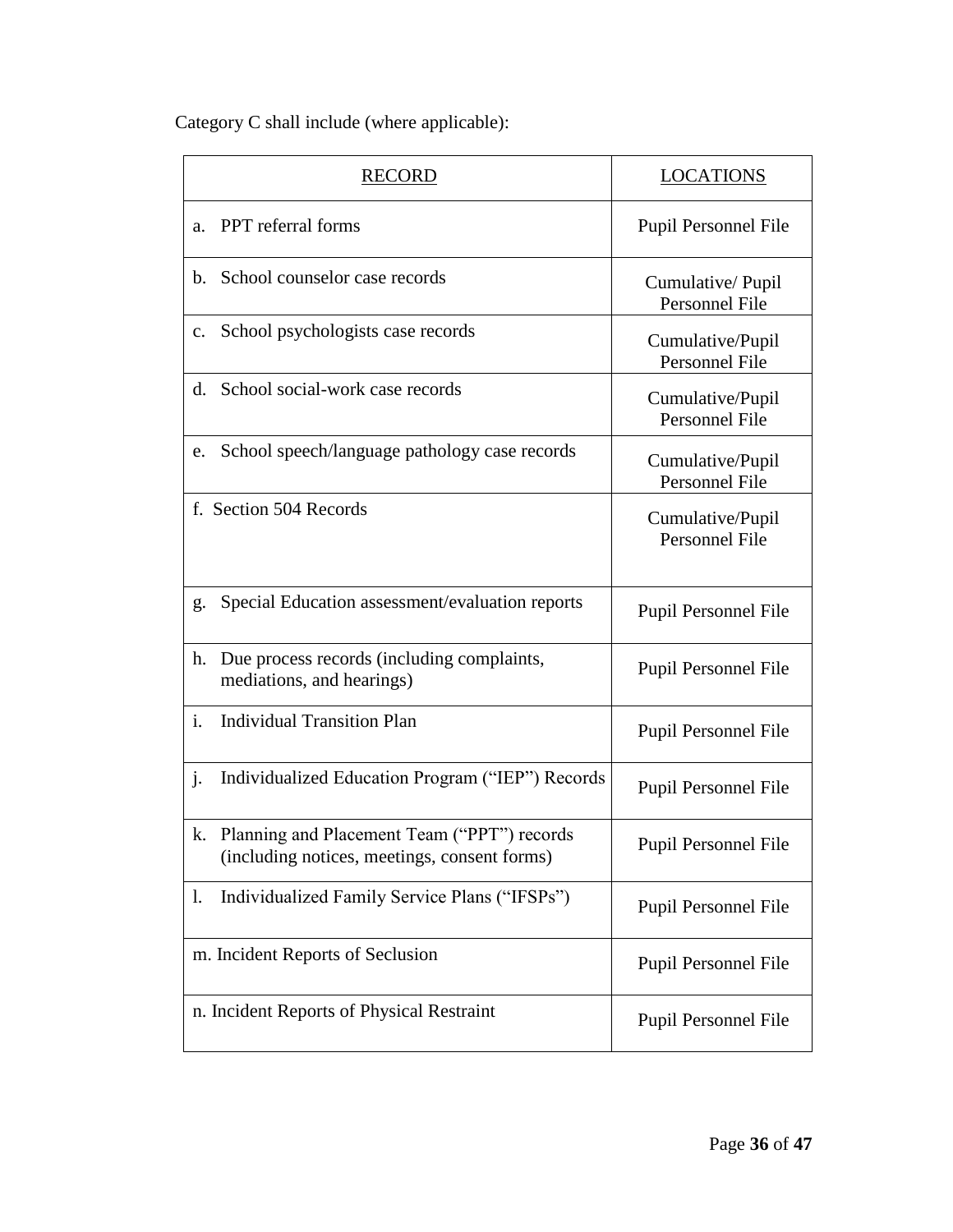Category C shall include (where applicable):

|                | <b>RECORD</b>                                                                               | <b>LOCATIONS</b>                          |
|----------------|---------------------------------------------------------------------------------------------|-------------------------------------------|
| a.             | PPT referral forms                                                                          | Pupil Personnel File                      |
| $\mathbf{b}$ . | School counselor case records                                                               | Cumulative/Pupil<br><b>Personnel File</b> |
| $\mathbf{c}$ . | School psychologists case records                                                           | Cumulative/Pupil<br><b>Personnel File</b> |
| d.             | School social-work case records                                                             | Cumulative/Pupil<br>Personnel File        |
| e.             | School speech/language pathology case records                                               | Cumulative/Pupil<br>Personnel File        |
|                | f. Section 504 Records                                                                      | Cumulative/Pupil<br><b>Personnel File</b> |
| g.             | Special Education assessment/evaluation reports                                             | Pupil Personnel File                      |
| h.             | Due process records (including complaints,<br>mediations, and hearings)                     | Pupil Personnel File                      |
| $\mathbf{i}$ . | <b>Individual Transition Plan</b>                                                           | Pupil Personnel File                      |
| $\mathbf{j}$ . | Individualized Education Program ("IEP") Records                                            | Pupil Personnel File                      |
| k.             | Planning and Placement Team ("PPT") records<br>(including notices, meetings, consent forms) | Pupil Personnel File                      |
| 1.             | Individualized Family Service Plans ("IFSPs")                                               | Pupil Personnel File                      |
|                | m. Incident Reports of Seclusion                                                            | Pupil Personnel File                      |
|                | n. Incident Reports of Physical Restraint                                                   | Pupil Personnel File                      |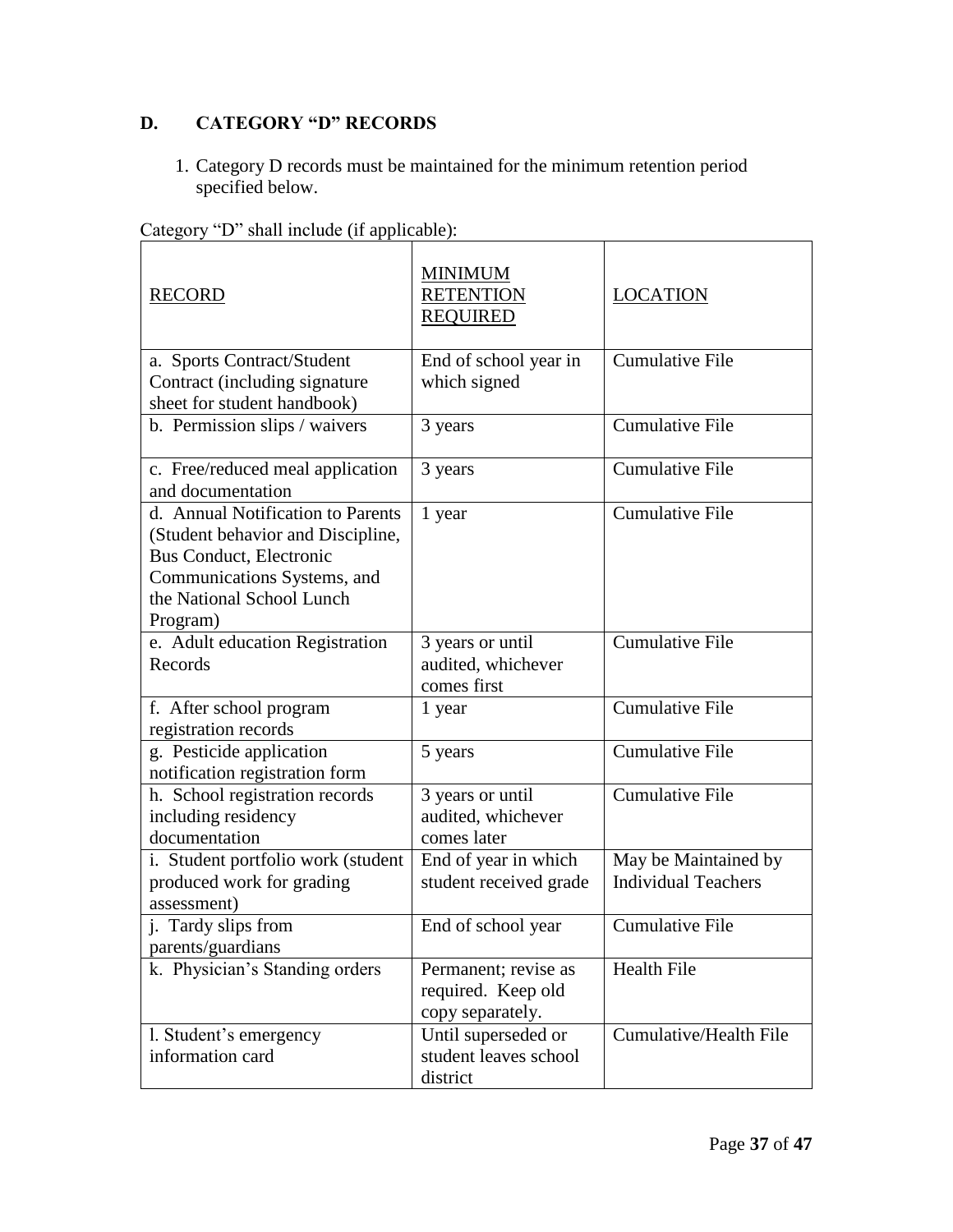# **D. CATEGORY "D" RECORDS**

1. Category D records must be maintained for the minimum retention period specified below.

| <b>RECORD</b>                      | <b>MINIMUM</b><br><b>RETENTION</b><br><b>REQUIRED</b> | <b>LOCATION</b>            |  |
|------------------------------------|-------------------------------------------------------|----------------------------|--|
| a. Sports Contract/Student         | End of school year in                                 | <b>Cumulative File</b>     |  |
| Contract (including signature      | which signed                                          |                            |  |
| sheet for student handbook)        |                                                       |                            |  |
| b. Permission slips / waivers      | 3 years                                               | <b>Cumulative File</b>     |  |
| c. Free/reduced meal application   | 3 years                                               | <b>Cumulative File</b>     |  |
| and documentation                  |                                                       |                            |  |
| d. Annual Notification to Parents  | 1 year                                                | <b>Cumulative File</b>     |  |
| (Student behavior and Discipline,  |                                                       |                            |  |
| <b>Bus Conduct, Electronic</b>     |                                                       |                            |  |
| Communications Systems, and        |                                                       |                            |  |
| the National School Lunch          |                                                       |                            |  |
| Program)                           |                                                       |                            |  |
| e. Adult education Registration    | 3 years or until                                      | <b>Cumulative File</b>     |  |
| Records                            | audited, whichever                                    |                            |  |
|                                    | comes first                                           |                            |  |
| f. After school program            | 1 year                                                | <b>Cumulative File</b>     |  |
| registration records               |                                                       |                            |  |
| g. Pesticide application           | 5 years                                               | <b>Cumulative File</b>     |  |
| notification registration form     |                                                       |                            |  |
| h. School registration records     | 3 years or until                                      | <b>Cumulative File</b>     |  |
| including residency                | audited, whichever                                    |                            |  |
| documentation                      | comes later                                           |                            |  |
| i. Student portfolio work (student | End of year in which                                  | May be Maintained by       |  |
| produced work for grading          | student received grade                                | <b>Individual Teachers</b> |  |
| assessment)                        |                                                       |                            |  |
| j. Tardy slips from                | End of school year                                    | <b>Cumulative File</b>     |  |
| parents/guardians                  |                                                       |                            |  |
| k. Physician's Standing orders     | Permanent; revise as                                  | Health File                |  |
|                                    | required. Keep old                                    |                            |  |
|                                    | copy separately.                                      |                            |  |
| l. Student's emergency             | Until superseded or                                   | Cumulative/Health File     |  |
| information card                   | student leaves school                                 |                            |  |
|                                    | district                                              |                            |  |

Category "D" shall include (if applicable):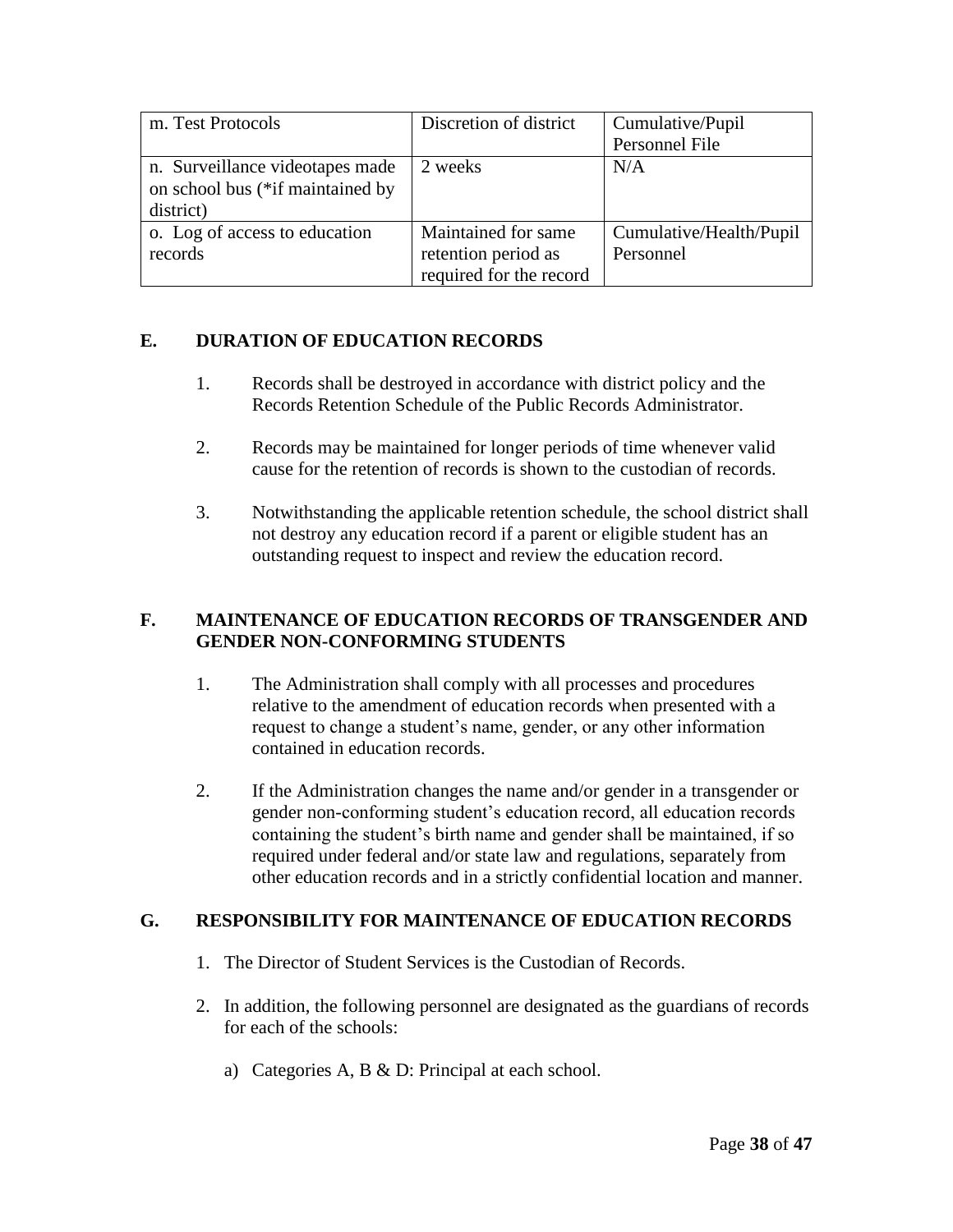| m. Test Protocols                | Discretion of district  | Cumulative/Pupil        |  |
|----------------------------------|-------------------------|-------------------------|--|
|                                  |                         | Personnel File          |  |
| n. Surveillance videotapes made  | 2 weeks                 | N/A                     |  |
| on school bus (*if maintained by |                         |                         |  |
| district)                        |                         |                         |  |
| o. Log of access to education    | Maintained for same     | Cumulative/Health/Pupil |  |
| records                          | retention period as     | Personnel               |  |
|                                  | required for the record |                         |  |

### **E. DURATION OF EDUCATION RECORDS**

- 1. Records shall be destroyed in accordance with district policy and the Records Retention Schedule of the Public Records Administrator.
- 2. Records may be maintained for longer periods of time whenever valid cause for the retention of records is shown to the custodian of records.
- 3. Notwithstanding the applicable retention schedule, the school district shall not destroy any education record if a parent or eligible student has an outstanding request to inspect and review the education record.

## **F. MAINTENANCE OF EDUCATION RECORDS OF TRANSGENDER AND GENDER NON-CONFORMING STUDENTS**

- 1. The Administration shall comply with all processes and procedures relative to the amendment of education records when presented with a request to change a student's name, gender, or any other information contained in education records.
- 2. If the Administration changes the name and/or gender in a transgender or gender non-conforming student's education record, all education records containing the student's birth name and gender shall be maintained, if so required under federal and/or state law and regulations, separately from other education records and in a strictly confidential location and manner.

# **G. RESPONSIBILITY FOR MAINTENANCE OF EDUCATION RECORDS**

- 1. The Director of Student Services is the Custodian of Records.
- 2. In addition, the following personnel are designated as the guardians of records for each of the schools:
	- a) Categories A, B & D: Principal at each school.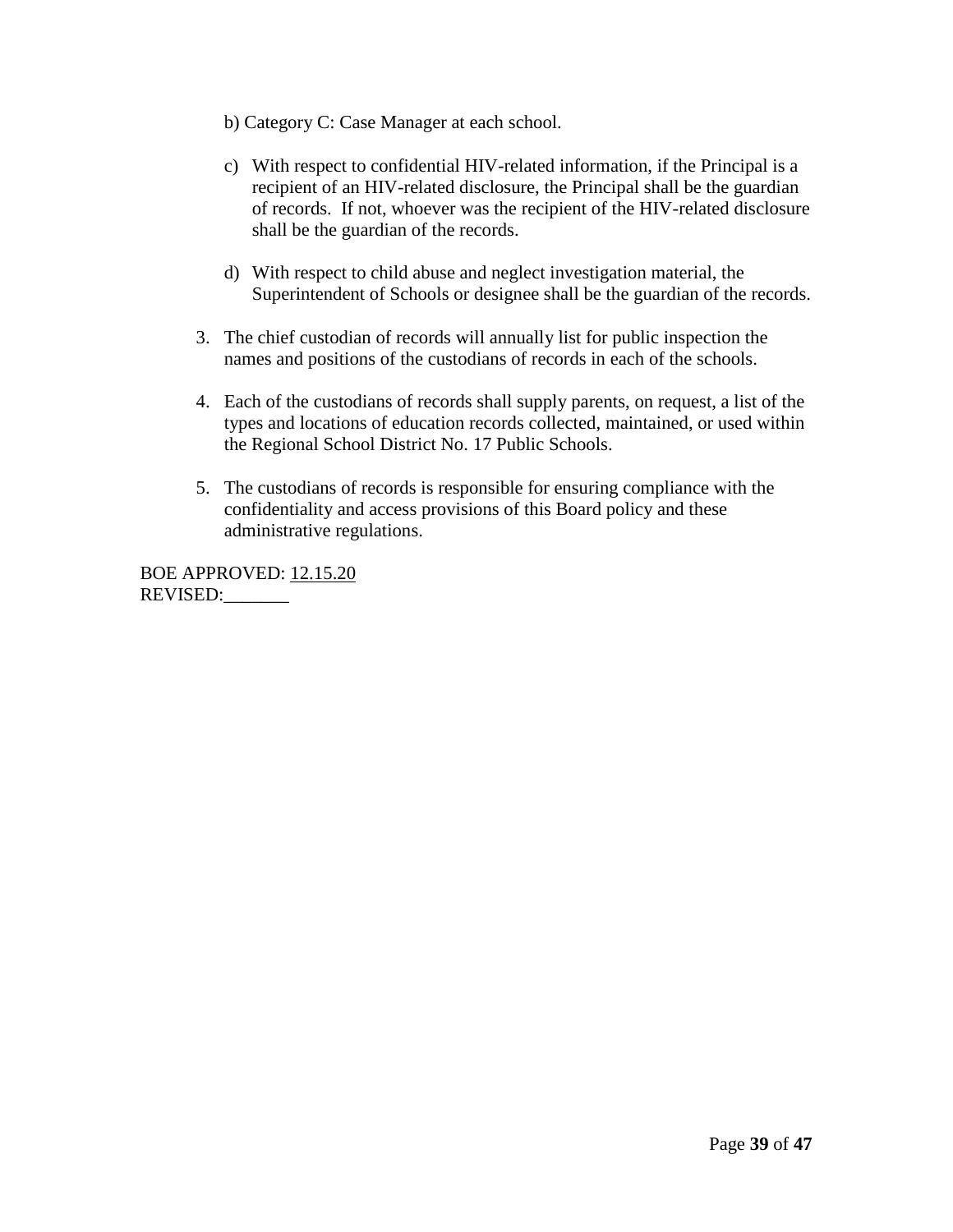- b) Category C: Case Manager at each school.
- c) With respect to confidential HIV-related information, if the Principal is a recipient of an HIV-related disclosure, the Principal shall be the guardian of records. If not, whoever was the recipient of the HIV-related disclosure shall be the guardian of the records.
- d) With respect to child abuse and neglect investigation material, the Superintendent of Schools or designee shall be the guardian of the records.
- 3. The chief custodian of records will annually list for public inspection the names and positions of the custodians of records in each of the schools.
- 4. Each of the custodians of records shall supply parents, on request, a list of the types and locations of education records collected, maintained, or used within the Regional School District No. 17 Public Schools.
- 5. The custodians of records is responsible for ensuring compliance with the confidentiality and access provisions of this Board policy and these administrative regulations.

BOE APPROVED: 12.15.20 REVISED:\_\_\_\_\_\_\_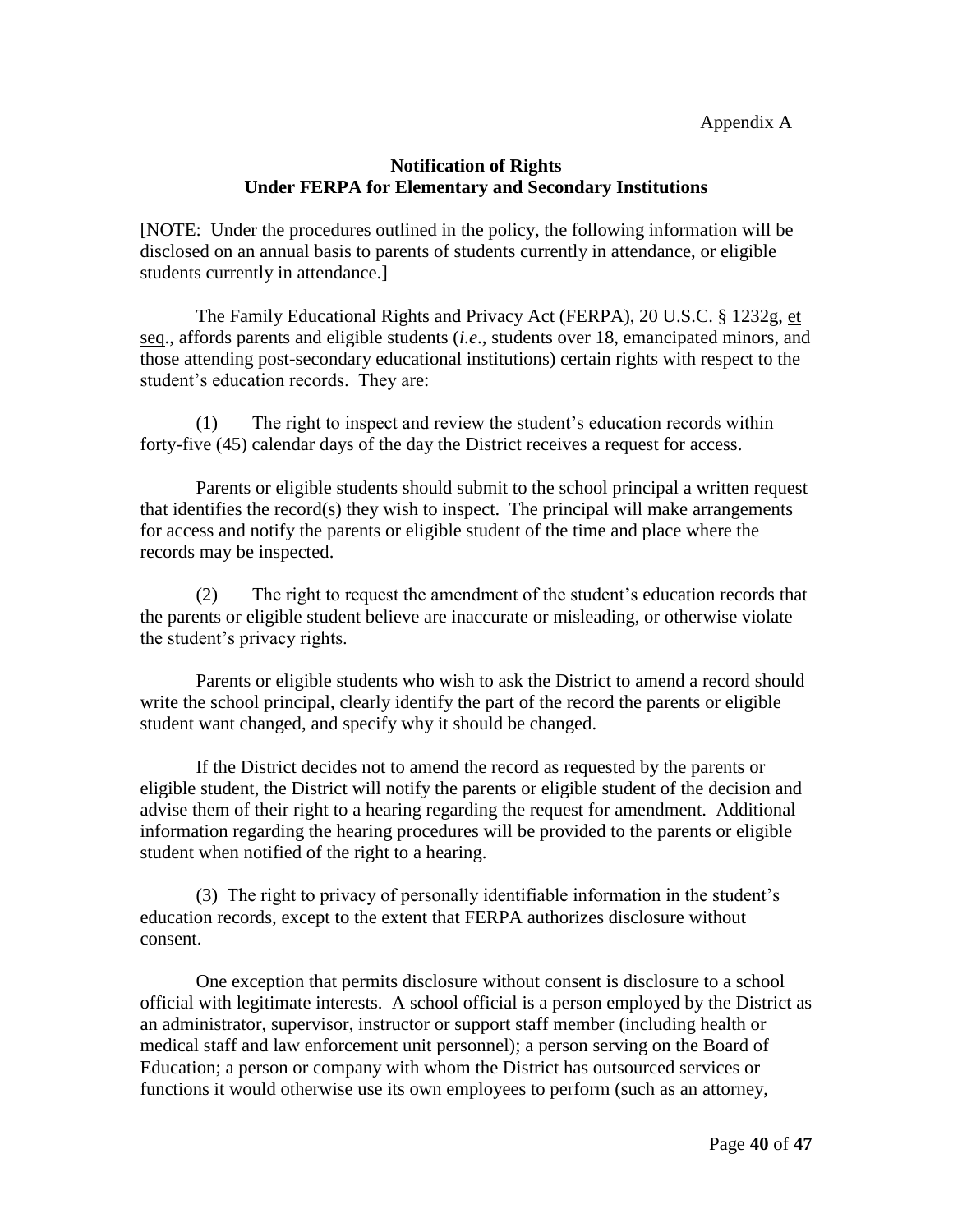Appendix A

#### **Notification of Rights Under FERPA for Elementary and Secondary Institutions**

[NOTE: Under the procedures outlined in the policy, the following information will be disclosed on an annual basis to parents of students currently in attendance, or eligible students currently in attendance.]

The Family Educational Rights and Privacy Act (FERPA), 20 U.S.C. § 1232g, et seq., affords parents and eligible students (*i.e*., students over 18, emancipated minors, and those attending post-secondary educational institutions) certain rights with respect to the student's education records. They are:

(1) The right to inspect and review the student's education records within forty-five (45) calendar days of the day the District receives a request for access.

Parents or eligible students should submit to the school principal a written request that identifies the record(s) they wish to inspect. The principal will make arrangements for access and notify the parents or eligible student of the time and place where the records may be inspected.

(2) The right to request the amendment of the student's education records that the parents or eligible student believe are inaccurate or misleading, or otherwise violate the student's privacy rights.

Parents or eligible students who wish to ask the District to amend a record should write the school principal, clearly identify the part of the record the parents or eligible student want changed, and specify why it should be changed.

If the District decides not to amend the record as requested by the parents or eligible student, the District will notify the parents or eligible student of the decision and advise them of their right to a hearing regarding the request for amendment. Additional information regarding the hearing procedures will be provided to the parents or eligible student when notified of the right to a hearing.

(3) The right to privacy of personally identifiable information in the student's education records, except to the extent that FERPA authorizes disclosure without consent.

One exception that permits disclosure without consent is disclosure to a school official with legitimate interests. A school official is a person employed by the District as an administrator, supervisor, instructor or support staff member (including health or medical staff and law enforcement unit personnel); a person serving on the Board of Education; a person or company with whom the District has outsourced services or functions it would otherwise use its own employees to perform (such as an attorney,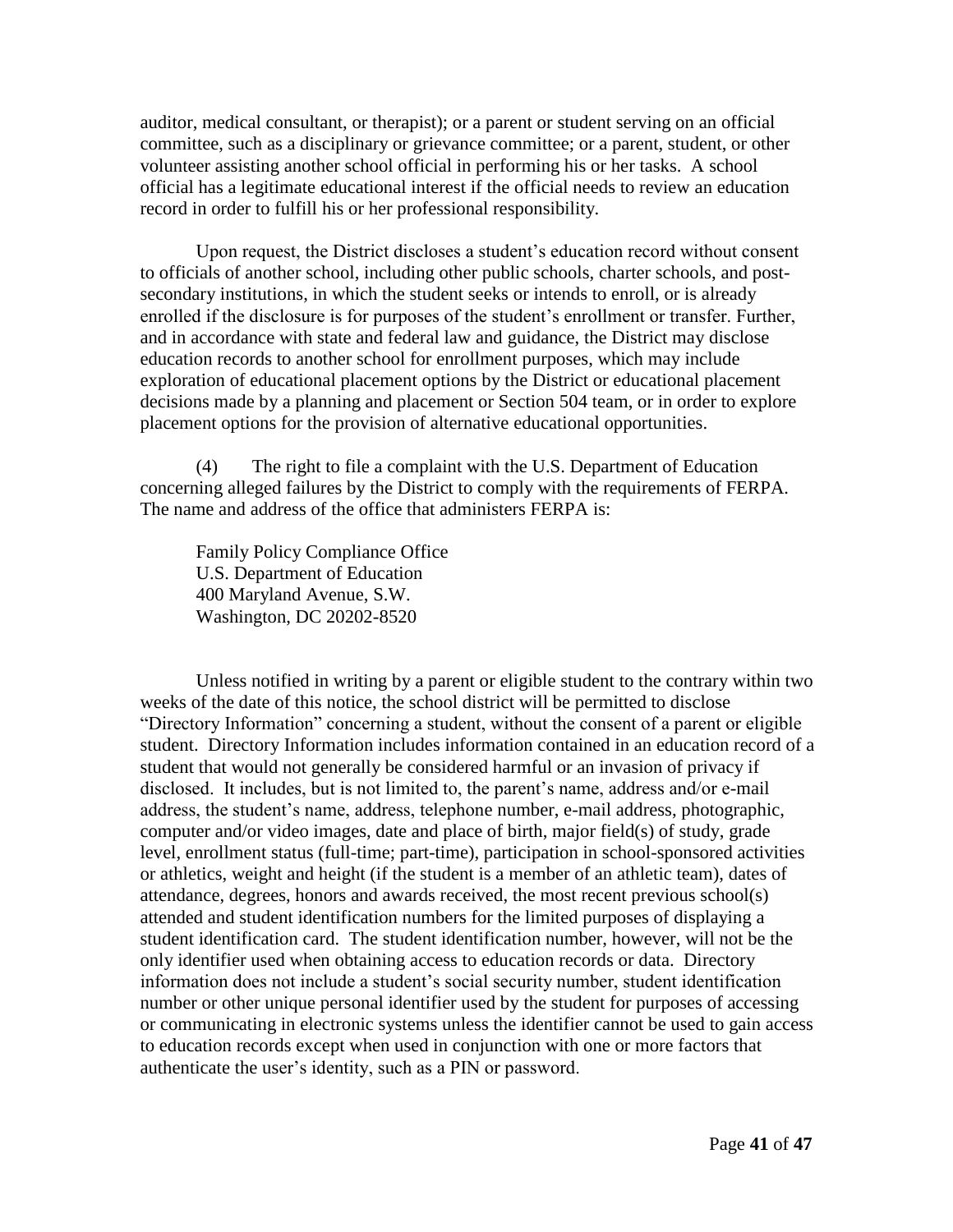auditor, medical consultant, or therapist); or a parent or student serving on an official committee, such as a disciplinary or grievance committee; or a parent, student, or other volunteer assisting another school official in performing his or her tasks. A school official has a legitimate educational interest if the official needs to review an education record in order to fulfill his or her professional responsibility.

Upon request, the District discloses a student's education record without consent to officials of another school, including other public schools, charter schools, and postsecondary institutions, in which the student seeks or intends to enroll, or is already enrolled if the disclosure is for purposes of the student's enrollment or transfer. Further, and in accordance with state and federal law and guidance, the District may disclose education records to another school for enrollment purposes, which may include exploration of educational placement options by the District or educational placement decisions made by a planning and placement or Section 504 team, or in order to explore placement options for the provision of alternative educational opportunities.

(4) The right to file a complaint with the U.S. Department of Education concerning alleged failures by the District to comply with the requirements of FERPA. The name and address of the office that administers FERPA is:

Family Policy Compliance Office U.S. Department of Education 400 Maryland Avenue, S.W. Washington, DC 20202-8520

Unless notified in writing by a parent or eligible student to the contrary within two weeks of the date of this notice, the school district will be permitted to disclose "Directory Information" concerning a student, without the consent of a parent or eligible student. Directory Information includes information contained in an education record of a student that would not generally be considered harmful or an invasion of privacy if disclosed. It includes, but is not limited to, the parent's name, address and/or e-mail address, the student's name, address, telephone number, e-mail address, photographic, computer and/or video images, date and place of birth, major field(s) of study, grade level, enrollment status (full-time; part-time), participation in school-sponsored activities or athletics, weight and height (if the student is a member of an athletic team), dates of attendance, degrees, honors and awards received, the most recent previous school(s) attended and student identification numbers for the limited purposes of displaying a student identification card. The student identification number, however, will not be the only identifier used when obtaining access to education records or data. Directory information does not include a student's social security number, student identification number or other unique personal identifier used by the student for purposes of accessing or communicating in electronic systems unless the identifier cannot be used to gain access to education records except when used in conjunction with one or more factors that authenticate the user's identity, such as a PIN or password.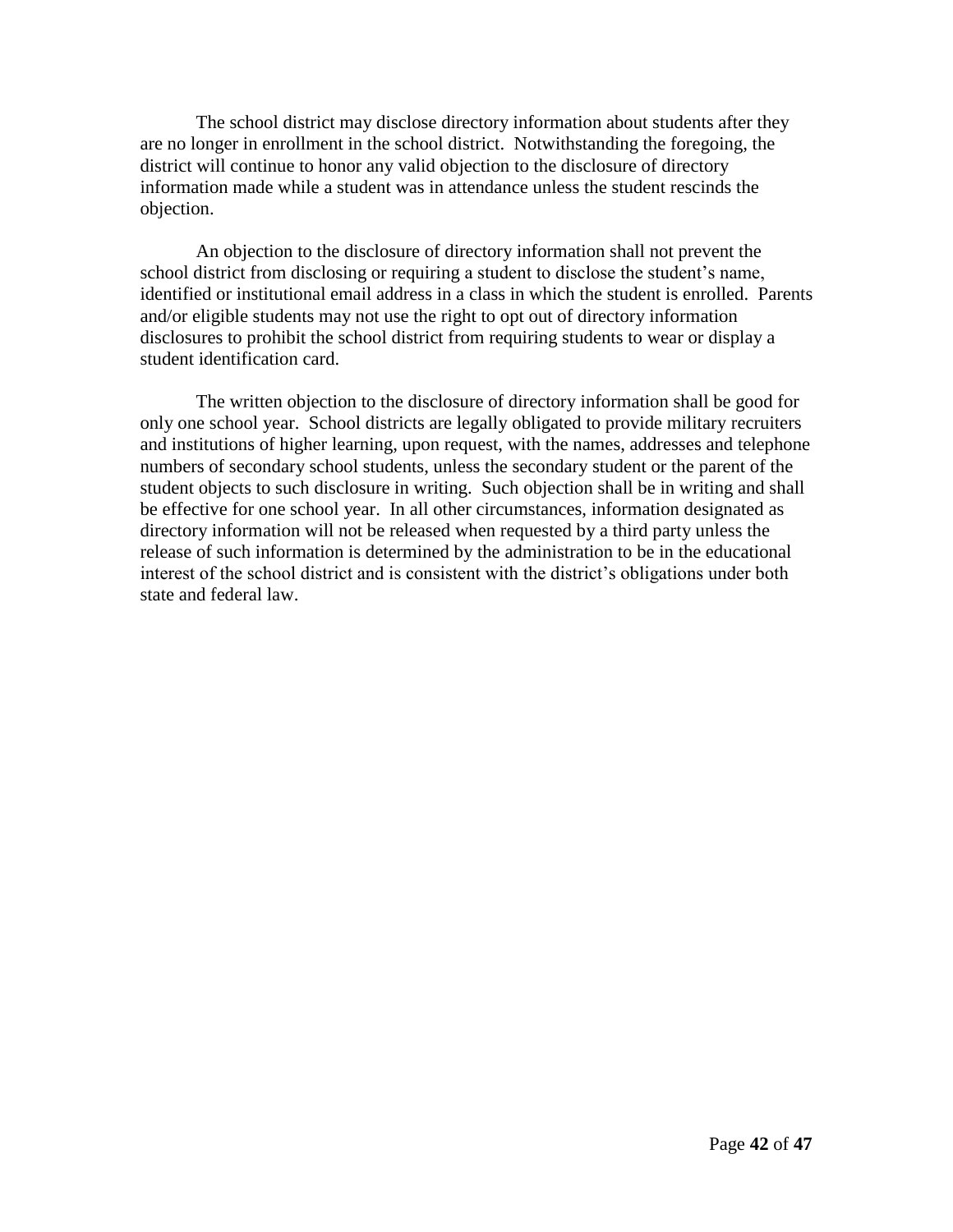The school district may disclose directory information about students after they are no longer in enrollment in the school district. Notwithstanding the foregoing, the district will continue to honor any valid objection to the disclosure of directory information made while a student was in attendance unless the student rescinds the objection.

An objection to the disclosure of directory information shall not prevent the school district from disclosing or requiring a student to disclose the student's name, identified or institutional email address in a class in which the student is enrolled. Parents and/or eligible students may not use the right to opt out of directory information disclosures to prohibit the school district from requiring students to wear or display a student identification card.

The written objection to the disclosure of directory information shall be good for only one school year. School districts are legally obligated to provide military recruiters and institutions of higher learning, upon request, with the names, addresses and telephone numbers of secondary school students, unless the secondary student or the parent of the student objects to such disclosure in writing. Such objection shall be in writing and shall be effective for one school year. In all other circumstances, information designated as directory information will not be released when requested by a third party unless the release of such information is determined by the administration to be in the educational interest of the school district and is consistent with the district's obligations under both state and federal law.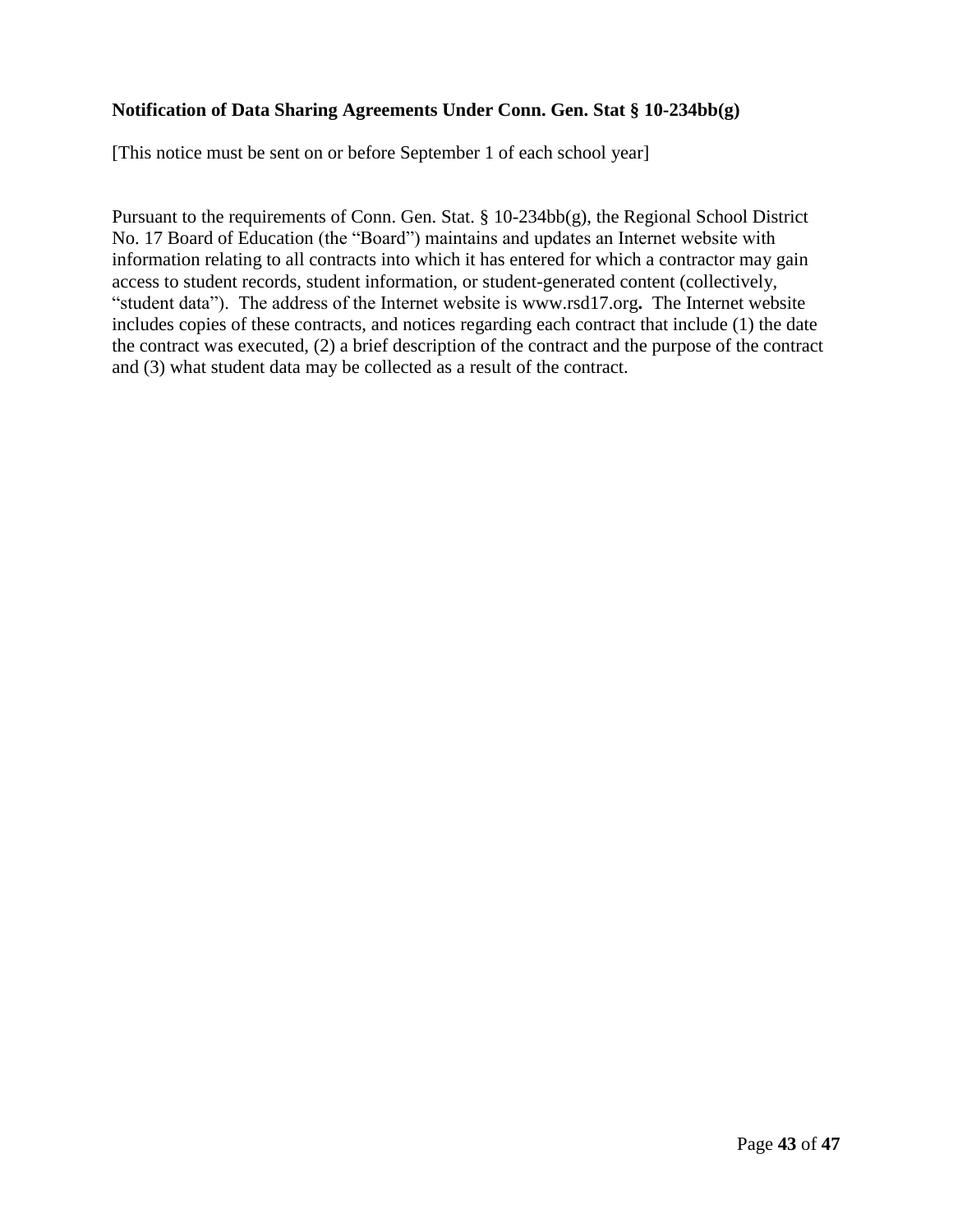#### **Notification of Data Sharing Agreements Under Conn. Gen. Stat § 10-234bb(g)**

[This notice must be sent on or before September 1 of each school year]

Pursuant to the requirements of Conn. Gen. Stat. § 10-234bb(g), the Regional School District No. 17 Board of Education (the "Board") maintains and updates an Internet website with information relating to all contracts into which it has entered for which a contractor may gain access to student records, student information, or student-generated content (collectively, "student data"). The address of the Internet website is www.rsd17.org**.** The Internet website includes copies of these contracts, and notices regarding each contract that include (1) the date the contract was executed, (2) a brief description of the contract and the purpose of the contract and (3) what student data may be collected as a result of the contract.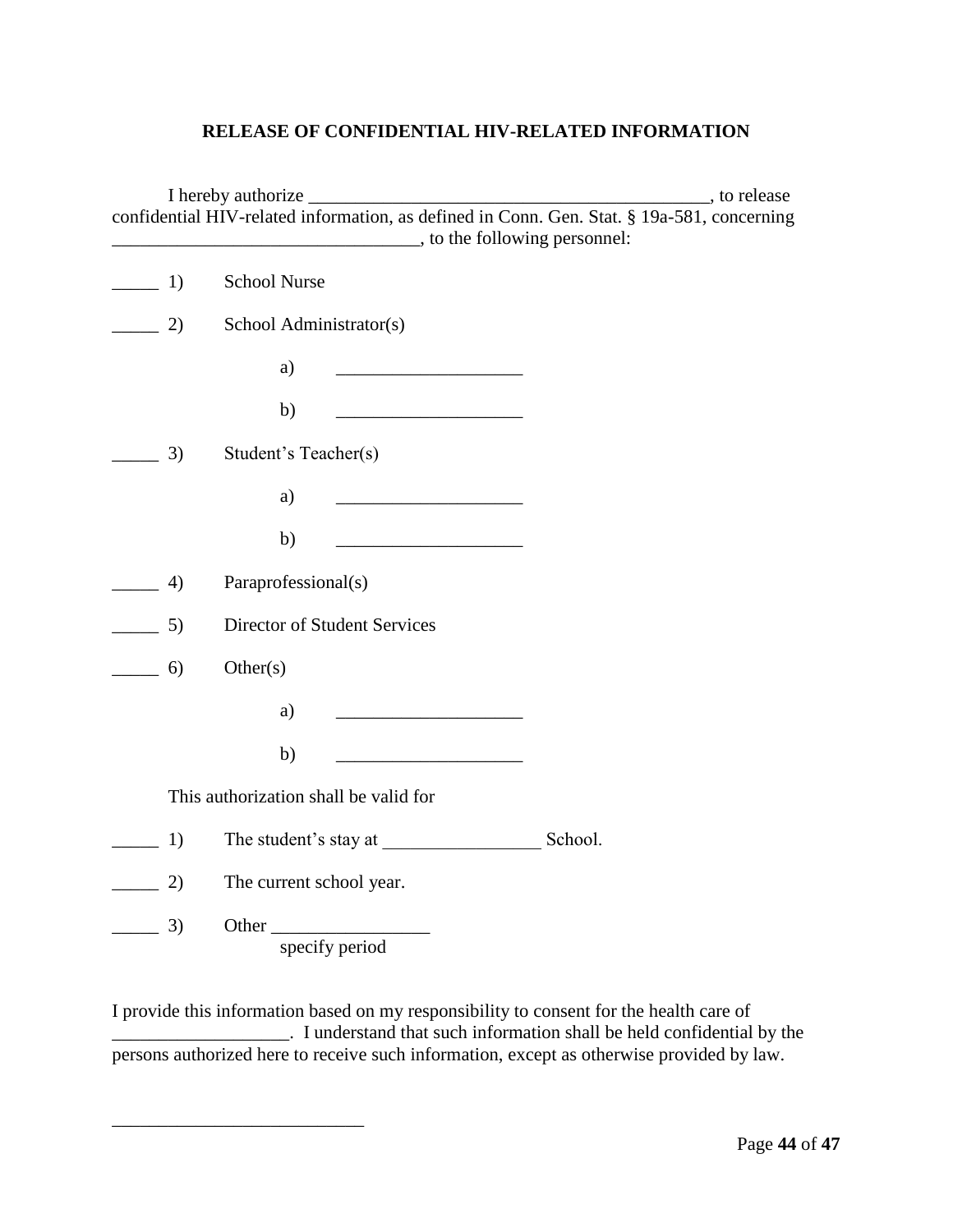#### **RELEASE OF CONFIDENTIAL HIV-RELATED INFORMATION**

|                                       |                                                                                                                              | confidential HIV-related information, as defined in Conn. Gen. Stat. § 19a-581, concerning |
|---------------------------------------|------------------------------------------------------------------------------------------------------------------------------|--------------------------------------------------------------------------------------------|
| 1)<br>$\frac{1}{2}$ and $\frac{1}{2}$ | <b>School Nurse</b>                                                                                                          |                                                                                            |
| 2)<br>$\frac{1}{2}$ and $\frac{1}{2}$ | School Administrator(s)                                                                                                      |                                                                                            |
|                                       | a)<br><u> 1989 - Johann Barbara, martxa alemaniar a</u>                                                                      |                                                                                            |
|                                       | b)<br><u> 1989 - Johann John Harry Harry Harry Harry Harry Harry Harry Harry Harry Harry Harry Harry Harry Harry Harry H</u> |                                                                                            |
| 3)                                    | Student's Teacher(s)                                                                                                         |                                                                                            |
|                                       | a)                                                                                                                           |                                                                                            |
|                                       | b)<br><u> 1990 - Johann Barbara, martxa a</u>                                                                                |                                                                                            |
| 4)                                    | Paraprofessional(s)                                                                                                          |                                                                                            |
| 5)                                    | Director of Student Services                                                                                                 |                                                                                            |
| 6)                                    | Other(s)                                                                                                                     |                                                                                            |
|                                       | a)                                                                                                                           |                                                                                            |
|                                       | b)                                                                                                                           |                                                                                            |
|                                       | This authorization shall be valid for                                                                                        |                                                                                            |
| 1)                                    | The student's stay at                                                                                                        | School.                                                                                    |
| 2)                                    | The current school year.                                                                                                     |                                                                                            |
| 3)                                    | Other<br>specify period                                                                                                      |                                                                                            |

I provide this information based on my responsibility to consent for the health care of \_\_\_\_\_\_\_\_\_\_\_\_\_\_\_\_\_\_\_. I understand that such information shall be held confidential by the persons authorized here to receive such information, except as otherwise provided by law.

\_\_\_\_\_\_\_\_\_\_\_\_\_\_\_\_\_\_\_\_\_\_\_\_\_\_\_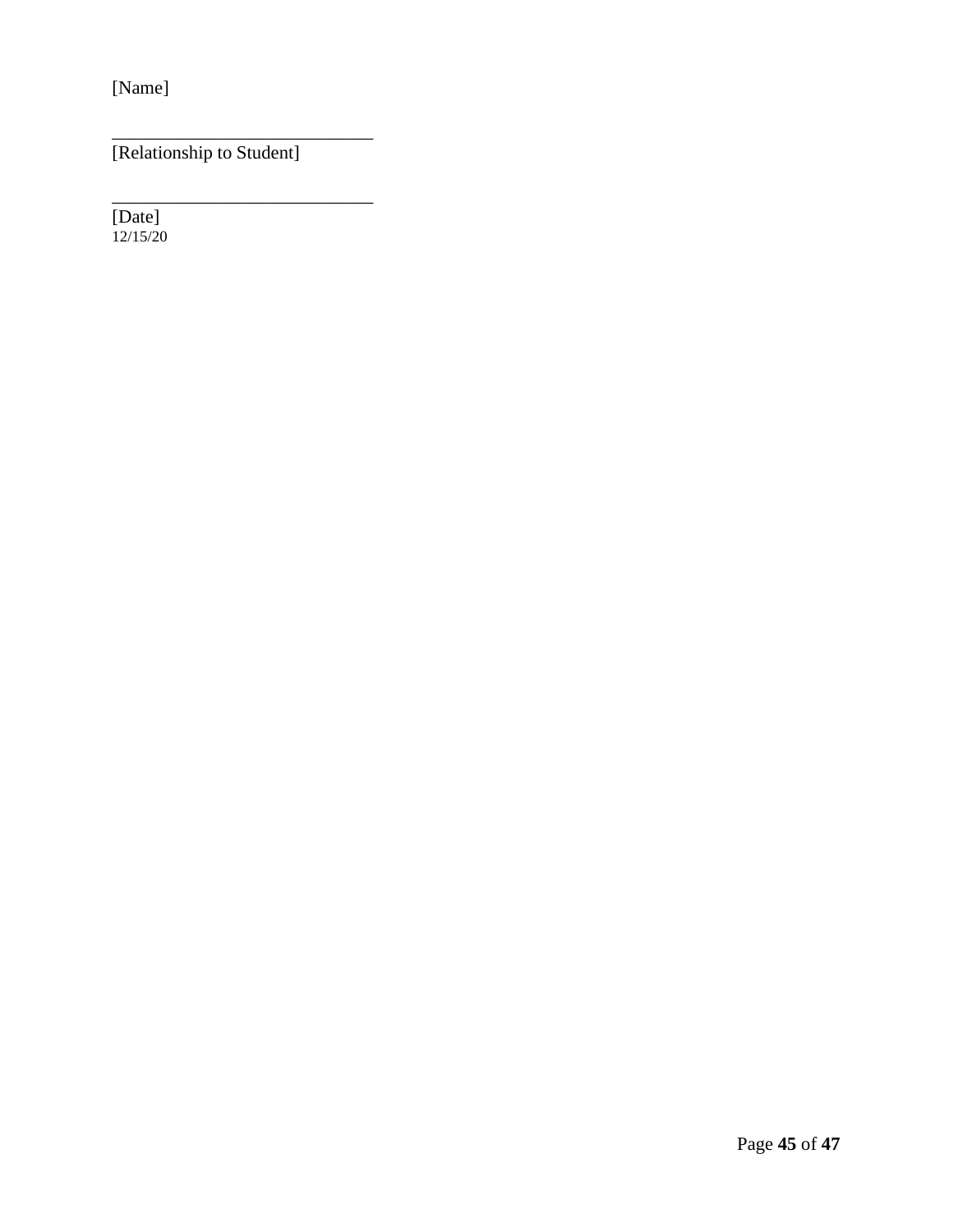[Name]

[Relationship to Student]

\_\_\_\_\_\_\_\_\_\_\_\_\_\_\_\_\_\_\_\_\_\_\_\_\_\_\_\_

\_\_\_\_\_\_\_\_\_\_\_\_\_\_\_\_\_\_\_\_\_\_\_\_\_\_\_\_

[Date] 12/15/20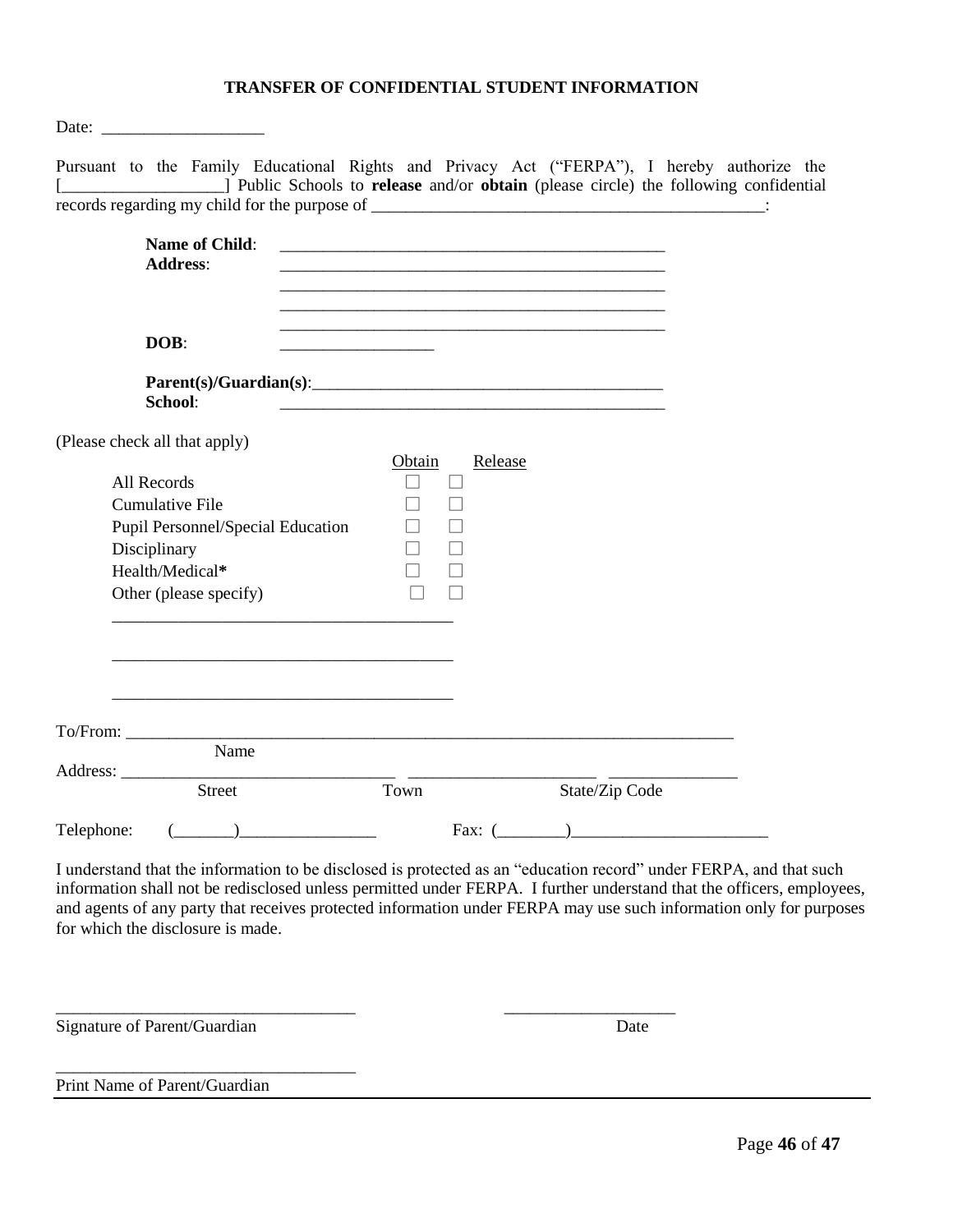### **TRANSFER OF CONFIDENTIAL STUDENT INFORMATION**

| Pursuant to the Family Educational Rights and Privacy Act ("FERPA"), I hereby authorize the<br>[2013] Public Schools to release and/or obtain (please circle) the following confidential                                                                                                                                                                                                               |                                                                            |         |                                                                                                                       |  |
|--------------------------------------------------------------------------------------------------------------------------------------------------------------------------------------------------------------------------------------------------------------------------------------------------------------------------------------------------------------------------------------------------------|----------------------------------------------------------------------------|---------|-----------------------------------------------------------------------------------------------------------------------|--|
|                                                                                                                                                                                                                                                                                                                                                                                                        |                                                                            |         |                                                                                                                       |  |
| <b>Name of Child:</b><br><b>Address:</b>                                                                                                                                                                                                                                                                                                                                                               |                                                                            |         | <u> 1989 - Johann Stoff, deutscher Stoff, der Stoff, der Stoff, der Stoff, der Stoff, der Stoff, der Stoff, der S</u> |  |
| DOB:                                                                                                                                                                                                                                                                                                                                                                                                   | the control of the control of the control of the control of the control of |         | <u> 1989 - Johann John Stone, market fan de Fryske kun fan de fan de fan de fan de fan de fan de fan de fan de fa</u> |  |
| Parent(s)/Guardian(s):<br>School:                                                                                                                                                                                                                                                                                                                                                                      |                                                                            |         |                                                                                                                       |  |
| (Please check all that apply)                                                                                                                                                                                                                                                                                                                                                                          | Obtain                                                                     | Release |                                                                                                                       |  |
| All Records<br><b>Cumulative File</b>                                                                                                                                                                                                                                                                                                                                                                  |                                                                            |         |                                                                                                                       |  |
| <b>Pupil Personnel/Special Education</b><br>Disciplinary<br>Health/Medical*<br>Other (please specify)                                                                                                                                                                                                                                                                                                  |                                                                            |         |                                                                                                                       |  |
|                                                                                                                                                                                                                                                                                                                                                                                                        |                                                                            |         |                                                                                                                       |  |
|                                                                                                                                                                                                                                                                                                                                                                                                        |                                                                            |         | <u> 1999 - Jan James James James James James James James James James James James James James James James James J</u>  |  |
| Name<br>Address:                                                                                                                                                                                                                                                                                                                                                                                       |                                                                            |         |                                                                                                                       |  |
| <b>Street</b>                                                                                                                                                                                                                                                                                                                                                                                          | Town                                                                       |         | State/Zip Code                                                                                                        |  |
| Telephone:                                                                                                                                                                                                                                                                                                                                                                                             |                                                                            |         | Fax: $($                                                                                                              |  |
| I understand that the information to be disclosed is protected as an "education record" under FERPA, and that such<br>information shall not be redisclosed unless permitted under FERPA. I further understand that the officers, employees,<br>and agents of any party that receives protected information under FERPA may use such information only for purposes<br>for which the disclosure is made. |                                                                            |         |                                                                                                                       |  |
| Signature of Parent/Guardian                                                                                                                                                                                                                                                                                                                                                                           |                                                                            |         | Date                                                                                                                  |  |

Print Name of Parent/Guardian